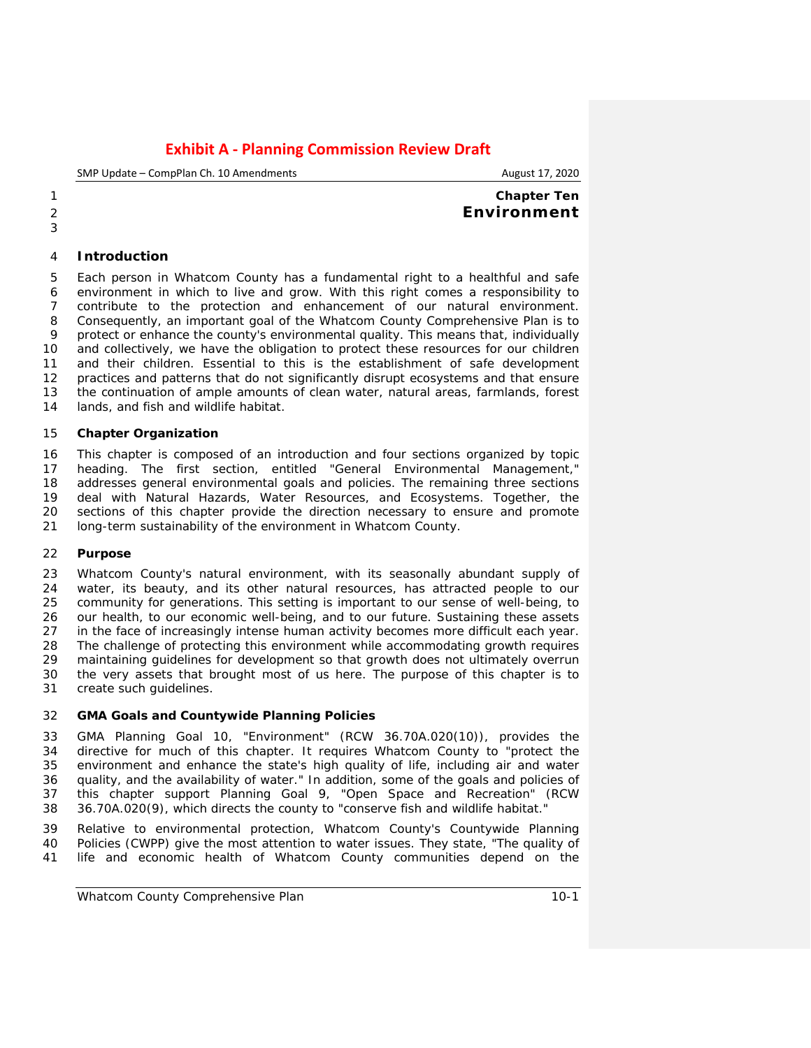SMP Update – CompPlan Ch. 10 Amendments **August 17, 2020** August 17, 2020

## **Chapter Ten Environment**

## **Introduction**

 Each person in Whatcom County has a fundamental right to a healthful and safe environment in which to live and grow. With this right comes a responsibility to contribute to the protection and enhancement of our natural environment. Consequently, an important goal of the Whatcom County Comprehensive Plan is to protect or enhance the county's environmental quality. This means that, individually and collectively, we have the obligation to protect these resources for our children and their children. Essential to this is the establishment of safe development practices and patterns that do not significantly disrupt ecosystems and that ensure 13 the continuation of ample amounts of clean water, natural areas, farmlands, forest 14 lands, and fish and wildlife habitat. lands, and fish and wildlife habitat.

#### **Chapter Organization**

 This chapter is composed of an introduction and four sections organized by topic heading. The first section, entitled "General Environmental Management," addresses general environmental goals and policies. The remaining three sections 19 deal with Natural Hazards, Water Resources, and Ecosystems. Together, the 100 sections of this chapter provide the direction necessary to ensure and promote sections of this chapter provide the direction necessary to ensure and promote long-term sustainability of the environment in Whatcom County.

### **Purpose**

23 Whatcom County's natural environment, with its seasonally abundant supply of 24 water, its beauty, and its other natural resources, has attracted people to our water, its beauty, and its other natural resources, has attracted people to our community for generations. This setting is important to our sense of well-being, to our health, to our economic well-being, and to our future. Sustaining these assets in the face of increasingly intense human activity becomes more difficult each year. The challenge of protecting this environment while accommodating growth requires maintaining guidelines for development so that growth does not ultimately overrun the very assets that brought most of us here. The purpose of this chapter is to create such guidelines.

#### **GMA Goals and Countywide Planning Policies**

 GMA Planning Goal 10, "Environment" (RCW 36.70A.020(10)), provides the directive for much of this chapter. It requires Whatcom County to "protect the environment and enhance the state's high quality of life, including air and water quality, and the availability of water." In addition, some of the goals and policies of this chapter support Planning Goal 9, "Open Space and Recreation" (RCW 36.70A.020(9), which directs the county to "conserve fish and wildlife habitat."

 Relative to environmental protection, Whatcom County's Countywide Planning Policies (CWPP) give the most attention to water issues. They state, "The quality of life and economic health of Whatcom County communities depend on the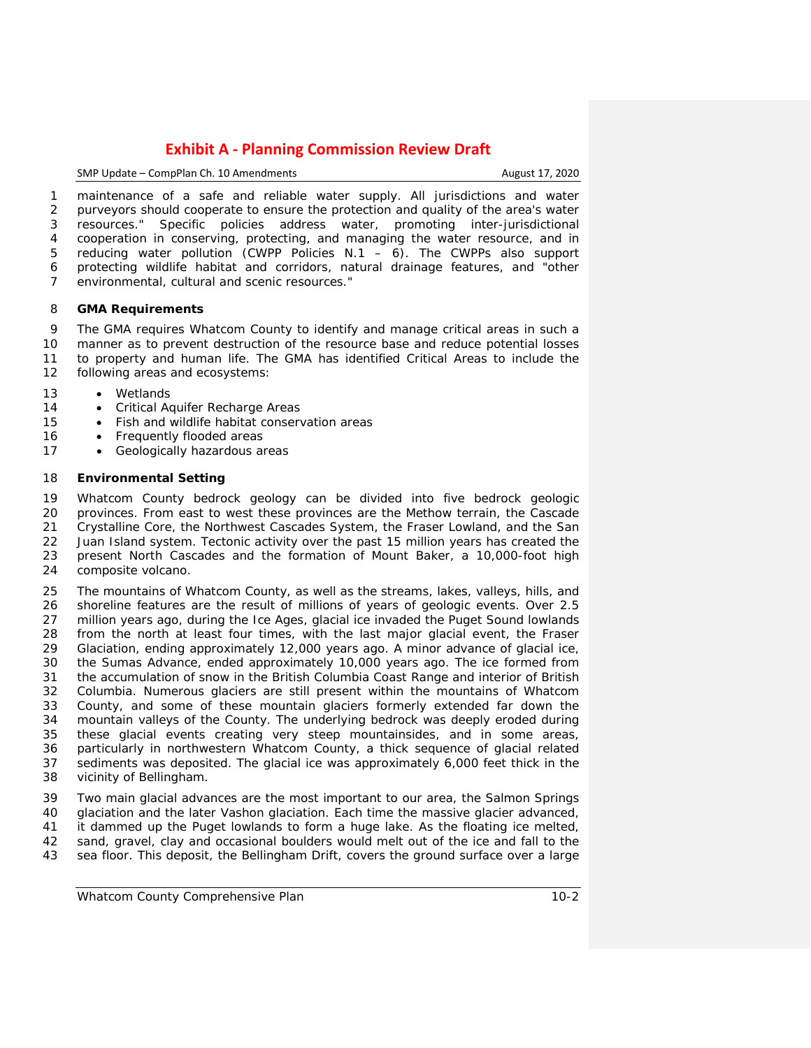SMP Update – CompPlan Ch. 10 Amendments **August 17, 2020** 

 maintenance of a safe and reliable water supply. All jurisdictions and water purveyors should cooperate to ensure the protection and quality of the area's water resources." Specific policies address water, promoting inter-jurisdictional cooperation in conserving, protecting, and managing the water resource, and in reducing water pollution (CWPP Policies N.1 – 6). The CWPPs also support protecting wildlife habitat and corridors, natural drainage features, and "other environmental, cultural and scenic resources."

#### **GMA Requirements**

 The GMA requires Whatcom County to identify and manage critical areas in such a manner as to prevent destruction of the resource base and reduce potential losses to property and human life. The GMA has identified Critical Areas to include the following areas and ecosystems:

- Wetlands
- 14 Critical Aquifer Recharge Areas
- Fish and wildlife habitat conservation areas
- 16 Frequently flooded areas
- 17 Geologically hazardous areas

#### **Environmental Setting**

 Whatcom County bedrock geology can be divided into five bedrock geologic provinces. From east to west these provinces are the Methow terrain, the Cascade Crystalline Core, the Northwest Cascades System, the Fraser Lowland, and the San Juan Island system. Tectonic activity over the past 15 million years has created the present North Cascades and the formation of Mount Baker, a 10,000-foot high composite volcano.

 The mountains of Whatcom County, as well as the streams, lakes, valleys, hills, and 26 shoreline features are the result of millions of years of geologic events. Over 2.5<br>27 million years ago, during the Ice Ages, glacial ice invaded the Puget Sound lowlands 27 million years ago, during the Ice Ages, glacial ice invaded the Puget Sound lowlands<br>28 from the north at least four times, with the last maior glacial event, the Fraser from the north at least four times, with the last major glacial event, the Fraser Glaciation, ending approximately 12,000 years ago. A minor advance of glacial ice, the Sumas Advance, ended approximately 10,000 years ago. The ice formed from the accumulation of snow in the British Columbia Coast Range and interior of British Columbia. Numerous glaciers are still present within the mountains of Whatcom 33 County, and some of these mountain glaciers formerly extended far down the 34 mountain valleys of the County. The underlying bedrock was deeply eroded during 34 mountain valleys of the County. The underlying bedrock was deeply eroded during<br>35 these glacial events creating very steep mountainsides, and in some areas. 35 these glacial events creating very steep mountainsides, and in some areas, 36 particularly in northwestern Whatcom County, a thick sequence of glacial related 36 particularly in northwestern Whatcom County, a thick sequence of glacial related<br>37 sediments was deposited. The glacial ice was approximately 6,000 feet thick in the sediments was deposited. The glacial ice was approximately 6,000 feet thick in the vicinity of Bellingham.

 Two main glacial advances are the most important to our area, the Salmon Springs 40 glaciation and the later Vashon glaciation. Each time the massive glacier advanced, 41 it dammed up the Puget lowlands to form a huge lake. As the floating ice melted, it dammed up the Puget lowlands to form a huge lake. As the floating ice melted, sand, gravel, clay and occasional boulders would melt out of the ice and fall to the sea floor. This deposit, the Bellingham Drift, covers the ground surface over a large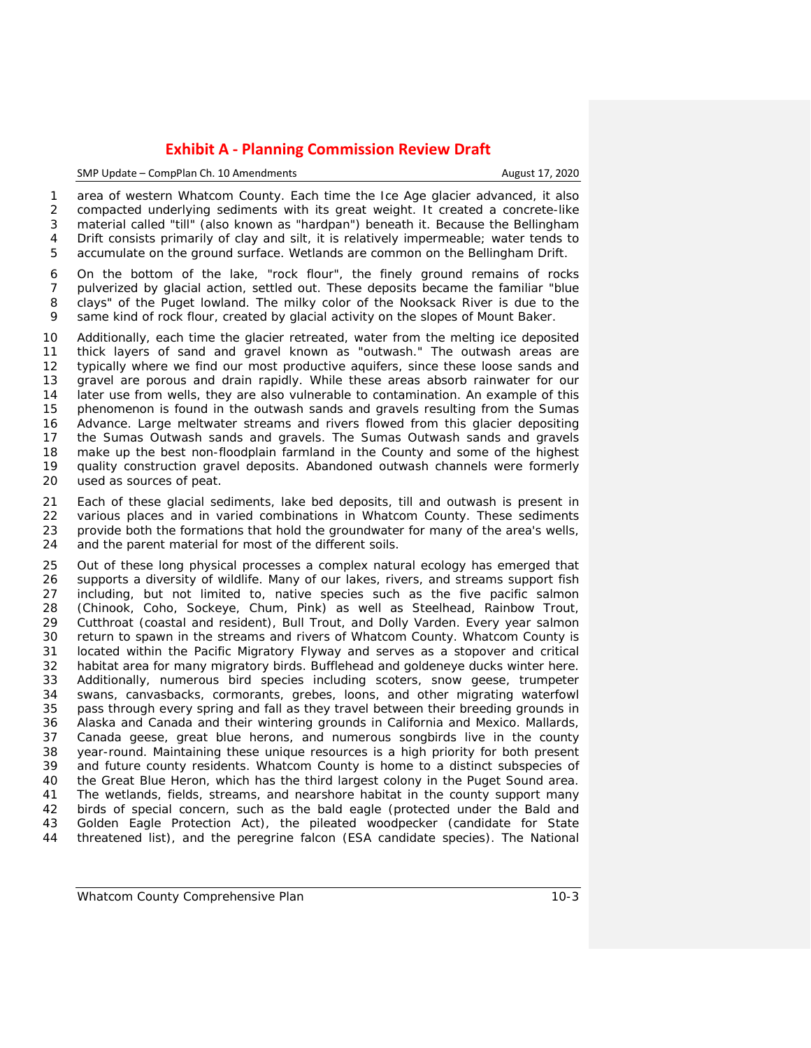#### SMP Update – CompPlan Ch. 10 Amendments August 17, 2020

 area of western Whatcom County. Each time the Ice Age glacier advanced, it also compacted underlying sediments with its great weight. It created a concrete-like material called "till" (also known as "hardpan") beneath it. Because the Bellingham Drift consists primarily of clay and silt, it is relatively impermeable; water tends to accumulate on the ground surface. Wetlands are common on the Bellingham Drift.

 On the bottom of the lake, "rock flour", the finely ground remains of rocks pulverized by glacial action, settled out. These deposits became the familiar "blue clays" of the Puget lowland. The milky color of the Nooksack River is due to the same kind of rock flour, created by glacial activity on the slopes of Mount Baker.

 Additionally, each time the glacier retreated, water from the melting ice deposited thick layers of sand and gravel known as "outwash." The outwash areas are typically where we find our most productive aquifers, since these loose sands and gravel are porous and drain rapidly. While these areas absorb rainwater for our later use from wells, they are also vulnerable to contamination. An example of this phenomenon is found in the outwash sands and gravels resulting from the Sumas Advance. Large meltwater streams and rivers flowed from this glacier depositing the Sumas Outwash sands and gravels. The Sumas Outwash sands and gravels 18 make up the best non-floodplain farmland in the County and some of the highest<br>19 auality construction gravel deposits. Abandoned outwash channels were formerly 19 quality construction gravel deposits. Abandoned outwash channels were formerly<br>20 used as sources of peat. used as sources of peat.

21 Each of these glacial sediments, lake bed deposits, till and outwash is present in<br>22 various places and in varied combinations in Whatcom County. These sediments various places and in varied combinations in Whatcom County. These sediments provide both the formations that hold the groundwater for many of the area's wells, and the parent material for most of the different soils.

 Out of these long physical processes a complex natural ecology has emerged that supports a diversity of wildlife. Many of our lakes, rivers, and streams support fish including, but not limited to, native species such as the five pacific salmon (Chinook, Coho, Sockeye, Chum, Pink) as well as Steelhead, Rainbow Trout, Cutthroat (coastal and resident), Bull Trout, and Dolly Varden. Every year salmon return to spawn in the streams and rivers of Whatcom County. Whatcom County is located within the Pacific Migratory Flyway and serves as a stopover and critical habitat area for many migratory birds. Bufflehead and goldeneye ducks winter here. Additionally, numerous bird species including scoters, snow geese, trumpeter swans, canvasbacks, cormorants, grebes, loons, and other migrating waterfowl pass through every spring and fall as they travel between their breeding grounds in Alaska and Canada and their wintering grounds in California and Mexico. Mallards, Canada geese, great blue herons, and numerous songbirds live in the county year-round. Maintaining these unique resources is a high priority for both present and future county residents. Whatcom County is home to a distinct subspecies of the Great Blue Heron, which has the third largest colony in the Puget Sound area. The wetlands, fields, streams, and nearshore habitat in the county support many birds of special concern, such as the bald eagle (protected under the Bald and Golden Eagle Protection Act), the pileated woodpecker (candidate for State threatened list), and the peregrine falcon (ESA candidate species). The National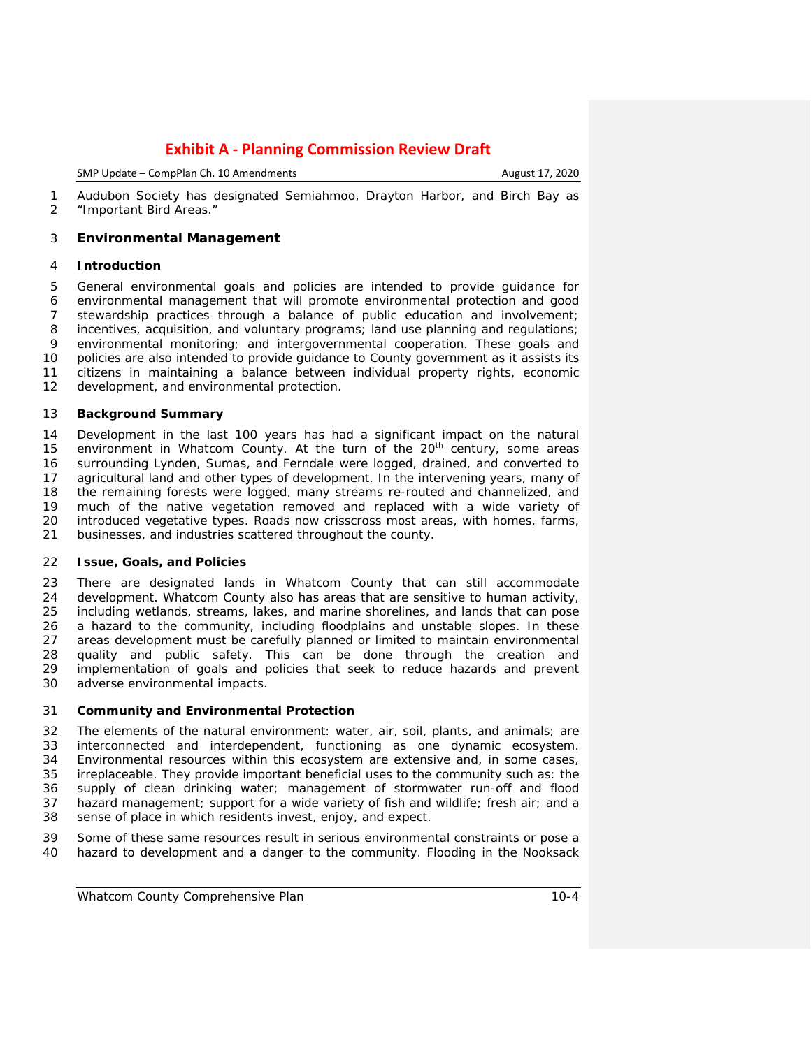SMP Update – CompPlan Ch. 10 Amendments **August 17, 2020** 

 Audubon Society has designated Semiahmoo, Drayton Harbor, and Birch Bay as "Important Bird Areas."

## **Environmental Management**

## **Introduction**

 General environmental goals and policies are intended to provide guidance for environmental management that will promote environmental protection and good stewardship practices through a balance of public education and involvement; 8 incentives, acquisition, and voluntary programs; land use planning and regulations;<br>9 environmental monitoring: and intergovernmental cooperation. These goals and environmental monitoring; and intergovernmental cooperation. These goals and policies are also intended to provide guidance to County government as it assists its citizens in maintaining a balance between individual property rights, economic development, and environmental protection.

## **Background Summary**

 Development in the last 100 years has had a significant impact on the natural 15 environment in Whatcom County. At the turn of the 20<sup>th</sup> century, some areas surrounding Lynden, Sumas, and Ferndale were logged, drained, and converted to agricultural land and other types of development. In the intervening years, many of the remaining forests were logged, many streams re-routed and channelized, and much of the native vegetation removed and replaced with a wide variety of introduced vegetative types. Roads now crisscross most areas, with homes, farms, businesses, and industries scattered throughout the county.

## **Issue, Goals, and Policies**

 There are designated lands in Whatcom County that can still accommodate development. Whatcom County also has areas that are sensitive to human activity, including wetlands, streams, lakes, and marine shorelines, and lands that can pose a hazard to the community, including floodplains and unstable slopes. In these 27 areas development must be carefully planned or limited to maintain environmental<br>28 quality and public safety. This can be done through the creation and quality and public safety. This can be done through the creation and 29 implementation of goals and policies that seek to reduce hazards and prevent 30 adverse environmental impacts. adverse environmental impacts.

## **Community and Environmental Protection**

 The elements of the natural environment: water, air, soil, plants, and animals; are interconnected and interdependent, functioning as one dynamic ecosystem. Environmental resources within this ecosystem are extensive and, in some cases, irreplaceable. They provide important beneficial uses to the community such as: the supply of clean drinking water; management of stormwater run-off and flood hazard management; support for a wide variety of fish and wildlife; fresh air; and a sense of place in which residents invest, enjoy, and expect.

 Some of these same resources result in serious environmental constraints or pose a hazard to development and a danger to the community. Flooding in the Nooksack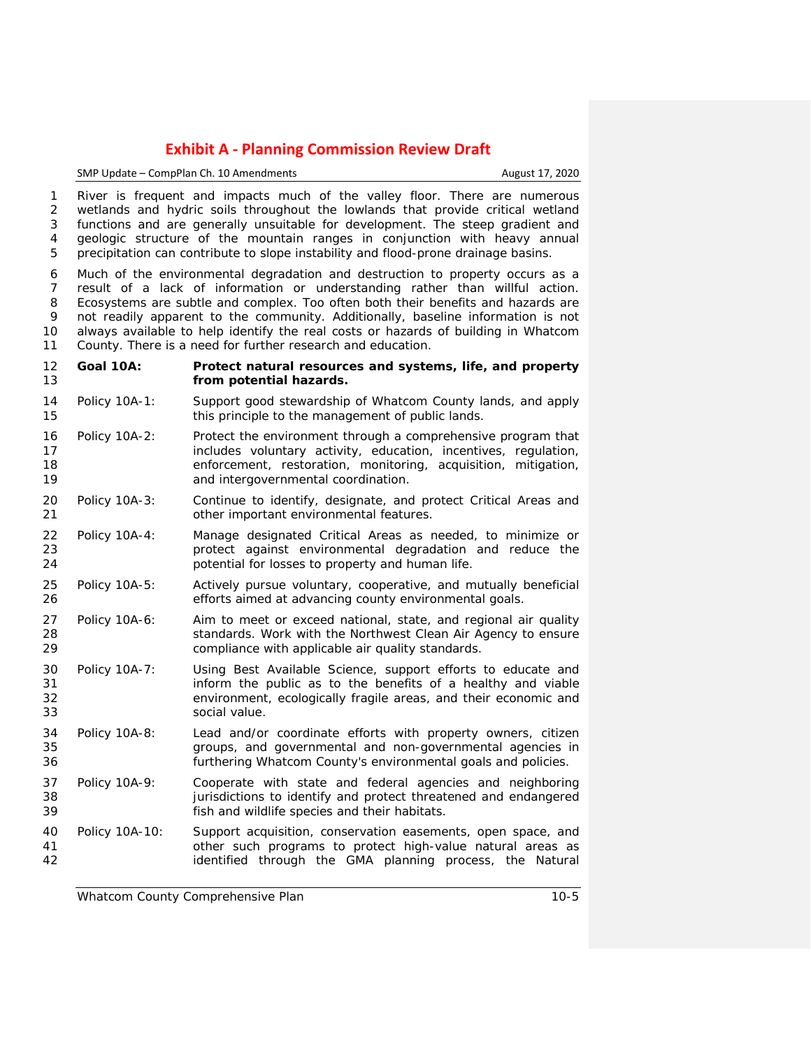SMP Update – CompPlan Ch. 10 Amendments **August 17, 2020** 

 River is frequent and impacts much of the valley floor. There are numerous wetlands and hydric soils throughout the lowlands that provide critical wetland functions and are generally unsuitable for development. The steep gradient and geologic structure of the mountain ranges in conjunction with heavy annual precipitation can contribute to slope instability and flood-prone drainage basins.

 Much of the environmental degradation and destruction to property occurs as a result of a lack of information or understanding rather than willful action. Ecosystems are subtle and complex. Too often both their benefits and hazards are not readily apparent to the community. Additionally, baseline information is not always available to help identify the real costs or hazards of building in Whatcom County. There is a need for further research and education.

- **Goal 10A: Protect natural resources and systems, life, and property from potential hazards.**
- Policy 10A-1: Support good stewardship of Whatcom County lands, and apply 15 this principle to the management of public lands.
- Policy 10A-2: Protect the environment through a comprehensive program that **includes voluntary activity, education, incentives, regulation,**  enforcement, restoration, monitoring, acquisition, mitigation, 19 and intergovernmental coordination.
- Policy 10A-3: Continue to identify, designate, and protect Critical Areas and other important environmental features.
- Policy 10A-4: Manage designated Critical Areas as needed, to minimize or protect against environmental degradation and reduce the potential for losses to property and human life.
- Policy 10A-5: Actively pursue voluntary, cooperative, and mutually beneficial efforts aimed at advancing county environmental goals.
- 27 Policy 10A-6: Aim to meet or exceed national, state, and regional air quality<br>28 Standards, Work with the Northwest Clean Air Agency to ensure standards. Work with the Northwest Clean Air Agency to ensure compliance with applicable air quality standards.
- Policy 10A-7: Using Best Available Science, support efforts to educate and inform the public as to the benefits of a healthy and viable environment, ecologically fragile areas, and their economic and social value.
- Policy 10A-8: Lead and/or coordinate efforts with property owners, citizen groups, and governmental and non-governmental agencies in furthering Whatcom County's environmental goals and policies.
- Policy 10A-9: Cooperate with state and federal agencies and neighboring jurisdictions to identify and protect threatened and endangered fish and wildlife species and their habitats.
- Policy 10A-10: Support acquisition, conservation easements, open space, and 41 a comport other such programs to protect high-value natural areas as<br>42 a contract identified through the GMA planning process, the Natural identified through the GMA planning process, the Natural

*Whatcom County Comprehensive Plan 10-5*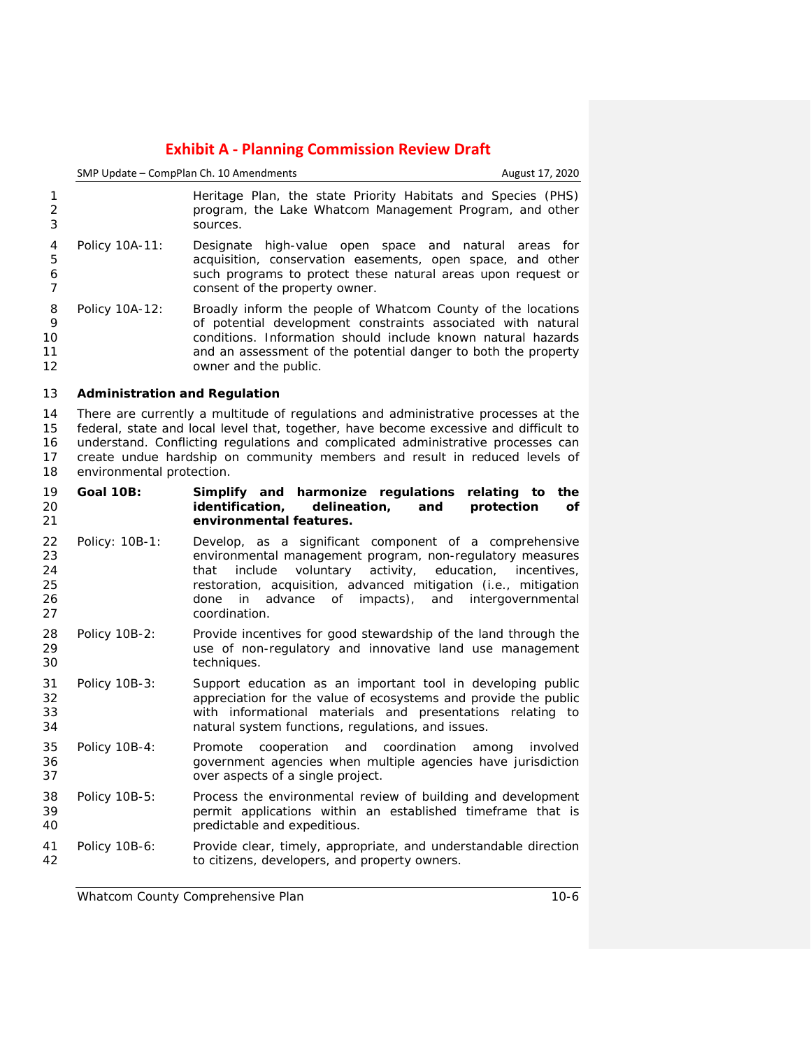|                                  |                                      | SMP Update - CompPlan Ch. 10 Amendments                                                                                                                                                                                                                                                                                                       | August 17, 2020 |
|----------------------------------|--------------------------------------|-----------------------------------------------------------------------------------------------------------------------------------------------------------------------------------------------------------------------------------------------------------------------------------------------------------------------------------------------|-----------------|
| 1<br>$\overline{2}$<br>3         |                                      | Heritage Plan, the state Priority Habitats and Species (PHS)<br>program, the Lake Whatcom Management Program, and other<br>sources.                                                                                                                                                                                                           |                 |
| 4<br>5<br>6<br>7                 | Policy 10A-11:                       | Designate high-value open space and<br>natural areas<br>acquisition, conservation easements, open space, and other<br>such programs to protect these natural areas upon request or<br>consent of the property owner.                                                                                                                          | for             |
| 8<br>9<br>10<br>11<br>12         | Policy 10A-12:                       | Broadly inform the people of Whatcom County of the locations<br>of potential development constraints associated with natural<br>conditions. Information should include known natural hazards<br>and an assessment of the potential danger to both the property<br>owner and the public.                                                       |                 |
| 13                               | <b>Administration and Regulation</b> |                                                                                                                                                                                                                                                                                                                                               |                 |
| 14<br>15<br>16<br>17<br>18       | environmental protection.            | There are currently a multitude of regulations and administrative processes at the<br>federal, state and local level that, together, have become excessive and difficult to<br>understand. Conflicting regulations and complicated administrative processes can<br>create undue hardship on community members and result in reduced levels of |                 |
| 19<br>20<br>21                   | <b>Goal 10B:</b>                     | Simplify and harmonize regulations<br>relating to<br>identification,<br>delineation,<br>protection<br>and<br>environmental features.                                                                                                                                                                                                          | the<br>οf       |
| 22<br>23<br>24<br>25<br>26<br>27 | Policy: 10B-1:                       | Develop, as a significant component of a comprehensive<br>environmental management program, non-regulatory measures<br>activity,<br>include<br>voluntary<br>education,<br>that<br>restoration, acquisition, advanced mitigation (i.e., mitigation<br>advance<br>of impacts),<br>and<br>intergovernmental<br>done<br>in.<br>coordination.      | incentives,     |
| 28<br>29<br>30                   | Policy 10B-2:                        | Provide incentives for good stewardship of the land through the<br>use of non-regulatory and innovative land use management<br>techniques.                                                                                                                                                                                                    |                 |
| 31<br>32<br>33<br>34             | Policy 10B-3:                        | Support education as an important tool in developing public<br>appreciation for the value of ecosystems and provide the public<br>with informational materials and presentations relating to<br>natural system functions, regulations, and issues.                                                                                            |                 |
| 35<br>36<br>37                   | Policy 10B-4:                        | coordination<br>Promote<br>cooperation<br>and<br>among<br>government agencies when multiple agencies have jurisdiction<br>over aspects of a single project.                                                                                                                                                                                   | involved        |
| 38<br>39<br>40                   | Policy 10B-5:                        | Process the environmental review of building and development<br>permit applications within an established timeframe that is<br>predictable and expeditious.                                                                                                                                                                                   |                 |
| 41<br>42                         | Policy 10B-6:                        | Provide clear, timely, appropriate, and understandable direction<br>to citizens, developers, and property owners.                                                                                                                                                                                                                             |                 |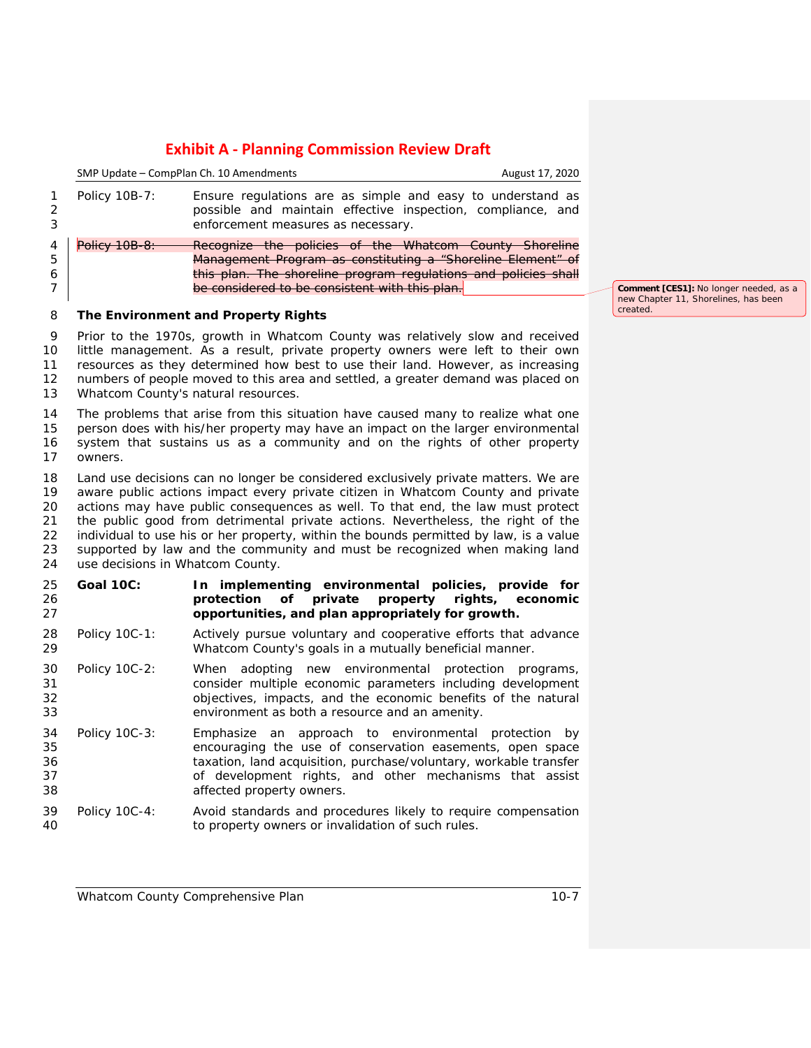|         | SMP Update - CompPlan Ch. 10 Amendments |                                                                                                                                                                 | August 17, 2020 |
|---------|-----------------------------------------|-----------------------------------------------------------------------------------------------------------------------------------------------------------------|-----------------|
|         | Policy 10B-7:                           | Ensure regulations are as simple and easy to understand as<br>possible and maintain effective inspection, compliance, and<br>enforcement measures as necessary. |                 |
|         | Policy 10B-8:                           | Recognize the policies of the Whatcom County Shoreline                                                                                                          |                 |
| 5       |                                         | Management Program as constituting a "Shoreline Element" of                                                                                                     |                 |
| 6       |                                         | this plan. The shoreline program regulations and policies shall                                                                                                 |                 |
|         |                                         | be considered to be consistent with this plan.                                                                                                                  |                 |
| 8       |                                         | The Environment and Property Rights                                                                                                                             |                 |
| 9<br>10 |                                         | Prior to the 1970s, growth in Whatcom County was relatively slow and received<br>little management. As a result, private property owners were left to their own |                 |

 resources as they determined how best to use their land. However, as increasing numbers of people moved to this area and settled, a greater demand was placed on Whatcom County's natural resources.

 The problems that arise from this situation have caused many to realize what one person does with his/her property may have an impact on the larger environmental system that sustains us as a community and on the rights of other property owners.

 Land use decisions can no longer be considered exclusively private matters. We are aware public actions impact every private citizen in Whatcom County and private actions may have public consequences as well. To that end, the law must protect the public good from detrimental private actions. Nevertheless, the right of the individual to use his or her property, within the bounds permitted by law, is a value supported by law and the community and must be recognized when making land use decisions in Whatcom County.

- **Goal 10C: In implementing environmental policies, provide for property rights, economic opportunities, and plan appropriately for growth.**
- Policy 10C-1: Actively pursue voluntary and cooperative efforts that advance Whatcom County's goals in a mutually beneficial manner.
- Policy 10C-2: When adopting new environmental protection programs, consider multiple economic parameters including development objectives, impacts, and the economic benefits of the natural environment as both a resource and an amenity.
- Policy 10C-3: Emphasize an approach to environmental protection by encouraging the use of conservation easements, open space taxation, land acquisition, purchase/voluntary, workable transfer of development rights, and other mechanisms that assist affected property owners.
- Policy 10C-4: Avoid standards and procedures likely to require compensation to property owners or invalidation of such rules.

**Comment [CES1]:** No longer needed, as a new Chapter 11, Shorelines, has been created.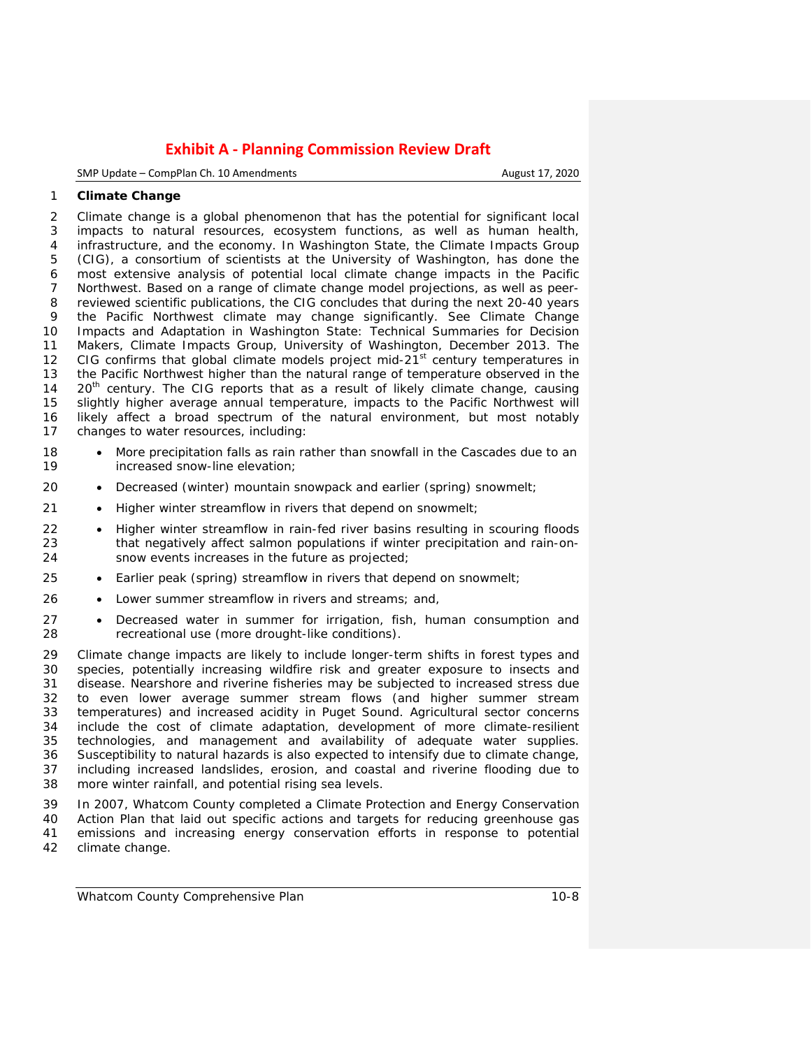SMP Update – CompPlan Ch. 10 Amendments **August 17, 2020** 

### **Climate Change**

 Climate change is a global phenomenon that has the potential for significant local impacts to natural resources, ecosystem functions, as well as human health, infrastructure, and the economy. In Washington State, the Climate Impacts Group (CIG), a consortium of scientists at the University of Washington, has done the most extensive analysis of potential local climate change impacts in the Pacific Northwest. Based on a range of climate change model projections, as well as peer- reviewed scientific publications, the CIG concludes that during the next 20-40 years the Pacific Northwest climate may change significantly. See *Climate Change Impacts and Adaptation in Washington State: Technical Summaries for Decision Makers, Climate Impacts Group, University of Washington, December 2013*. The 12 CIG confirms that global climate models project mid- $21<sup>st</sup>$  century temperatures in the Pacific Northwest higher than the natural range of temperature observed in the  $20<sup>th</sup>$  century. The CIG reports that as a result of likely climate change, causing slightly higher average annual temperature, impacts to the Pacific Northwest will likely affect a broad spectrum of the natural environment, but most notably changes to water resources, including:

- 18 More precipitation falls as rain rather than snowfall in the Cascades due to an<br>19 **increased snow-line elevation:** increased snow-line elevation;
- 20 Decreased (winter) mountain snowpack and earlier (spring) snowmelt;
- Higher winter streamflow in rivers that depend on snowmelt;
- Higher winter streamflow in rain-fed river basins resulting in scouring floods that negatively affect salmon populations if winter precipitation and rain-on-snow events increases in the future as projected;
- Earlier peak (spring) streamflow in rivers that depend on snowmelt;
- Lower summer streamflow in rivers and streams; and,
- Decreased water in summer for irrigation, fish, human consumption and recreational use (more drought-like conditions).

 Climate change impacts are likely to include longer-term shifts in forest types and species, potentially increasing wildfire risk and greater exposure to insects and disease. Nearshore and riverine fisheries may be subjected to increased stress due to even lower average summer stream flows (and higher summer stream temperatures) and increased acidity in Puget Sound. Agricultural sector concerns 34 include the cost of climate adaptation, development of more climate-resilient 35 technologies, and management and availability of adequate water supplies. technologies, and management and availability of adequate water supplies. Susceptibility to natural hazards is also expected to intensify due to climate change, including increased landslides, erosion, and coastal and riverine flooding due to more winter rainfall, and potential rising sea levels.

 In 2007, Whatcom County completed a Climate Protection and Energy Conservation Action Plan that laid out specific actions and targets for reducing greenhouse gas 41 emissions and increasing energy conservation efforts in response to potential 42 climate change. climate change.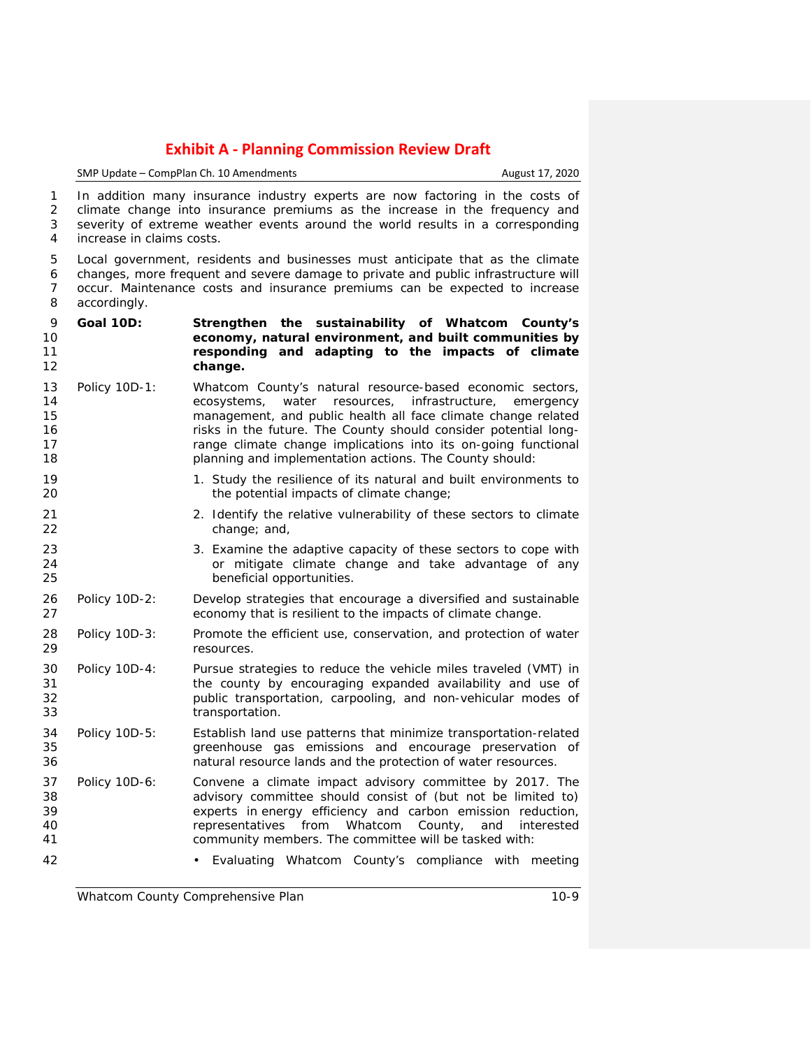SMP Update – CompPlan Ch. 10 Amendments **August 17, 2020** 

 In addition many insurance industry experts are now factoring in the costs of climate change into insurance premiums as the increase in the frequency and 3 severity of extreme weather events around the world results in a corresponding<br>4 increase in claims costs. increase in claims costs.

 Local government, residents and businesses must anticipate that as the climate changes, more frequent and severe damage to private and public infrastructure will occur. Maintenance costs and insurance premiums can be expected to increase accordingly.

- **Goal 10D: Strengthen the sustainability of Whatcom County's economy, natural environment, and built communities by responding and adapting to the impacts of climate change.**
- Policy 10D-1: Whatcom County's natural resource-based economic sectors, ecosystems, water resources, infrastructure, emergency management, and public health all face climate change related **16 risks in the future. The County should consider potential long-range climate change implications into its on-going functional** planning and implementation actions. The County should:
- 1. Study the resilience of its natural and built environments to the potential impacts of climate change;
- 21 2. Identify the relative vulnerability of these sectors to climate change; and,
- 23 3. Examine the adaptive capacity of these sectors to cope with 24 or mitigate climate change and take advantage of any<br>25 complemential opportunities. beneficial opportunities.
- Policy 10D-2: Develop strategies that encourage a diversified and sustainable economy that is resilient to the impacts of climate change.
- Policy 10D-3: Promote the efficient use, conservation, and protection of water resources.
- Policy 10D-4: Pursue strategies to reduce the vehicle miles traveled (VMT) in the county by encouraging expanded availability and use of public transportation, carpooling, and non-vehicular modes of transportation.
- Policy 10D-5: Establish land use patterns that minimize transportation-related greenhouse gas emissions and encourage preservation of natural resource lands and the protection of water resources.
- Policy 10D-6: Convene a climate impact advisory committee by 2017. The advisory committee should consist of (but not be limited to) experts in energy efficiency and carbon emission reduction, representatives from Whatcom County, and interested community members. The committee will be tasked with:
- Evaluating Whatcom County's compliance with meeting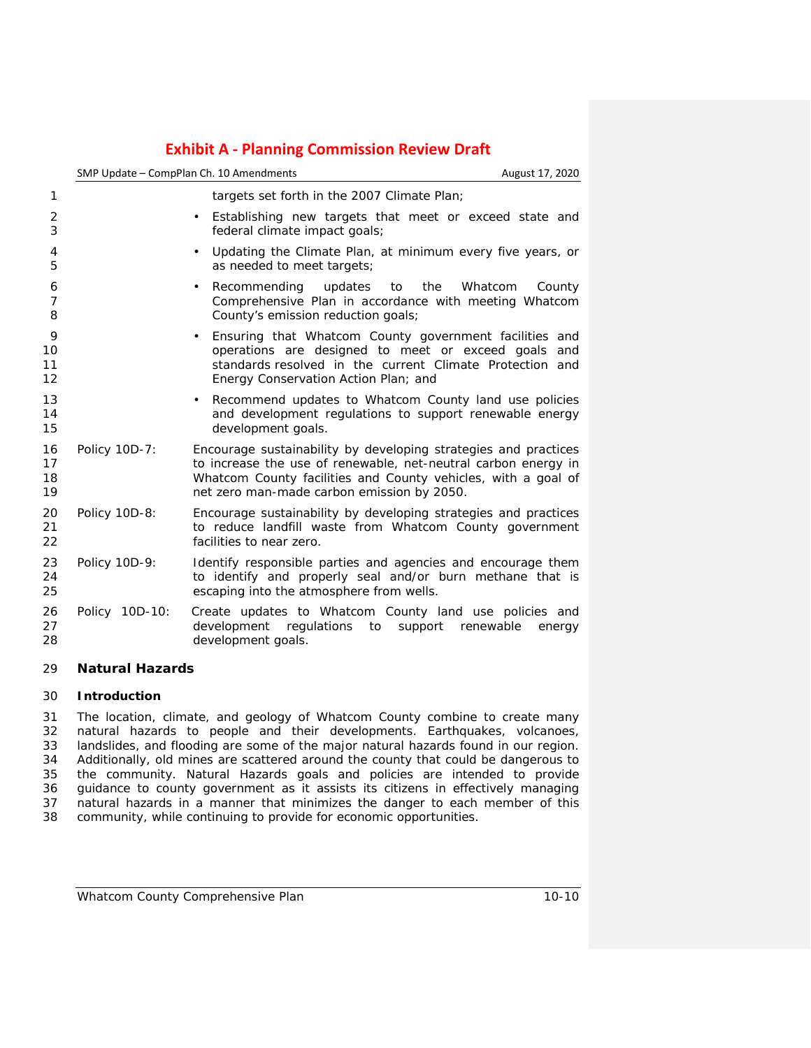|                                           | SMP Update - CompPlan Ch. 10 Amendments<br>August 17, 2020                                                                                                                                                                                       |
|-------------------------------------------|--------------------------------------------------------------------------------------------------------------------------------------------------------------------------------------------------------------------------------------------------|
| $\mathbf{1}$                              | targets set forth in the 2007 Climate Plan;                                                                                                                                                                                                      |
| 2<br>3                                    | Establishing new targets that meet or exceed state and<br>$\bullet$<br>federal climate impact goals;                                                                                                                                             |
| 4<br>5                                    | Updating the Climate Plan, at minimum every five years, or<br>$\bullet$<br>as needed to meet targets;                                                                                                                                            |
| 6<br>$\overline{7}$<br>8                  | the<br>Recommending<br>updates to<br>Whatcom<br>County<br>$\bullet$<br>Comprehensive Plan in accordance with meeting Whatcom<br>County's emission reduction goals;                                                                               |
| 9<br>10<br>11<br>12                       | Ensuring that Whatcom County government facilities and<br>$\bullet$<br>operations are designed to meet or exceed goals and<br>standards resolved in the current Climate Protection and<br>Energy Conservation Action Plan; and                   |
| 13<br>14<br>15                            | Recommend updates to Whatcom County land use policies<br>$\bullet$<br>and development regulations to support renewable energy<br>development goals.                                                                                              |
| 16<br>Policy 10D-7:<br>17<br>18<br>19     | Encourage sustainability by developing strategies and practices<br>to increase the use of renewable, net-neutral carbon energy in<br>Whatcom County facilities and County vehicles, with a goal of<br>net zero man-made carbon emission by 2050. |
| 20<br>Policy 10D-8:<br>21<br>22           | Encourage sustainability by developing strategies and practices<br>to reduce landfill waste from Whatcom County government<br>facilities to near zero.                                                                                           |
| 23<br>Policy 10D-9:<br>24<br>25           | Identify responsible parties and agencies and encourage them<br>to identify and properly seal and/or burn methane that is<br>escaping into the atmosphere from wells.                                                                            |
| 26<br>Policy 10D-10:<br>27<br>28          | Create updates to Whatcom County land use policies and<br>development regulations to<br>support renewable<br>energy<br>development goals.                                                                                                        |
| $\sim$<br>$M = 1, 1, 2, 3, 4, 1, 1, 2, 3$ |                                                                                                                                                                                                                                                  |

## **Natural Hazards**

## **Introduction**

31 The location, climate, and geology of Whatcom County combine to create many<br>32 natural hazards to people and their developments. Earthquakes, volcanoes, natural hazards to people and their developments. Earthquakes, volcanoes, 33 landslides, and flooding are some of the major natural hazards found in our region.<br>34 Additionally, old mines are scattered around the county that could be dangerous to 34 Additionally, old mines are scattered around the county that could be dangerous to state that it are stated to provide the community. Natural Hazards goals and policies are intended to provide 36 guidance to county government as it assists its citizens in effectively managing<br>37 natural hazards in a manner that minimizes the danger to each member of this 37 natural hazards in a manner that minimizes the danger to each member of this community, while continuing to provide for economic opportunities. community, while continuing to provide for economic opportunities.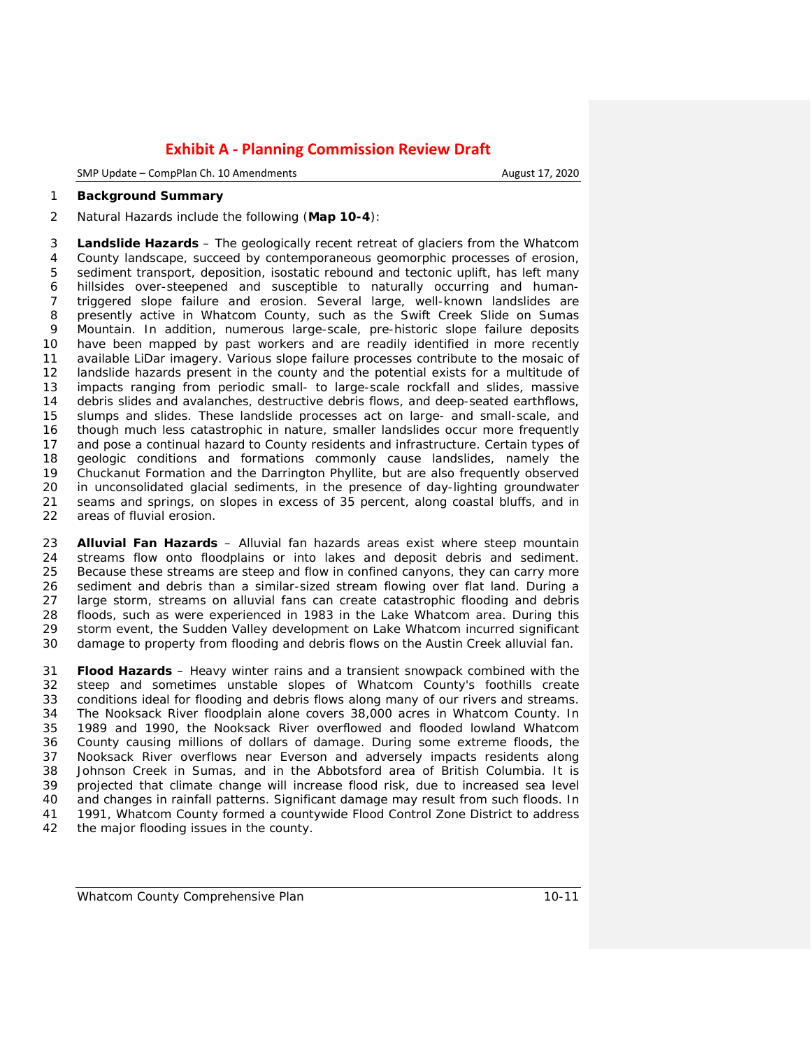SMP Update – CompPlan Ch. 10 Amendments **August 17, 2020** August 17, 2020

#### **Background Summary**

Natural Hazards include the following (**Map 10-4**):

 **Landslide Hazards** – The geologically recent retreat of glaciers from the Whatcom County landscape, succeed by contemporaneous geomorphic processes of erosion, sediment transport, deposition, isostatic rebound and tectonic uplift, has left many hillsides over-steepened and susceptible to naturally occurring and human- triggered slope failure and erosion. Several large, well-known landslides are presently active in Whatcom County, such as the Swift Creek Slide on Sumas 9 Mountain. In addition, numerous large-scale, pre-historic slope failure deposits<br>10 have been mapped by past workers and are readily identified in more recently have been mapped by past workers and are readily identified in more recently available LiDar imagery. Various slope failure processes contribute to the mosaic of landslide hazards present in the county and the potential exists for a multitude of impacts ranging from periodic small- to large-scale rockfall and slides, massive debris slides and avalanches, destructive debris flows, and deep-seated earthflows, slumps and slides. These landslide processes act on large- and small-scale, and though much less catastrophic in nature, smaller landslides occur more frequently and pose a continual hazard to County residents and infrastructure. Certain types of 18 geologic conditions and formations commonly cause landslides, namely the 19 Chuckanut Formation and the Darrington Phyllite, but are also frequently observed 19 Chuckanut Formation and the Darrington Phyllite, but are also frequently observed<br>20 in unconsolidated glacial sediments, in the presence of day-lighting groundwater 20 in unconsolidated glacial sediments, in the presence of day-lighting groundwater<br>21 seams and springs, on slopes in excess of 35 percent, along coastal bluffs, and in 21 seams and springs, on slopes in excess of 35 percent, along coastal bluffs, and in 22 areas of fluvial erosion. areas of fluvial erosion.

 **Alluvial Fan Hazards** – Alluvial fan hazards areas exist where steep mountain streams flow onto floodplains or into lakes and deposit debris and sediment. Because these streams are steep and flow in confined canyons, they can carry more sediment and debris than a similar-sized stream flowing over flat land. During a large storm, streams on alluvial fans can create catastrophic flooding and debris floods, such as were experienced in 1983 in the Lake Whatcom area. During this storm event, the Sudden Valley development on Lake Whatcom incurred significant damage to property from flooding and debris flows on the Austin Creek alluvial fan.

 **Flood Hazards** – Heavy winter rains and a transient snowpack combined with the steep and sometimes unstable slopes of Whatcom County's foothills create conditions ideal for flooding and debris flows along many of our rivers and streams. 34 The Nooksack River floodplain alone covers 38,000 acres in Whatcom County. In<br>35 1989 and 1990, the Nooksack River overflowed and flooded lowland Whatcom 1989 and 1990, the Nooksack River overflowed and flooded lowland Whatcom County causing millions of dollars of damage. During some extreme floods, the Nooksack River overflows near Everson and adversely impacts residents along Johnson Creek in Sumas, and in the Abbotsford area of British Columbia. It is projected that climate change will increase flood risk, due to increased sea level and changes in rainfall patterns. Significant damage may result from such floods. In 41 1991, Whatcom County formed a countywide Flood Control Zone District to address 42 the maior flooding issues in the county. the major flooding issues in the county.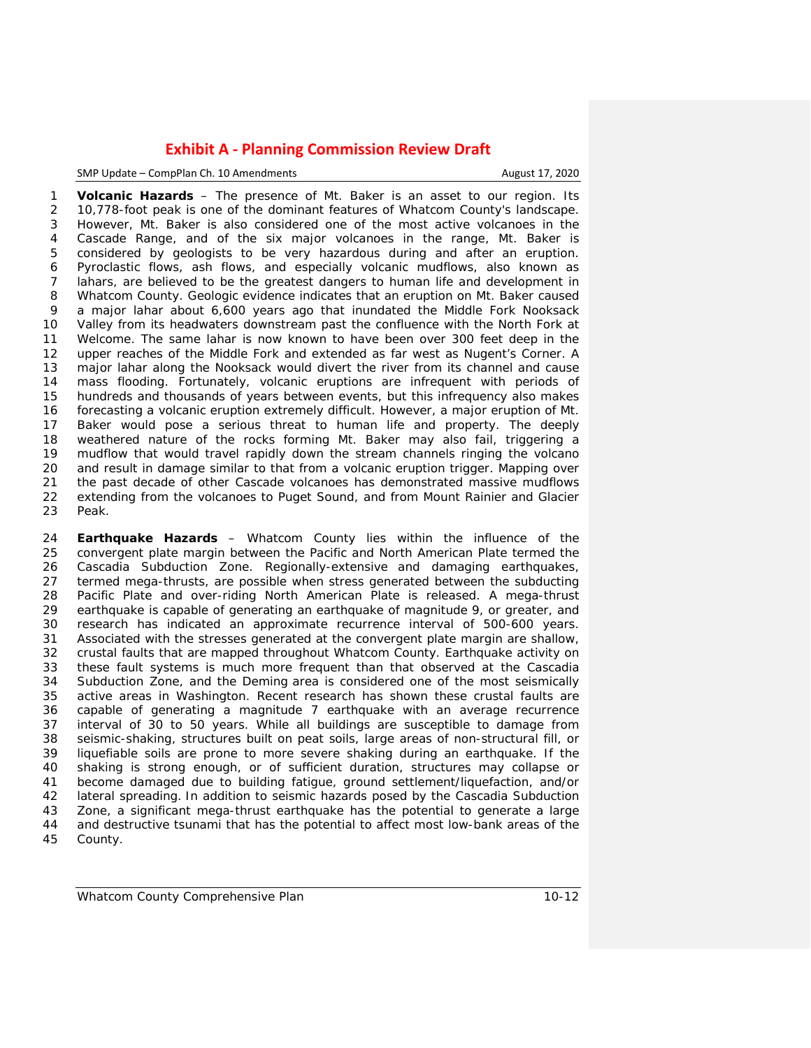SMP Update – CompPlan Ch. 10 Amendments **August 17, 2020** 

 **Volcanic Hazards** – The presence of Mt. Baker is an asset to our region. Its 10,778-foot peak is one of the dominant features of Whatcom County's landscape. However, Mt. Baker is also considered one of the most active volcanoes in the Cascade Range, and of the six major volcanoes in the range, Mt. Baker is considered by geologists to be very hazardous during and after an eruption. Pyroclastic flows, ash flows, and especially volcanic mudflows, also known as lahars, are believed to be the greatest dangers to human life and development in Whatcom County. Geologic evidence indicates that an eruption on Mt. Baker caused a major lahar about 6,600 years ago that inundated the Middle Fork Nooksack Valley from its headwaters downstream past the confluence with the North Fork at Welcome. The same lahar is now known to have been over 300 feet deep in the upper reaches of the Middle Fork and extended as far west as Nugent's Corner. A major lahar along the Nooksack would divert the river from its channel and cause mass flooding. Fortunately, volcanic eruptions are infrequent with periods of hundreds and thousands of years between events, but this infrequency also makes forecasting a volcanic eruption extremely difficult. However, a major eruption of Mt. Baker would pose a serious threat to human life and property. The deeply weathered nature of the rocks forming Mt. Baker may also fail, triggering a mudflow that would travel rapidly down the stream channels ringing the volcano and result in damage similar to that from a volcanic eruption trigger. Mapping over 21 the past decade of other Cascade volcanoes has demonstrated massive mudflows<br>22 extending from the volcanoes to Puget Sound, and from Mount Rainier and Glacier 22 extending from the volcanoes to Puget Sound, and from Mount Rainier and Glacier<br>23 Peak. Peak.

 **Earthquake Hazards** – Whatcom County lies within the influence of the convergent plate margin between the Pacific and North American Plate termed the 26 Cascadia Subduction Zone. Regionally-extensive and damaging earthquakes, 27 termed mega-thrusts, are possible when stress generated between the subducting termed mega-thrusts, are possible when stress generated between the subducting 28 Pacific Plate and over-riding North American Plate is released. A mega-thrust 29 earthauake is capable of generating an earthauake is capable of generating an earthauake is capable of generating an earthauake is capable earthquake is capable of generating an earthquake of magnitude 9, or greater, and research has indicated an approximate recurrence interval of 500-600 years. Associated with the stresses generated at the convergent plate margin are shallow, crustal faults that are mapped throughout Whatcom County. Earthquake activity on these fault systems is much more frequent than that observed at the Cascadia Subduction Zone, and the Deming area is considered one of the most seismically active areas in Washington. Recent research has shown these crustal faults are capable of generating a magnitude 7 earthquake with an average recurrence interval of 30 to 50 years. While all buildings are susceptible to damage from seismic-shaking, structures built on peat soils, large areas of non-structural fill, or liquefiable soils are prone to more severe shaking during an earthquake. If the shaking is strong enough, or of sufficient duration, structures may collapse or become damaged due to building fatigue, ground settlement/liquefaction, and/or lateral spreading. In addition to seismic hazards posed by the Cascadia Subduction Zone, a significant mega-thrust earthquake has the potential to generate a large and destructive tsunami that has the potential to affect most low-bank areas of the County.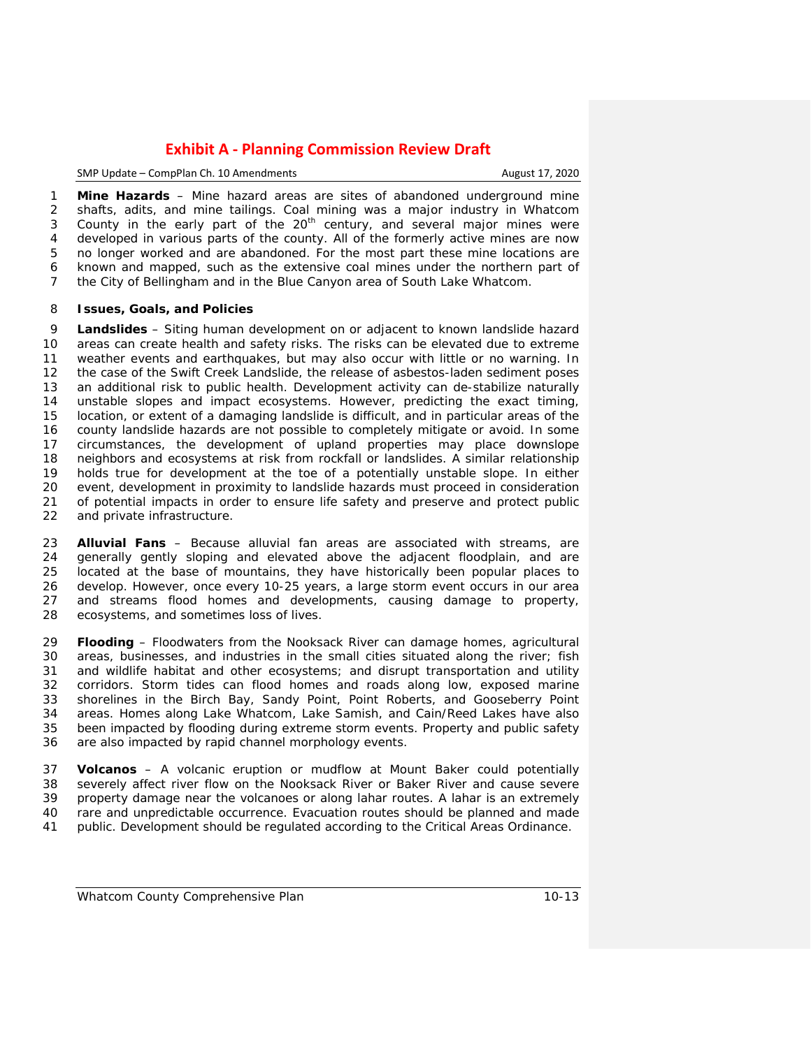SMP Update – CompPlan Ch. 10 Amendments **August 17, 2020** 

 **Mine Hazards** – Mine hazard areas are sites of abandoned underground mine shafts, adits, and mine tailings. Coal mining was a major industry in Whatcom 3 County in the early part of the  $20<sup>th</sup>$  century, and several major mines were developed in various parts of the county. All of the formerly active mines are now no longer worked and are abandoned. For the most part these mine locations are known and mapped, such as the extensive coal mines under the northern part of the City of Bellingham and in the Blue Canyon area of South Lake Whatcom.

#### **Issues, Goals, and Policies**

 **Landslides** – Siting human development on or adjacent to known landslide hazard areas can create health and safety risks. The risks can be elevated due to extreme weather events and earthquakes, but may also occur with little or no warning. In the case of the Swift Creek Landslide, the release of asbestos-laden sediment poses an additional risk to public health. Development activity can de-stabilize naturally unstable slopes and impact ecosystems. However, predicting the exact timing, location, or extent of a damaging landslide is difficult, and in particular areas of the county landslide hazards are not possible to completely mitigate or avoid. In some circumstances, the development of upland properties may place downslope 18 neighbors and ecosystems at risk from rockfall or landslides. A similar relationship<br>19 holds true for development at the toe of a potentially unstable slope. In either 19 holds true for development at the toe of a potentially unstable slope. In either 20 event, development in proximity to landslide hazards must proceed in consideration 20 event, development in proximity to landslide hazards must proceed in consideration<br>21 of potential impacts in order to ensure life safety and preserve and protect public 21 of potential impacts in order to ensure life safety and preserve and protect public<br>22 and private infrastructure. and private infrastructure.

 **Alluvial Fans** – Because alluvial fan areas are associated with streams, are generally gently sloping and elevated above the adjacent floodplain, and are located at the base of mountains, they have historically been popular places to develop. However, once every 10-25 years, a large storm event occurs in our area and streams flood homes and developments, causing damage to property, ecosystems, and sometimes loss of lives.

 **Flooding** – Floodwaters from the Nooksack River can damage homes, agricultural areas, businesses, and industries in the small cities situated along the river; fish and wildlife habitat and other ecosystems; and disrupt transportation and utility corridors. Storm tides can flood homes and roads along low, exposed marine shorelines in the Birch Bay, Sandy Point, Point Roberts, and Gooseberry Point areas. Homes along Lake Whatcom, Lake Samish, and Cain/Reed Lakes have also been impacted by flooding during extreme storm events. Property and public safety are also impacted by rapid channel morphology events.

 **Volcanos** – A volcanic eruption or mudflow at Mount Baker could potentially severely affect river flow on the Nooksack River or Baker River and cause severe property damage near the volcanoes or along lahar routes. A lahar is an extremely rare and unpredictable occurrence. Evacuation routes should be planned and made public. Development should be regulated according to the Critical Areas Ordinance.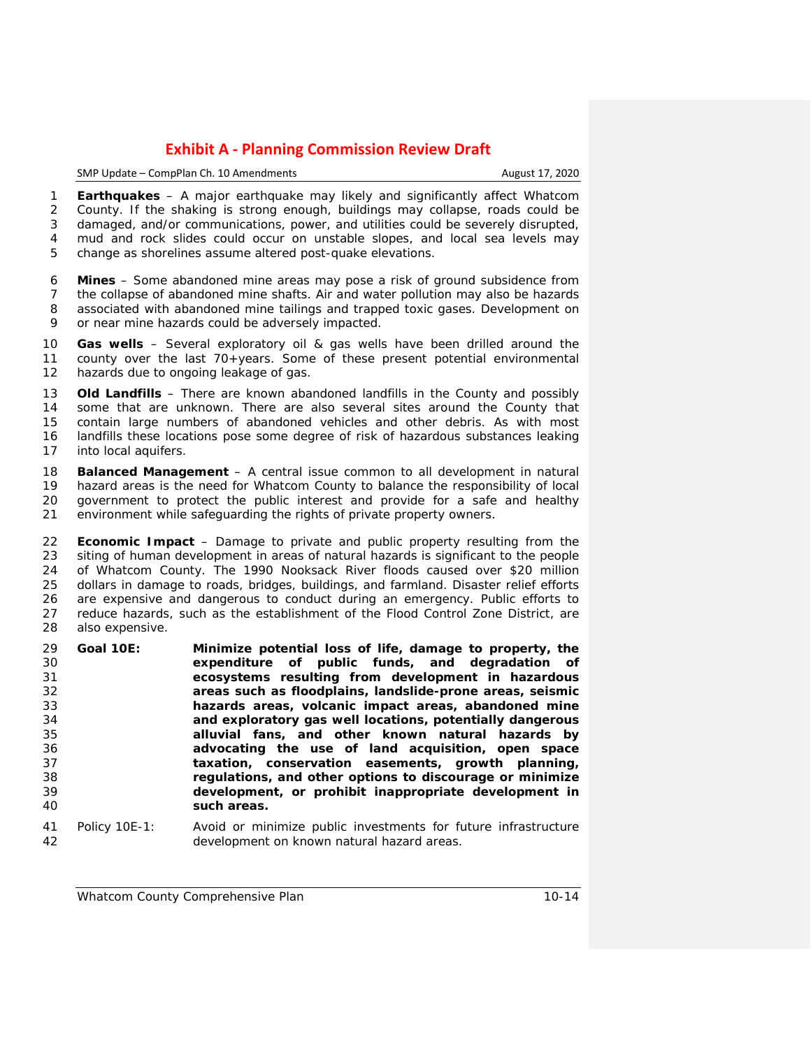SMP Update – CompPlan Ch. 10 Amendments August 17, 2020

 **Earthquakes** – A major earthquake may likely and significantly affect Whatcom County. If the shaking is strong enough, buildings may collapse, roads could be damaged, and/or communications, power, and utilities could be severely disrupted, mud and rock slides could occur on unstable slopes, and local sea levels may change as shorelines assume altered post-quake elevations.

 **Mines** – Some abandoned mine areas may pose a risk of ground subsidence from the collapse of abandoned mine shafts. Air and water pollution may also be hazards associated with abandoned mine tailings and trapped toxic gases. Development on or near mine hazards could be adversely impacted.

 **Gas wells** – Several exploratory oil & gas wells have been drilled around the county over the last 70+years. Some of these present potential environmental hazards due to ongoing leakage of gas.

 **Old Landfills** – There are known abandoned landfills in the County and possibly some that are unknown. There are also several sites around the County that contain large numbers of abandoned vehicles and other debris. As with most landfills these locations pose some degree of risk of hazardous substances leaking into local aquifers.

 **Balanced Management** – A central issue common to all development in natural hazard areas is the need for Whatcom County to balance the responsibility of local government to protect the public interest and provide for a safe and healthy environment while safeguarding the rights of private property owners.

 **Economic Impact** – Damage to private and public property resulting from the siting of human development in areas of natural hazards is significant to the people of Whatcom County. The 1990 Nooksack River floods caused over \$20 million dollars in damage to roads, bridges, buildings, and farmland. Disaster relief efforts are expensive and dangerous to conduct during an emergency. Public efforts to reduce hazards, such as the establishment of the Flood Control Zone District, are also expensive.

- **Goal 10E: Minimize potential loss of life, damage to property, the expenditure of public funds, and degradation of ecosystems resulting from development in hazardous areas such as floodplains, landslide-prone areas, seismic hazards areas, volcanic impact areas, abandoned mine and exploratory gas well locations, potentially dangerous alluvial fans, and other known natural hazards by advocating the use of land acquisition, open space**  taxation, conservation easements, growth planning, **regulations, and other options to discourage or minimize development, or prohibit inappropriate development in such areas.**
- Policy 10E-1: Avoid or minimize public investments for future infrastructure development on known natural hazard areas.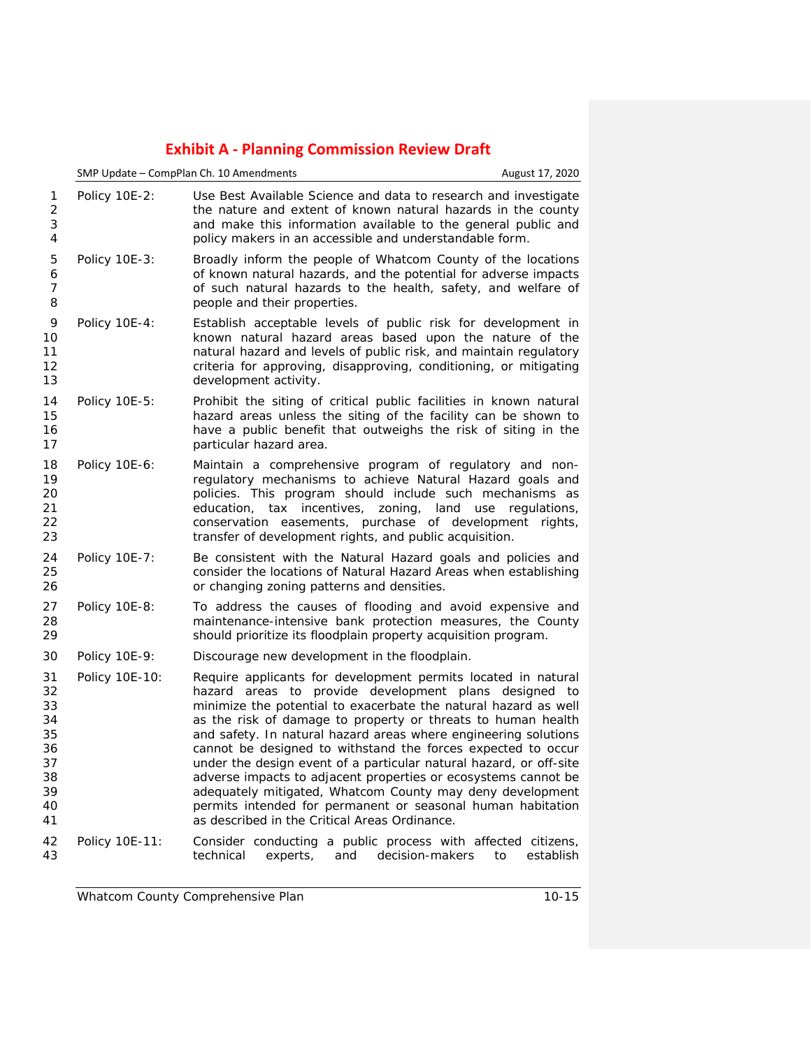|                                                                | SMP Update - CompPlan Ch. 10 Amendments |                                                                                                                                                                                                                                                                                                                                                                                                                                                                                                                                                                                                                                                                                                                   | August 17, 2020 |
|----------------------------------------------------------------|-----------------------------------------|-------------------------------------------------------------------------------------------------------------------------------------------------------------------------------------------------------------------------------------------------------------------------------------------------------------------------------------------------------------------------------------------------------------------------------------------------------------------------------------------------------------------------------------------------------------------------------------------------------------------------------------------------------------------------------------------------------------------|-----------------|
| 1<br>$\overline{2}$<br>3<br>4                                  | Policy 10E-2:                           | Use Best Available Science and data to research and investigate<br>the nature and extent of known natural hazards in the county<br>and make this information available to the general public and<br>policy makers in an accessible and understandable form.                                                                                                                                                                                                                                                                                                                                                                                                                                                       |                 |
| 5<br>6<br>$\overline{7}$<br>8                                  | Policy 10E-3:                           | Broadly inform the people of Whatcom County of the locations<br>of known natural hazards, and the potential for adverse impacts<br>of such natural hazards to the health, safety, and welfare of<br>people and their properties.                                                                                                                                                                                                                                                                                                                                                                                                                                                                                  |                 |
| 9<br>10<br>11<br>12<br>13                                      | Policy 10E-4:                           | Establish acceptable levels of public risk for development in<br>known natural hazard areas based upon the nature of the<br>natural hazard and levels of public risk, and maintain regulatory<br>criteria for approving, disapproving, conditioning, or mitigating<br>development activity.                                                                                                                                                                                                                                                                                                                                                                                                                       |                 |
| 14<br>15<br>16<br>17                                           | Policy 10E-5:                           | Prohibit the siting of critical public facilities in known natural<br>hazard areas unless the siting of the facility can be shown to<br>have a public benefit that outweighs the risk of siting in the<br>particular hazard area.                                                                                                                                                                                                                                                                                                                                                                                                                                                                                 |                 |
| 18<br>19<br>20<br>21<br>22<br>23                               | Policy 10E-6:                           | Maintain a comprehensive program of regulatory and non-<br>regulatory mechanisms to achieve Natural Hazard goals and<br>policies. This program should include such mechanisms as<br>education, tax incentives, zoning, land use regulations,<br>conservation easements, purchase of development rights,<br>transfer of development rights, and public acquisition.                                                                                                                                                                                                                                                                                                                                                |                 |
| 24<br>25<br>26                                                 | Policy 10E-7:                           | Be consistent with the Natural Hazard goals and policies and<br>consider the locations of Natural Hazard Areas when establishing<br>or changing zoning patterns and densities.                                                                                                                                                                                                                                                                                                                                                                                                                                                                                                                                    |                 |
| 27<br>28<br>29                                                 | Policy 10E-8:                           | To address the causes of flooding and avoid expensive and<br>maintenance-intensive bank protection measures, the County<br>should prioritize its floodplain property acquisition program.                                                                                                                                                                                                                                                                                                                                                                                                                                                                                                                         |                 |
| 30                                                             | Policy 10E-9:                           | Discourage new development in the floodplain.                                                                                                                                                                                                                                                                                                                                                                                                                                                                                                                                                                                                                                                                     |                 |
| 31<br>32<br>33<br>34<br>35<br>36<br>37<br>38<br>39<br>40<br>41 | Policy 10E-10:                          | Require applicants for development permits located in natural<br>hazard areas to provide development plans designed to<br>minimize the potential to exacerbate the natural hazard as well<br>as the risk of damage to property or threats to human health<br>and safety. In natural hazard areas where engineering solutions<br>cannot be designed to withstand the forces expected to occur<br>under the design event of a particular natural hazard, or off-site<br>adverse impacts to adjacent properties or ecosystems cannot be<br>adequately mitigated, Whatcom County may deny development<br>permits intended for permanent or seasonal human habitation<br>as described in the Critical Areas Ordinance. |                 |
| 42<br>43                                                       | Policy 10E-11:                          | Consider conducting a public process with affected citizens,<br>technical<br>decision-makers<br>experts,<br>and                                                                                                                                                                                                                                                                                                                                                                                                                                                                                                                                                                                                   | establish<br>to |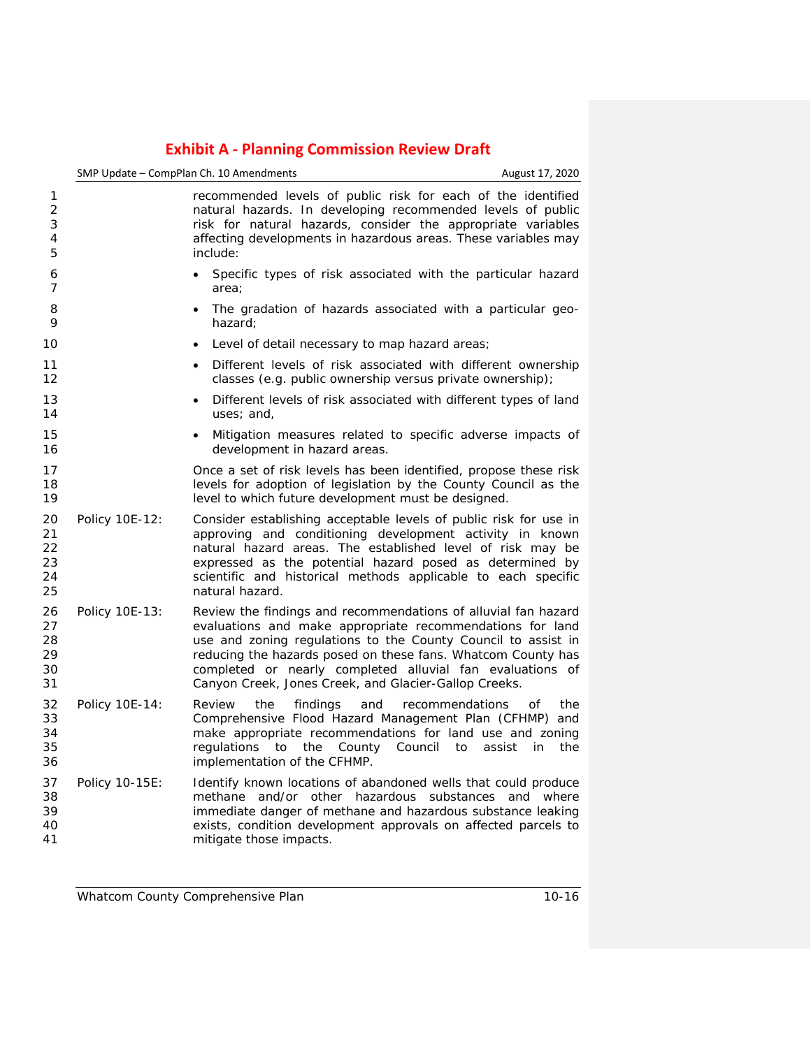|                                  |                | SMP Update - CompPlan Ch. 10 Amendments                                                                                                                                                                                                                                                                                                                                            | August 17, 2020                  |
|----------------------------------|----------------|------------------------------------------------------------------------------------------------------------------------------------------------------------------------------------------------------------------------------------------------------------------------------------------------------------------------------------------------------------------------------------|----------------------------------|
| 1<br>2<br>3<br>4<br>5            |                | recommended levels of public risk for each of the identified<br>natural hazards. In developing recommended levels of public<br>risk for natural hazards, consider the appropriate variables<br>affecting developments in hazardous areas. These variables may<br>include:                                                                                                          |                                  |
| 6<br>7                           |                | Specific types of risk associated with the particular hazard<br>$\bullet$<br>area:                                                                                                                                                                                                                                                                                                 |                                  |
| 8<br>9                           |                | The gradation of hazards associated with a particular geo-<br>$\bullet$<br>hazard;                                                                                                                                                                                                                                                                                                 |                                  |
| 10                               |                | Level of detail necessary to map hazard areas;<br>$\bullet$                                                                                                                                                                                                                                                                                                                        |                                  |
| 11<br>12                         |                | Different levels of risk associated with different ownership<br>$\bullet$<br>classes (e.g. public ownership versus private ownership);                                                                                                                                                                                                                                             |                                  |
| 13<br>14                         |                | Different levels of risk associated with different types of land<br>uses; and,                                                                                                                                                                                                                                                                                                     |                                  |
| 15<br>16                         |                | Mitigation measures related to specific adverse impacts of<br>development in hazard areas.                                                                                                                                                                                                                                                                                         |                                  |
| 17<br>18<br>19                   |                | Once a set of risk levels has been identified, propose these risk<br>levels for adoption of legislation by the County Council as the<br>level to which future development must be designed.                                                                                                                                                                                        |                                  |
| 20<br>21<br>22<br>23<br>24<br>25 | Policy 10E-12: | Consider establishing acceptable levels of public risk for use in<br>approving and conditioning development activity in known<br>natural hazard areas. The established level of risk may be<br>expressed as the potential hazard posed as determined by<br>scientific and historical methods applicable to each specific<br>natural hazard.                                        |                                  |
| 26<br>27<br>28<br>29<br>30<br>31 | Policy 10E-13: | Review the findings and recommendations of alluvial fan hazard<br>evaluations and make appropriate recommendations for land<br>use and zoning regulations to the County Council to assist in<br>reducing the hazards posed on these fans. Whatcom County has<br>completed or nearly completed alluvial fan evaluations of<br>Canyon Creek, Jones Creek, and Glacier-Gallop Creeks. |                                  |
| 32<br>33<br>34<br>35<br>36       | Policy 10E-14: | Review<br>the<br>findings<br>and<br>recommendations<br>Comprehensive Flood Hazard Management Plan (CFHMP) and<br>make appropriate recommendations for land use and zoning<br>regulations<br>to<br>the<br>County<br>Council<br>to<br>implementation of the CFHMP.                                                                                                                   | Οf<br>the<br>assist<br>in<br>the |
| 37<br>38<br>39<br>40<br>41       | Policy 10-15E: | Identify known locations of abandoned wells that could produce<br>methane and/or other hazardous substances and where<br>immediate danger of methane and hazardous substance leaking<br>exists, condition development approvals on affected parcels to<br>mitigate those impacts.                                                                                                  |                                  |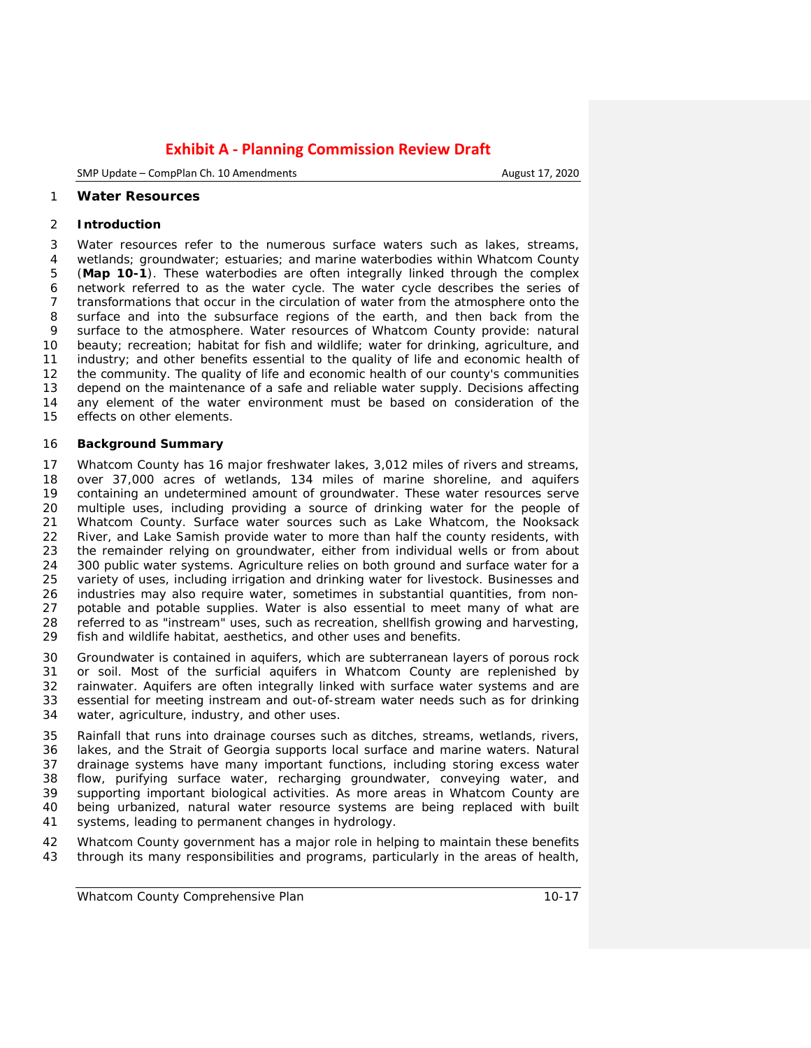SMP Update – CompPlan Ch. 10 Amendments **August 17, 2020** 

#### **Water Resources**

#### **Introduction**

 Water resources refer to the numerous surface waters such as lakes, streams, wetlands; groundwater; estuaries; and marine waterbodies within Whatcom County (**Map 10-1**). These waterbodies are often integrally linked through the complex network referred to as the water cycle. The water cycle describes the series of transformations that occur in the circulation of water from the atmosphere onto the surface and into the subsurface regions of the earth, and then back from the surface to the atmosphere. Water resources of Whatcom County provide: natural beauty; recreation; habitat for fish and wildlife; water for drinking, agriculture, and industry; and other benefits essential to the quality of life and economic health of the community. The quality of life and economic health of our county's communities depend on the maintenance of a safe and reliable water supply. Decisions affecting any element of the water environment must be based on consideration of the effects on other elements.

#### **Background Summary**

 Whatcom County has 16 major freshwater lakes, 3,012 miles of rivers and streams, over 37,000 acres of wetlands, 134 miles of marine shoreline, and aquifers containing an undetermined amount of groundwater. These water resources serve multiple uses, including providing a source of drinking water for the people of Whatcom County. Surface water sources such as Lake Whatcom, the Nooksack 22 River, and Lake Samish provide water to more than half the county residents, with 23 the remainder relying on groundwater, either from individual wells or from about the remainder relying on groundwater, either from individual wells or from about 24 300 public water systems. Agriculture relies on both ground and surface water for a<br>25 variety of uses, including irrigation and drinking water for livestock. Businesses and variety of uses, including irrigation and drinking water for livestock. Businesses and industries may also require water, sometimes in substantial quantities, from non- potable and potable supplies. Water is also essential to meet many of what are referred to as "instream" uses, such as recreation, shellfish growing and harvesting, fish and wildlife habitat, aesthetics, and other uses and benefits.

 Groundwater is contained in aquifers, which are subterranean layers of porous rock 31 or soil. Most of the surficial aquifers in Whatcom County are replenished by<br>32 rainwater. Aquifers are often integrally linked with surface water systems and are 32 rainwater. Aquifers are often integrally linked with surface water systems and are<br>33 essential for meeting instream and out-of-stream water needs such as for drinking essential for meeting instream and out-of-stream water needs such as for drinking water, agriculture, industry, and other uses.

 Rainfall that runs into drainage courses such as ditches, streams, wetlands, rivers, lakes, and the Strait of Georgia supports local surface and marine waters. Natural drainage systems have many important functions, including storing excess water flow, purifying surface water, recharging groundwater, conveying water, and 39 supporting important biological activities. As more areas in Whatcom County are<br>40 being urbanized, natural water resource systems are being replaced with built being urbanized, natural water resource systems are being replaced with built systems, leading to permanent changes in hydrology.

 Whatcom County government has a major role in helping to maintain these benefits through its many responsibilities and programs, particularly in the areas of health,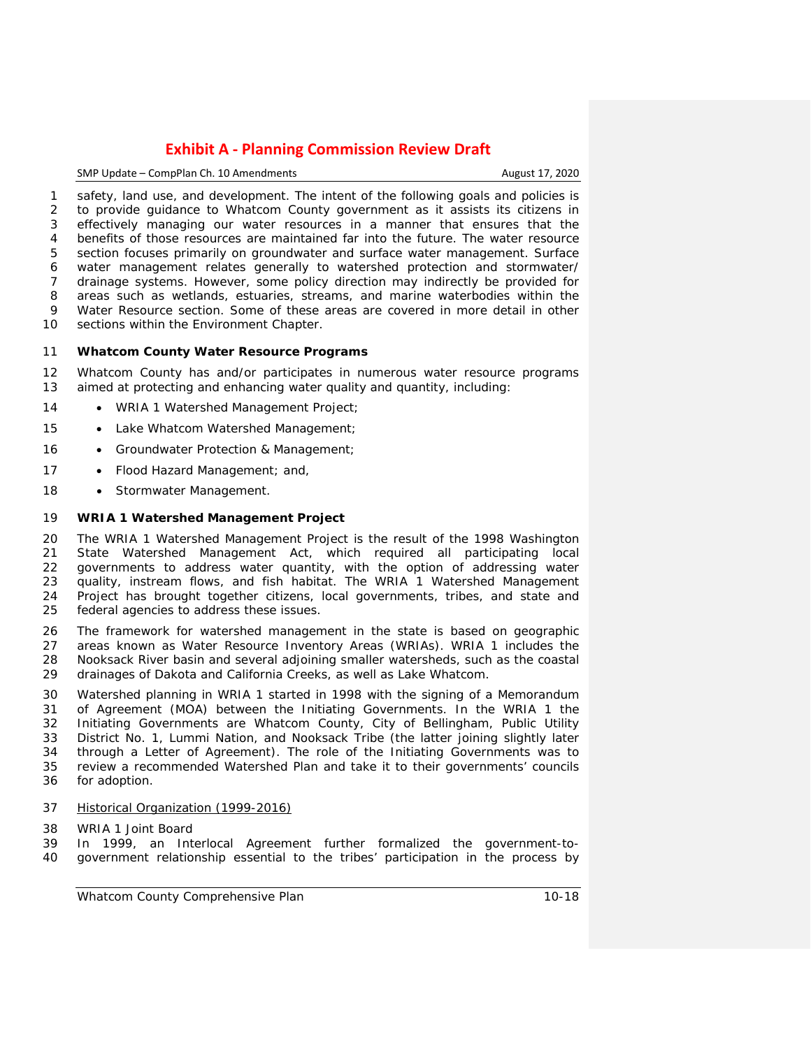### SMP Update – CompPlan Ch. 10 Amendments **August 17, 2020**

 safety, land use, and development. The intent of the following goals and policies is to provide guidance to Whatcom County government as it assists its citizens in effectively managing our water resources in a manner that ensures that the benefits of those resources are maintained far into the future. The water resource section focuses primarily on groundwater and surface water management. Surface water management relates generally to watershed protection and stormwater/ drainage systems. However, some policy direction may indirectly be provided for areas such as wetlands, estuaries, streams, and marine waterbodies within the Water Resource section. Some of these areas are covered in more detail in other sections within the Environment Chapter.

#### **Whatcom County Water Resource Programs**

 Whatcom County has and/or participates in numerous water resource programs aimed at protecting and enhancing water quality and quantity, including:

- 14 WRIA 1 Watershed Management Project;
- 15 Lake Whatcom Watershed Management;
- 16 Groundwater Protection & Management;
- 17 Flood Hazard Management; and,
- 18 Stormwater Management.

## **WRIA 1 Watershed Management Project**

 The WRIA 1 Watershed Management Project is the result of the 1998 Washington 21 State Watershed Management Act, which required all participating local<br>22 governments to address water quantity, with the option of addressing water governments to address water quantity, with the option of addressing water quality, instream flows, and fish habitat. The WRIA 1 Watershed Management 24 Project has brought together citizens, local governments, tribes, and state and 25 federal agencies to address these issues. federal agencies to address these issues.

 The framework for watershed management in the state is based on geographic areas known as Water Resource Inventory Areas (WRIAs). WRIA 1 includes the Nooksack River basin and several adjoining smaller watersheds, such as the coastal drainages of Dakota and California Creeks, as well as Lake Whatcom.

 Watershed planning in WRIA 1 started in 1998 with the signing of a Memorandum of Agreement (MOA) between the *Initiating Governments*. In the WRIA 1 the Initiating Governments are Whatcom County, City of Bellingham, Public Utility District No. 1, Lummi Nation, and Nooksack Tribe (the latter joining slightly later through a Letter of Agreement). The role of the Initiating Governments was to review a recommended Watershed Plan and take it to their governments' councils for adoption.

- *Historical Organization (1999-2016)*
- *WRIA 1 Joint Board*
- In 1999, an Interlocal Agreement further formalized the government-to-government relationship essential to the tribes' participation in the process by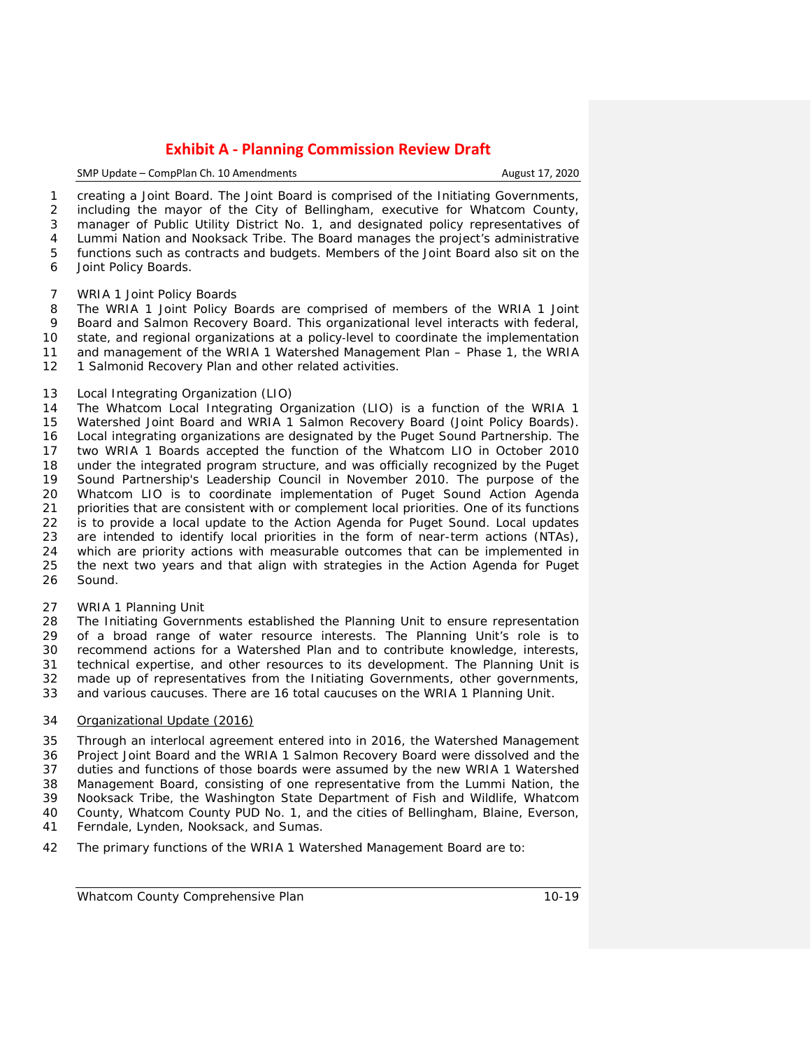#### SMP Update – CompPlan Ch. 10 Amendments August 17, 2020

 creating a *Joint Board*. The Joint Board is comprised of the Initiating Governments, including the mayor of the City of Bellingham, executive for Whatcom County, manager of Public Utility District No. 1, and designated policy representatives of Lummi Nation and Nooksack Tribe. The Board manages the project's administrative functions such as contracts and budgets. Members of the Joint Board also sit on the Joint Policy Boards.

#### *WRIA 1 Joint Policy Boards*

 The WRIA 1 Joint Policy Boards are comprised of members of the WRIA 1 Joint Board and Salmon Recovery Board. This organizational level interacts with federal, 10 state, and regional organizations at a policy-level to coordinate the implementation<br>11 and management of the WRIA 1 Watershed Management Plan – Phase 1, the WRIA and management of the WRIA 1 Watershed Management Plan – Phase 1, the WRIA 12 1 Salmonid Recovery Plan and other related activities.

## *Local Integrating Organization (LIO)*

 The Whatcom Local Integrating Organization (LIO) is a function of the WRIA 1 Watershed Joint Board and WRIA 1 Salmon Recovery Board (Joint Policy Boards). Local integrating organizations are designated by the Puget Sound Partnership. The two WRIA 1 Boards accepted the function of the Whatcom LIO in October 2010 under the integrated program structure, and was officially recognized by the Puget Sound Partnership's Leadership Council in November 2010. The purpose of the Whatcom LIO is to coordinate implementation of Puget Sound Action Agenda 21 priorities that are consistent with or complement local priorities. One of its functions 22 is to provide a local update to the Action Agenda for Puget Sound. Local updates is to provide a local update to the Action Agenda for Puget Sound. Local updates are intended to identify local priorities in the form of near-term actions (NTAs), which are priority actions with measurable outcomes that can be implemented in the next two years and that align with strategies in the Action Agenda for Puget Sound.

## *WRIA 1 Planning Unit*

 The Initiating Governments established the Planning Unit to ensure representation of a broad range of water resource interests. The Planning Unit's role is to recommend actions for a Watershed Plan and to contribute knowledge, interests, technical expertise, and other resources to its development. The Planning Unit is made up of representatives from the Initiating Governments, other governments, and various caucuses. There are 16 total caucuses on the WRIA 1 Planning Unit.

## *Organizational Update (2016)*

 Through an interlocal agreement entered into in 2016, the Watershed Management Project Joint Board and the WRIA 1 Salmon Recovery Board were dissolved and the duties and functions of those boards were assumed by the new WRIA 1 Watershed Management Board, consisting of one representative from the Lummi Nation, the Nooksack Tribe, the Washington State Department of Fish and Wildlife, Whatcom County, Whatcom County PUD No. 1, and the cities of Bellingham, Blaine, Everson, Ferndale, Lynden, Nooksack, and Sumas.

The primary functions of the WRIA 1 Watershed Management Board are to: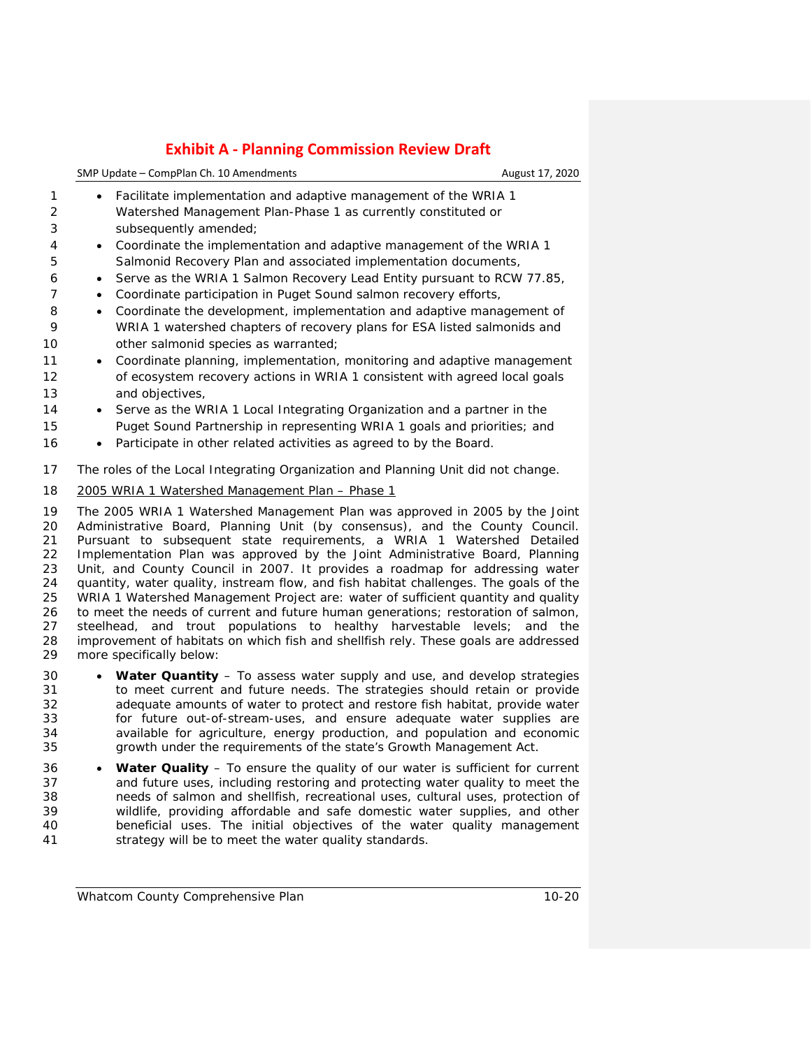|   | SMP Update – CompPlan Ch. 10 Amendments                           | August 17, 2020 |
|---|-------------------------------------------------------------------|-----------------|
|   | • Facilitate implementation and adaptive management of the WRIA 1 |                 |
| 2 | Watershed Management Plan-Phase 1 as currently constituted or     |                 |

- subsequently amended;
- Coordinate the implementation and adaptive management of the WRIA 1 Salmonid Recovery Plan and associated implementation documents,
- Serve as the WRIA 1 Salmon Recovery Lead Entity pursuant to RCW 77.85,
- Coordinate participation in Puget Sound salmon recovery efforts,
- Coordinate the development, implementation and adaptive management of WRIA 1 watershed chapters of recovery plans for ESA listed salmonids and 10 other salmonid species as warranted;
- Coordinate planning, implementation, monitoring and adaptive management of ecosystem recovery actions in WRIA 1 consistent with agreed local goals and objectives,
- Serve as the WRIA 1 Local Integrating Organization and a partner in the Puget Sound Partnership in representing WRIA 1 goals and priorities; and
- 16 Participate in other related activities as agreed to by the Board.
- The roles of the Local Integrating Organization and Planning Unit did not change.
- *2005 WRIA 1 Watershed Management Plan – Phase 1*

 The 2005 WRIA 1 [Watershed Management Plan](http://wria1project.whatcomcounty.org/64.aspx#wmp) was approved in 2005 by the Joint Administrative Board, Planning Unit (by consensus), and the County Council. Pursuant to subsequent state requirements, a WRIA 1 Watershed Detailed Implementation Plan was approved by the Joint Administrative Board, Planning Unit, and County Council in 2007. It provides a roadmap for addressing water quantity, water quality, instream flow, and fish habitat challenges. The goals of the WRIA 1 Watershed Management Project are: water of sufficient quantity and quality to meet the needs of current and future human generations; restoration of salmon, 27 steelhead, and trout populations to healthy harvestable levels; and the 28 improvement of habitats on which fish and shellfish rely. These goals are addressed 28 improvement of habitats on which fish and shellfish rely. These goals are addressed 29 more specifically below: more specifically below:

- **Water Quantity** To assess water supply and use, and develop strategies to meet current and future needs. The strategies should retain or provide adequate amounts of water to protect and restore fish habitat, provide water for future out-of-stream-uses, and ensure adequate water supplies are available for agriculture, energy production, and population and economic growth under the requirements of the state's Growth Management Act.
- **Water Quality** To ensure the quality of our water is sufficient for current and future uses, including restoring and protecting water quality to meet the needs of salmon and shellfish, recreational uses, cultural uses, protection of wildlife, providing affordable and safe domestic water supplies, and other beneficial uses. The initial objectives of the water quality management strategy will be to meet the water quality standards.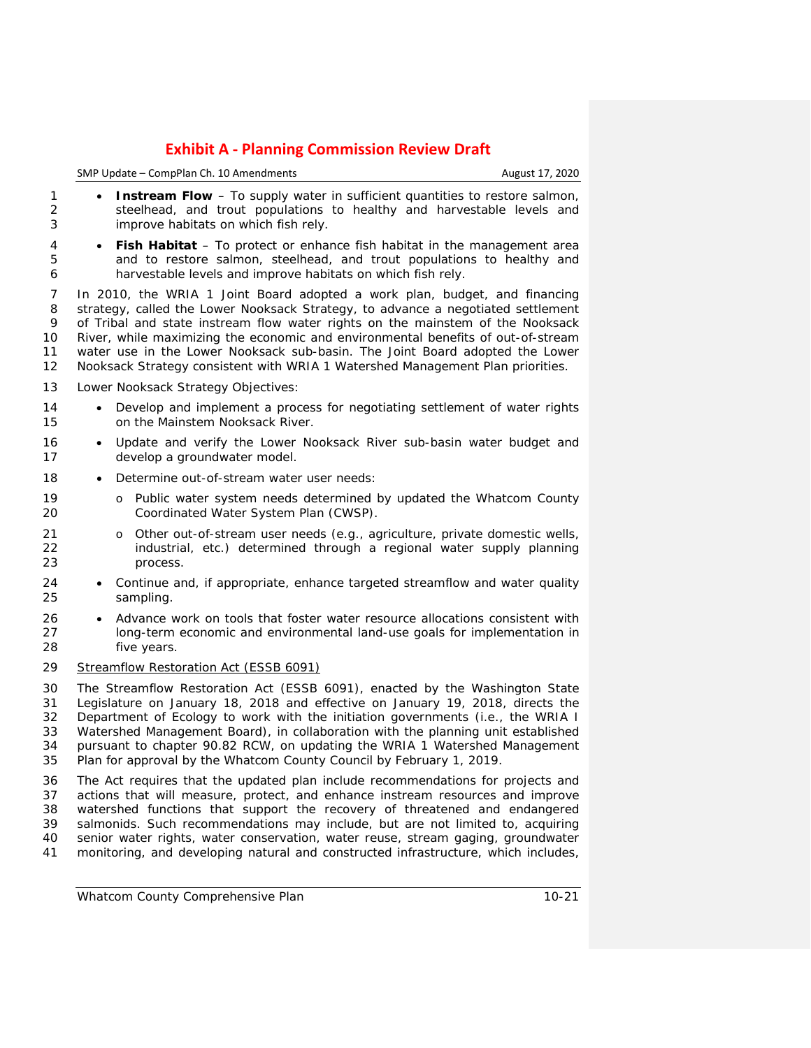# **Exhibit A - Planning Commission Review Draft** SMP Update – CompPlan Ch. 10 Amendments **August 17, 2020** August 17, 2020

| 1<br>2<br>3                      | Instream Flow - To supply water in sufficient quantities to restore salmon,<br>$\bullet$<br>steelhead, and trout populations to healthy and harvestable levels and<br>improve habitats on which fish rely.                                                                                                                                                                                                                                                                                             |
|----------------------------------|--------------------------------------------------------------------------------------------------------------------------------------------------------------------------------------------------------------------------------------------------------------------------------------------------------------------------------------------------------------------------------------------------------------------------------------------------------------------------------------------------------|
| 4<br>5<br>6                      | <b>Fish Habitat</b> – To protect or enhance fish habitat in the management area<br>and to restore salmon, steelhead, and trout populations to healthy and<br>harvestable levels and improve habitats on which fish rely.                                                                                                                                                                                                                                                                               |
| 7<br>8<br>9<br>10<br>11<br>12    | In 2010, the WRIA 1 Joint Board adopted a work plan, budget, and financing<br>strategy, called the Lower Nooksack Strategy, to advance a negotiated settlement<br>of Tribal and state instream flow water rights on the mainstem of the Nooksack<br>River, while maximizing the economic and environmental benefits of out-of-stream<br>water use in the Lower Nooksack sub-basin. The Joint Board adopted the Lower<br>Nooksack Strategy consistent with WRIA 1 Watershed Management Plan priorities. |
| 13                               | Lower Nooksack Strategy Objectives:                                                                                                                                                                                                                                                                                                                                                                                                                                                                    |
| 14<br>15                         | Develop and implement a process for negotiating settlement of water rights<br>on the Mainstem Nooksack River.                                                                                                                                                                                                                                                                                                                                                                                          |
| 16<br>17                         | Update and verify the Lower Nooksack River sub-basin water budget and<br>$\bullet$<br>develop a groundwater model.                                                                                                                                                                                                                                                                                                                                                                                     |
| 18                               | Determine out-of-stream water user needs:                                                                                                                                                                                                                                                                                                                                                                                                                                                              |
| 19<br>20                         | Public water system needs determined by updated the Whatcom County<br>$\circ$<br>Coordinated Water System Plan (CWSP).                                                                                                                                                                                                                                                                                                                                                                                 |
| 21<br>22<br>23                   | Other out-of-stream user needs (e.g., agriculture, private domestic wells,<br>$\circ$<br>industrial, etc.) determined through a regional water supply planning<br>process.                                                                                                                                                                                                                                                                                                                             |
| 24<br>25                         | Continue and, if appropriate, enhance targeted streamflow and water quality<br>$\bullet$<br>sampling.                                                                                                                                                                                                                                                                                                                                                                                                  |
| 26<br>27<br>28                   | Advance work on tools that foster water resource allocations consistent with<br>long-term economic and environmental land-use goals for implementation in<br>five years.                                                                                                                                                                                                                                                                                                                               |
| 29                               | <b>Streamflow Restoration Act (ESSB 6091)</b>                                                                                                                                                                                                                                                                                                                                                                                                                                                          |
| 30<br>31<br>32<br>33<br>34<br>35 | The Streamflow Restoration Act (ESSB 6091), enacted by the Washington State<br>Legislature on January 18, 2018 and effective on January 19, 2018, directs the<br>Department of Ecology to work with the initiation governments (i.e., the WRIA I<br>Watershed Management Board), in collaboration with the planning unit established<br>pursuant to chapter 90.82 RCW, on updating the WRIA 1 Watershed Management<br>Plan for approval by the Whatcom County Council by February 1, 2019.             |

 The Act requires that the updated plan include recommendations for projects and actions that will measure, protect, and enhance instream resources and improve watershed functions that support the recovery of threatened and endangered salmonids. Such recommendations may include, but are not limited to, acquiring senior water rights, water conservation, water reuse, stream gaging, groundwater monitoring, and developing natural and constructed infrastructure, which includes,

Plan for approval by the Whatcom County Council by February 1, 2019.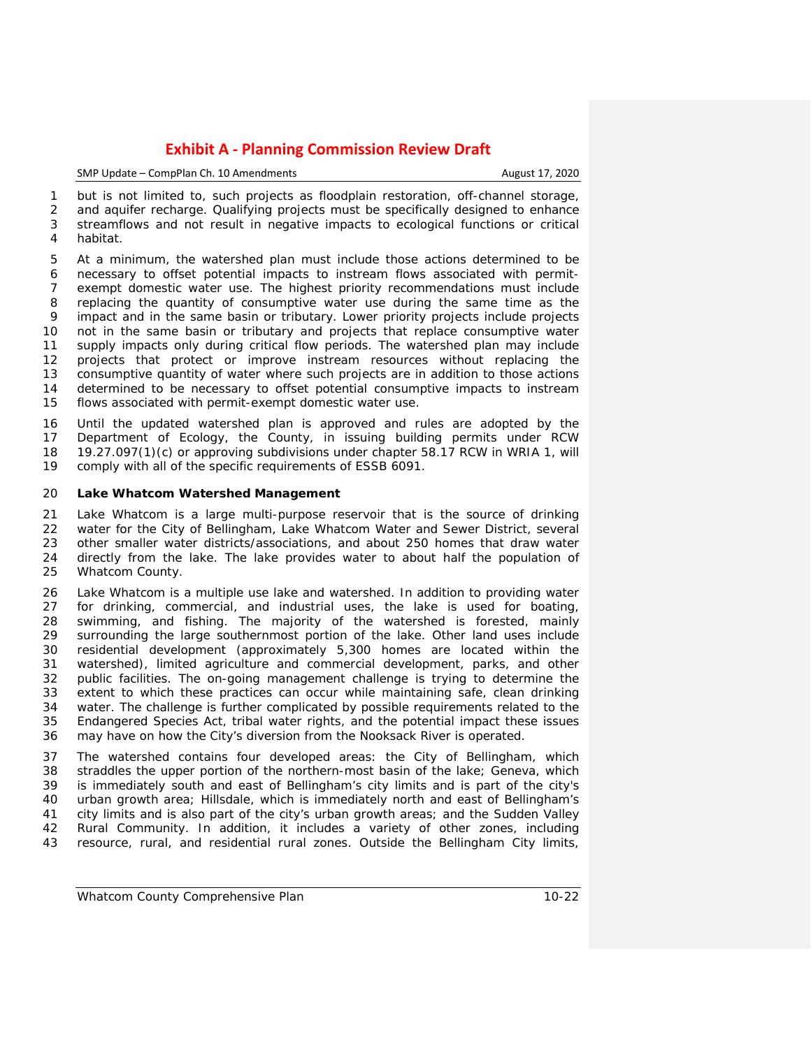SMP Update – CompPlan Ch. 10 Amendments **August 17, 2020** 

 but is not limited to, such projects as floodplain restoration, off-channel storage, and aquifer recharge. Qualifying projects must be specifically designed to enhance streamflows and not result in negative impacts to ecological functions or critical habitat.

 At a minimum, the watershed plan must include those actions determined to be necessary to offset potential impacts to instream flows associated with permit- exempt domestic water use. The highest priority recommendations must include replacing the quantity of consumptive water use during the same time as the impact and in the same basin or tributary. Lower priority projects include projects not in the same basin or tributary and projects that replace consumptive water supply impacts only during critical flow periods. The watershed plan may include projects that protect or improve instream resources without replacing the consumptive quantity of water where such projects are in addition to those actions determined to be necessary to offset potential consumptive impacts to instream flows associated with permit-exempt domestic water use.

 Until the updated watershed plan is approved and rules are adopted by the Department of Ecology, the County, in issuing building permits under RCW 18 19.27.097(1)(c) or approving subdivisions under chapter 58.17 RCW in WRIA 1, will comply with all of the specific requirements of ESSB 6091. comply with all of the specific requirements of ESSB 6091.

### **Lake Whatcom Watershed Management**

 Lake Whatcom is a large multi-purpose reservoir that is the source of drinking water for the City of Bellingham, Lake Whatcom Water and Sewer District, several other smaller water districts/associations, and about 250 homes that draw water directly from the lake. The lake provides water to about half the population of Whatcom County.

 Lake Whatcom is a multiple use lake and watershed. In addition to providing water 27 for drinking, commercial, and industrial uses, the lake is used for boating,<br>28 swimming, and fishing. The maiority of the watershed is forested, mainly swimming, and fishing. The majority of the watershed is forested, mainly surrounding the large southernmost portion of the lake. Other land uses include residential development (approximately 5,300 homes are located within the watershed), limited agriculture and commercial development, parks, and other public facilities. The on-going management challenge is trying to determine the extent to which these practices can occur while maintaining safe, clean drinking 34 water. The challenge is further complicated by possible requirements related to the<br>35 Endangered Species Act, tribal water rights, and the potential impact these issues Endangered Species Act, tribal water rights, and the potential impact these issues may have on how the City's diversion from the Nooksack River is operated.

 The watershed contains four developed areas: the City of Bellingham, which straddles the upper portion of the northern-most basin of the lake; Geneva, which is immediately south and east of Bellingham's city limits and is part of the city's urban growth area; Hillsdale, which is immediately north and east of Bellingham's city limits and is also part of the city's urban growth areas; and the Sudden Valley Rural Community. In addition, it includes a variety of other zones, including resource, rural, and residential rural zones. Outside the Bellingham City limits,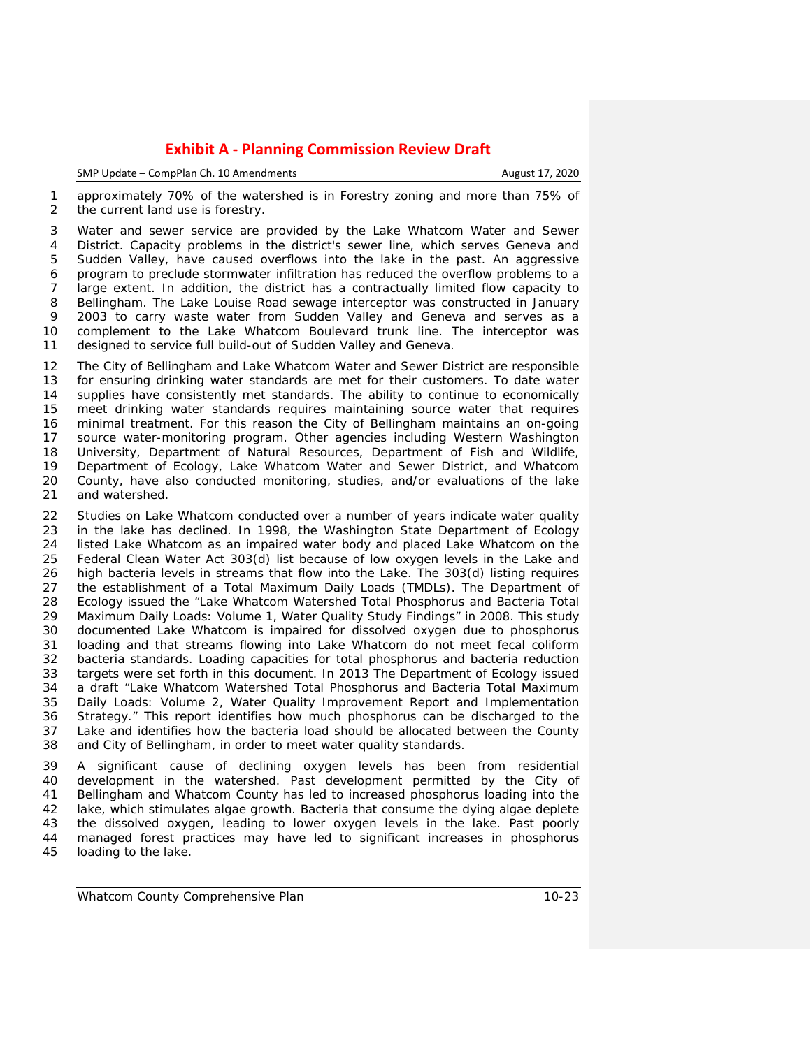| SMP Update – CompPlan Ch. 10 Amendments | August 17, 2020 |
|-----------------------------------------|-----------------|
|                                         |                 |

 approximately 70% of the watershed is in Forestry zoning and more than 75% of the current land use is forestry.

 Water and sewer service are provided by the Lake Whatcom Water and Sewer District. Capacity problems in the district's sewer line, which serves Geneva and Sudden Valley, have caused overflows into the lake in the past. An aggressive program to preclude stormwater infiltration has reduced the overflow problems to a large extent. In addition, the district has a contractually limited flow capacity to Bellingham. The Lake Louise Road sewage interceptor was constructed in January 2003 to carry waste water from Sudden Valley and Geneva and serves as a complement to the Lake Whatcom Boulevard trunk line. The interceptor was designed to service full build-out of Sudden Valley and Geneva.

 The City of Bellingham and Lake Whatcom Water and Sewer District are responsible for ensuring drinking water standards are met for their customers. To date water supplies have consistently met standards. The ability to continue to economically meet drinking water standards requires maintaining source water that requires minimal treatment. For this reason the City of Bellingham maintains an on-going source water-monitoring program. Other agencies including Western Washington 18 University, Department of Natural Resources, Department of Fish and Wildlife,<br>19 Department of Ecology, Lake Whatcom Water and Sewer District, and Whatcom 19 Department of Ecology, Lake Whatcom Water and Sewer District, and Whatcom<br>20 County, have also conducted monitoring, studies, and/or evaluations of the lake 20 County, have also conducted monitoring, studies, and/or evaluations of the lake 21 and watershed. and watershed.

 Studies on Lake Whatcom conducted over a number of years indicate water quality in the lake has declined. In 1998, the Washington State Department of Ecology listed Lake Whatcom as an impaired water body and placed Lake Whatcom on the Federal Clean Water Act 303(d) list because of low oxygen levels in the Lake and high bacteria levels in streams that flow into the Lake. The 303(d) listing requires the establishment of a Total Maximum Daily Loads (TMDLs). The Department of Ecology issued the "Lake Whatcom Watershed Total Phosphorus and Bacteria Total Maximum Daily Loads: Volume 1, Water Quality Study Findings" in 2008. This study documented Lake Whatcom is impaired for dissolved oxygen due to phosphorus loading and that streams flowing into Lake Whatcom do not meet fecal coliform bacteria standards. Loading capacities for total phosphorus and bacteria reduction targets were set forth in this document. In 2013 The Department of Ecology issued a draft "Lake Whatcom Watershed Total Phosphorus and Bacteria Total Maximum Daily Loads: Volume 2, Water Quality Improvement Report and Implementation Strategy." This report identifies how much phosphorus can be discharged to the Lake and identifies how the bacteria load should be allocated between the County and City of Bellingham, in order to meet water quality standards.

 A significant cause of declining oxygen levels has been from residential development in the watershed. Past development permitted by the City of Bellingham and Whatcom County has led to increased phosphorus loading into the 42 lake, which stimulates algae growth. Bacteria that consume the dying algae deplete<br>43 the dissolved oxygen, leading to lower oxygen levels in the lake. Past poorly the dissolved oxygen, leading to lower oxygen levels in the lake. Past poorly managed forest practices may have led to significant increases in phosphorus loading to the lake.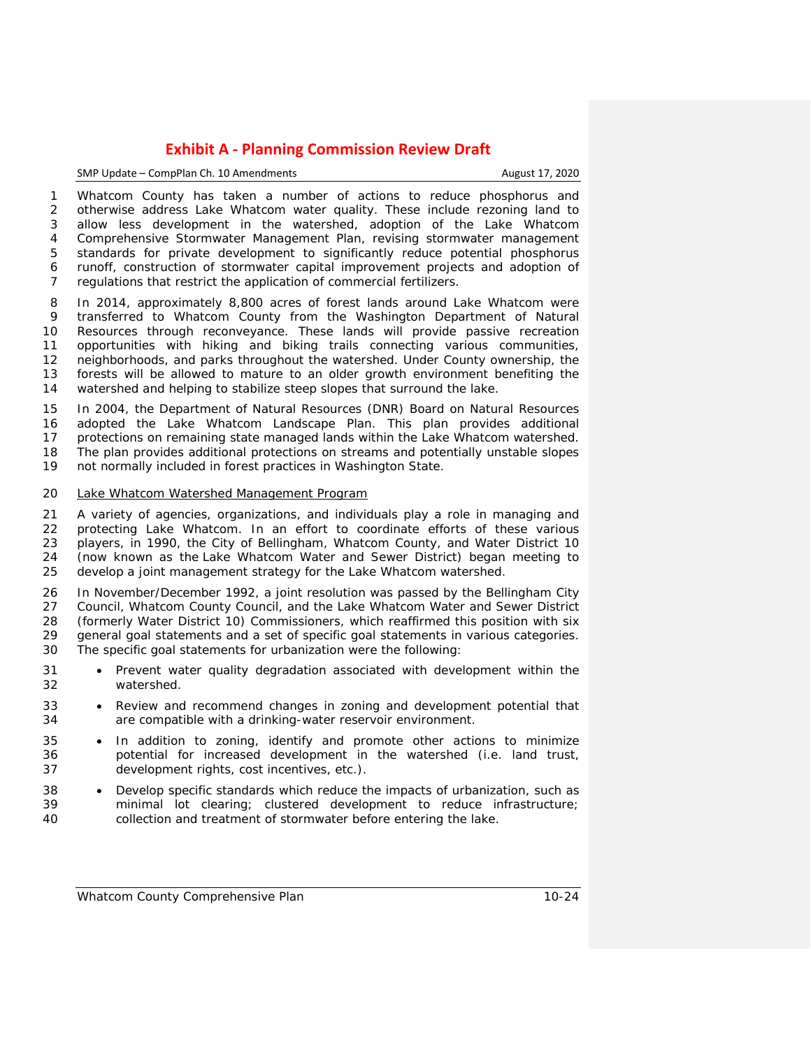## SMP Update – CompPlan Ch. 10 Amendments August 17, 2020

 Whatcom County has taken a number of actions to reduce phosphorus and otherwise address Lake Whatcom water quality. These include rezoning land to allow less development in the watershed, adoption of the Lake Whatcom Comprehensive Stormwater Management Plan, revising stormwater management standards for private development to significantly reduce potential phosphorus runoff, construction of stormwater capital improvement projects and adoption of regulations that restrict the application of commercial fertilizers.

 In 2014, approximately 8,800 acres of forest lands around Lake Whatcom were transferred to Whatcom County from the Washington Department of Natural Resources through reconveyance. These lands will provide passive recreation opportunities with hiking and biking trails connecting various communities, neighborhoods, and parks throughout the watershed. Under County ownership, the forests will be allowed to mature to an older growth environment benefiting the watershed and helping to stabilize steep slopes that surround the lake.

 In 2004, the Department of Natural Resources (DNR) Board on Natural Resources adopted the Lake Whatcom Landscape Plan. This plan provides additional protections on remaining state managed lands within the Lake Whatcom watershed. 18 The plan provides additional protections on streams and potentially unstable slopes<br>19 not normally included in forest practices in Washington State. not normally included in forest practices in Washington State.

## *Lake Whatcom Watershed Management Program*

 A variety of agencies, organizations, and individuals play a role in managing and protecting Lake Whatcom. In an effort to coordinate efforts of these various players, in 1990, the City of Bellingham, Whatcom County, and Water District 10 (now known as the Lake Whatcom Water and Sewer District) began meeting to develop a joint management strategy for the Lake Whatcom watershed.

26 In November/December 1992, a joint resolution was passed by the Bellingham City<br>27 Council, Whatcom County Council, and the Lake Whatcom Water and Sewer District 27 Council, Whatcom County Council, and the Lake Whatcom Water and Sewer District 28 (formerly Water District 10) Commissioners, which reaffirmed this position with six (formerly Water District 10) Commissioners, which reaffirmed this position with six general goal statements and a set of specific goal statements in various categories. The specific goal statements for urbanization were the following:

- Prevent water quality degradation associated with development within the watershed.
- Review and recommend changes in zoning and development potential that are compatible with a drinking-water reservoir environment.
- In addition to zoning, identify and promote other actions to minimize potential for increased development in the watershed (i.e. land trust, development rights, cost incentives, etc.).
- Develop specific standards which reduce the impacts of urbanization, such as minimal lot clearing; clustered development to reduce infrastructure; collection and treatment of stormwater before entering the lake.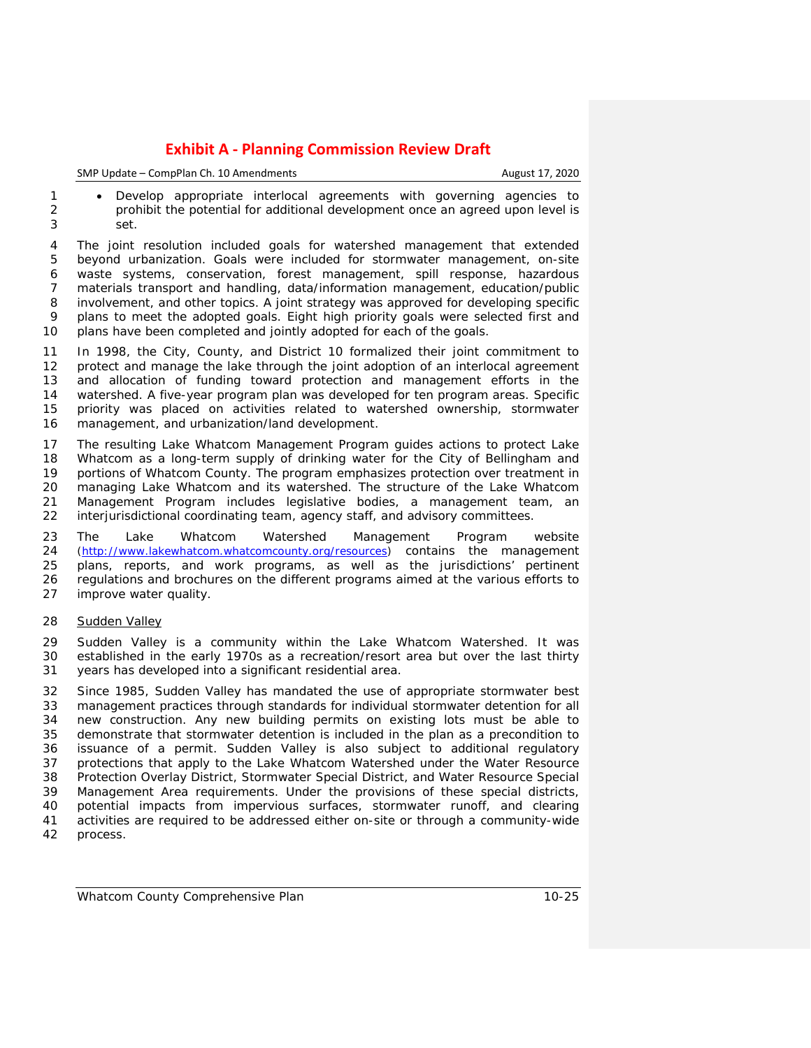| SMP Update - CompPlan Ch. 10 Amendments | August 17, 2020 |
|-----------------------------------------|-----------------|
|-----------------------------------------|-----------------|

1 • Develop appropriate interlocal agreements with governing agencies to<br>2 **by a propriments of the potential for additional development once an agreed upon level is**  prohibit the potential for additional development once an agreed upon level is set.

 The joint resolution included goals for watershed management that extended beyond urbanization. Goals were included for stormwater management, on-site waste systems, conservation, forest management, spill response, hazardous materials transport and handling, data/information management, education/public involvement, and other topics. A joint strategy was approved for developing specific plans to meet the adopted goals. Eight high priority goals were selected first and plans have been completed and jointly adopted for each of the goals.

 In 1998, the City, County, and District 10 formalized their joint commitment to protect and manage the lake through the joint adoption of an interlocal agreement and allocation of funding toward protection and management efforts in the watershed. A five-year program plan was developed for ten program areas. Specific priority was placed on activities related to watershed ownership, stormwater management, and urbanization/land development.

 The resulting Lake Whatcom Management Program guides actions to protect Lake 18 Whatcom as a long-term supply of drinking water for the City of Bellingham and<br>19 portions of Whatcom County. The program emphasizes protection over treatment in 19 portions of Whatcom County. The program emphasizes protection over treatment in<br>20 managing Lake Whatcom and its watershed. The structure of the Lake Whatcom 20 managing Lake Whatcom and its watershed. The structure of the Lake Whatcom<br>21 Management Program includes legislative bodies, a management team, an 21 Management Program includes legislative bodies, a management team, an<br>22 interjurisdictional coordinating team, agency staff, and advisory committees. interjurisdictional coordinating team, agency staff, and advisory committees.

 The Lake Whatcom Watershed Management Program website [\(http://www.lakewhatcom.whatcomcounty.org/resources\)](http://www.lakewhatcom.whatcomcounty.org/resources) contains the management plans, reports, and work programs, as well as the jurisdictions' pertinent regulations and brochures on the different programs aimed at the various efforts to improve water quality.

## *Sudden Valley*

 Sudden Valley is a community within the Lake Whatcom Watershed. It was established in the early 1970s as a recreation/resort area but over the last thirty years has developed into a significant residential area.

 Since 1985, Sudden Valley has mandated the use of appropriate stormwater best 33 management practices through standards for individual stormwater detention for all<br>34 new construction. Any new building permits on existing lots must be able to new construction. Any new building permits on existing lots must be able to 35 demonstrate that stormwater detention is included in the plan as a precondition to 36 issuance of a permit. Sudden Valley is also subject to additional requlatory issuance of a permit. Sudden Valley is also subject to additional regulatory protections that apply to the Lake Whatcom Watershed under the Water Resource Protection Overlay District, Stormwater Special District, and Water Resource Special Management Area requirements. Under the provisions of these special districts, potential impacts from impervious surfaces, stormwater runoff, and clearing activities are required to be addressed either on-site or through a community-wide process.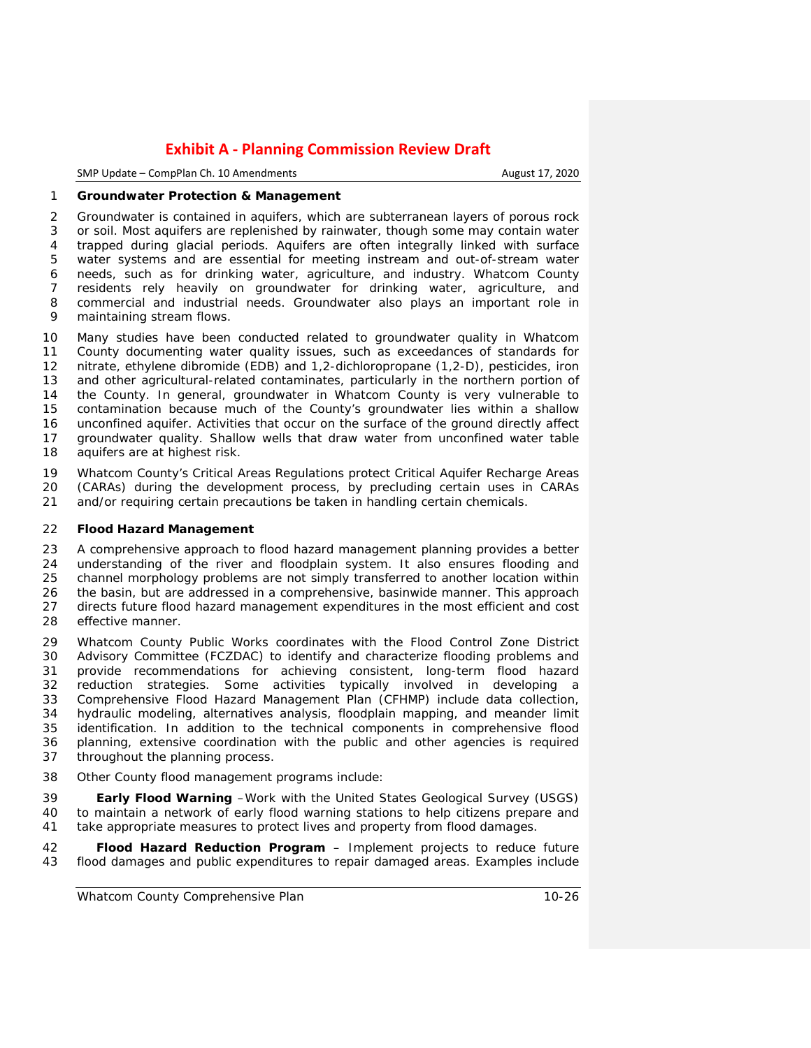| SMP Update – CompPlan Ch. 10 Amendments |  |
|-----------------------------------------|--|
|-----------------------------------------|--|

August 17, 2020

## **Groundwater Protection & Management**

 Groundwater is contained in aquifers, which are subterranean layers of porous rock or soil. Most aquifers are replenished by rainwater, though some may contain water trapped during glacial periods. Aquifers are often integrally linked with surface water systems and are essential for meeting instream and out-of-stream water needs, such as for drinking water, agriculture, and industry. Whatcom County residents rely heavily on groundwater for drinking water, agriculture, and commercial and industrial needs. Groundwater also plays an important role in maintaining stream flows.

 Many studies have been conducted related to groundwater quality in Whatcom County documenting water quality issues, such as exceedances of standards for nitrate, ethylene dibromide (EDB) and 1,2-dichloropropane (1,2-D), pesticides, iron and other agricultural-related contaminates, particularly in the northern portion of the County. In general, groundwater in Whatcom County is very vulnerable to contamination because much of the County's groundwater lies within a shallow unconfined aquifer. Activities that occur on the surface of the ground directly affect groundwater quality. Shallow wells that draw water from unconfined water table aquifers are at highest risk.

19 Whatcom County's Critical Areas Regulations protect Critical Aquifer Recharge Areas<br>20 (CARAs) during the development process by precluding certain uses in CARAs 20 (CARAs) during the development process, by precluding certain uses in CARAs 21 and/or requiring certain precautions be taken in handling certain chemicals. and/or requiring certain precautions be taken in handling certain chemicals.

### **Flood Hazard Management**

 A comprehensive approach to flood hazard management planning provides a better 24 understanding of the river and floodplain system. It also ensures flooding and<br>25 channel morphology problems are not simply transferred to another location within 25 channel morphology problems are not simply transferred to another location within 26 the basin, but are addressed in a comprehensive, basinwide manner. This approach 26 the basin, but are addressed in a comprehensive, basinwide manner. This approach<br>27 directs future flood hazard management expenditures in the most efficient and cost directs future flood hazard management expenditures in the most efficient and cost effective manner.

 Whatcom County Public Works coordinates with the Flood Control Zone District Advisory Committee (FCZDAC) to identify and characterize flooding problems and provide recommendations for achieving consistent, long-term flood hazard reduction strategies. Some activities typically involved in developing a Comprehensive Flood Hazard Management Plan (CFHMP) include data collection, 34 hydraulic modeling, alternatives analysis, floodplain mapping, and meander limit 35 identification. In addition to the technical components in comprehensive flood identification. In addition to the technical components in comprehensive flood planning, extensive coordination with the public and other agencies is required throughout the planning process.

Other County flood management programs include:

 **Early Flood Warning** –Work with the United States Geological Survey (USGS) to maintain a network of early flood warning stations to help citizens prepare and take appropriate measures to protect lives and property from flood damages.

 **Flood Hazard Reduction Program** – Implement projects to reduce future flood damages and public expenditures to repair damaged areas. Examples include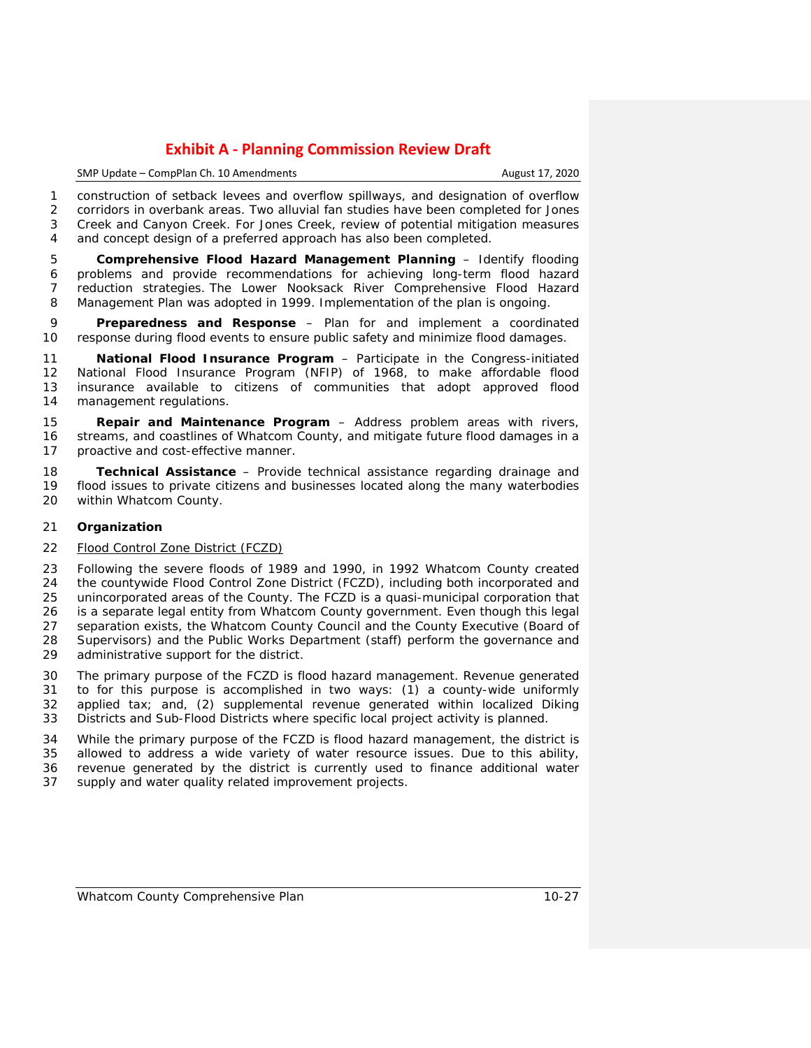#### SMP Update – CompPlan Ch. 10 Amendments **August 17, 2020**

 construction of setback levees and overflow spillways, and designation of overflow corridors in overbank areas. Two alluvial fan studies have been completed for Jones Creek and Canyon Creek. For Jones Creek, review of potential mitigation measures 4 and concept design of a preferred approach has also been completed.

 **Comprehensive Flood Hazard Management Planning** – Identify flooding problems and provide recommendations for achieving long-term flood hazard reduction strategies. The Lower Nooksack River Comprehensive Flood Hazard Management Plan was adopted in 1999. Implementation of the plan is ongoing.

 **Preparedness and Response** – Plan for and implement a coordinated response during flood events to ensure public safety and minimize flood damages.

 **National Flood Insurance Program** – Participate in the Congress-initiated National Flood Insurance Program (NFIP) of 1968, to make affordable flood insurance available to citizens of communities that adopt approved flood management regulations.

 **Repair and Maintenance Program** – Address problem areas with rivers, streams, and coastlines of Whatcom County, and mitigate future flood damages in a proactive and cost-effective manner.

 **Technical Assistance** – Provide technical assistance regarding drainage and flood issues to private citizens and businesses located along the many waterbodies within Whatcom County.

## **Organization**

## *Flood Control Zone District (FCZD)*

 Following the severe floods of 1989 and 1990, in 1992 Whatcom County created the countywide Flood Control Zone District (FCZD), including both incorporated and unincorporated areas of the County. The FCZD is a quasi-municipal corporation that is a separate legal entity from Whatcom County government. Even though this legal 27 separation exists, the Whatcom County Council and the County Executive (Board of 28 Supervisors) and the Public Works Department (staff) perform the governance and 28 Supervisors) and the Public Works Department (staff) perform the governance and 29 administrative support for the district. administrative support for the district.

 The primary purpose of the FCZD is flood hazard management. Revenue generated to for this purpose is accomplished in two ways: (1) a county-wide uniformly applied tax; and, (2) supplemental revenue generated within localized Diking Districts and Sub-Flood Districts where specific local project activity is planned.

 While the primary purpose of the FCZD is flood hazard management, the district is allowed to address a wide variety of water resource issues. Due to this ability, revenue generated by the district is currently used to finance additional water supply and water quality related improvement projects.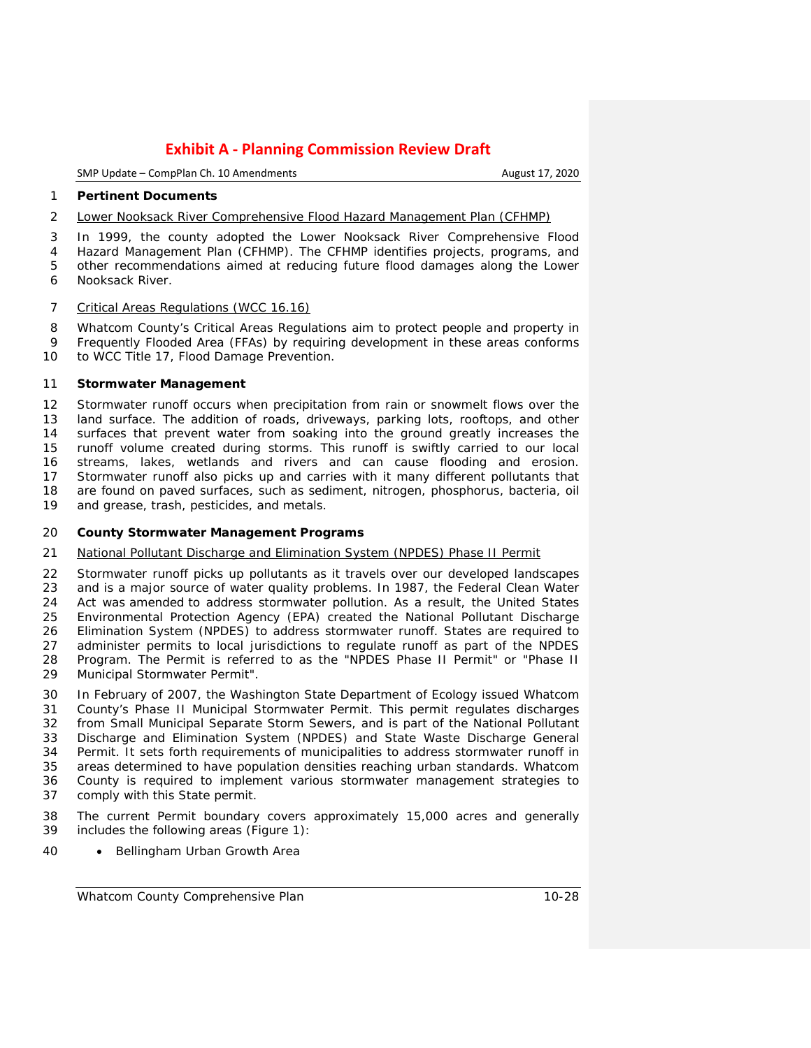SMP Update – CompPlan Ch. 10 Amendments **August 17, 2020** 

#### **Pertinent Documents**

#### *Lower Nooksack River Comprehensive Flood Hazard Management Plan (CFHMP)*

In 1999, the county adopted the Lower Nooksack River Comprehensive Flood

 Hazard Management Plan (CFHMP). The CFHMP identifies projects, programs, and other recommendations aimed at reducing future flood damages along the Lower Nooksack River.

## *Critical Areas Regulations (WCC 16.16)*

 Whatcom County's Critical Areas Regulations aim to protect people and property in Frequently Flooded Area (FFAs) by requiring development in these areas conforms to WCC Title 17, Flood Damage Prevention.

## **Stormwater Management**

 Stormwater runoff occurs when precipitation from rain or snowmelt flows over the land surface. The addition of roads, driveways, parking lots, rooftops, and other surfaces that prevent water from soaking into the ground greatly increases the runoff volume created during storms. This runoff is swiftly carried to our local streams, lakes, wetlands and rivers and can cause flooding and erosion. Stormwater runoff also picks up and carries with it many different pollutants that are found on paved surfaces, such as sediment, nitrogen, phosphorus, bacteria, oil and grease, trash, pesticides, and metals.

## **County Stormwater Management Programs**

## *National Pollutant Discharge and Elimination System (NPDES) Phase II Permit*

22 Stormwater runoff picks up pollutants as it travels over our developed landscapes<br>23 and is a maior source of water quality problems. In 1987, the Federal Clean Water and is a major source of water quality problems. In 1987, the Federal Clean Water Act was amended to address stormwater pollution. As a result, the United States Environmental Protection Agency (EPA) created the National Pollutant Discharge Elimination System (NPDES) to address stormwater runoff. States are required to administer permits to local jurisdictions to regulate runoff as part of the NPDES Program. The Permit is referred to as the "NPDES Phase II Permit" or "Phase II Municipal Stormwater Permit".

 In February of 2007, the Washington State Department of Ecology issued Whatcom County's Phase II Municipal Stormwater Permit. This permit regulates discharges from Small Municipal Separate Storm Sewers, and is part of the National Pollutant Discharge and Elimination System (NPDES) and State Waste Discharge General Permit. It sets forth requirements of municipalities to address stormwater runoff in areas determined to have population densities reaching urban standards. Whatcom County is required to implement various stormwater management strategies to comply with this State permit.

- The current Permit boundary covers approximately 15,000 acres and generally includes the following areas [\(Figure 1\)](#page-29-0):
- Bellingham Urban Growth Area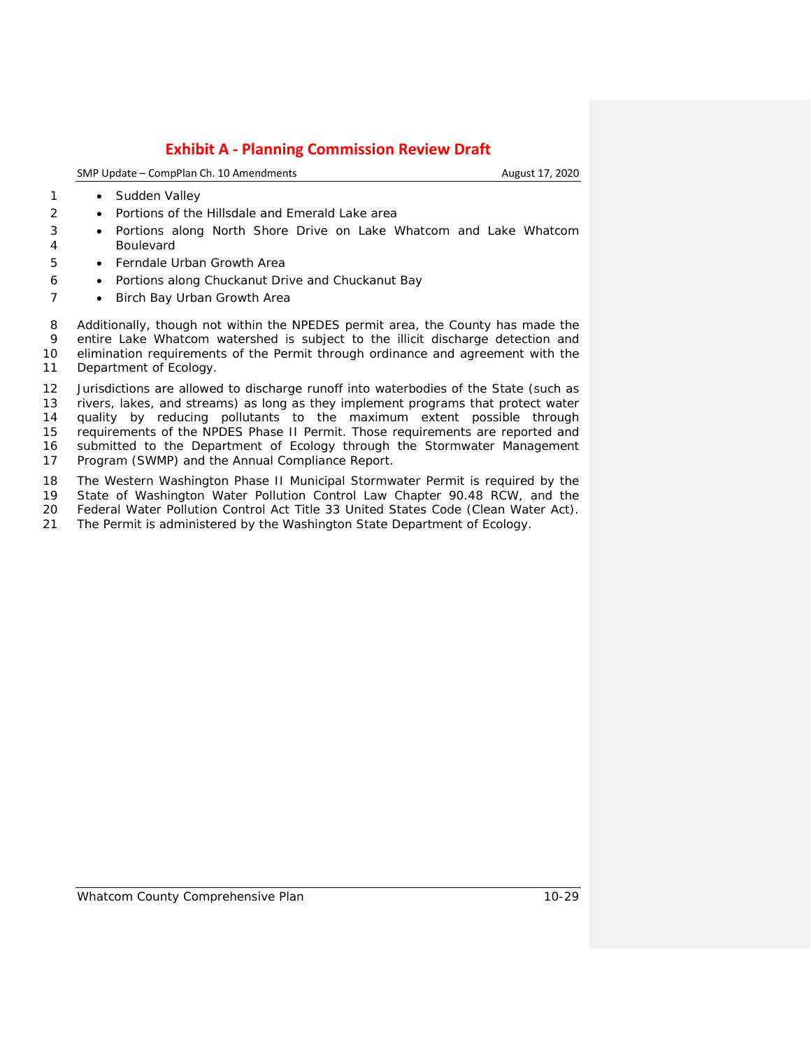SMP Update – CompPlan Ch. 10 Amendments **August 17, 2020** August 17, 2020

- 1 Sudden Valley
- Portions of the Hillsdale and Emerald Lake area
- Portions along North Shore Drive on Lake Whatcom and Lake Whatcom Boulevard
- Ferndale Urban Growth Area
- Portions along Chuckanut Drive and Chuckanut Bay
- 7 Birch Bay Urban Growth Area

 Additionally, though not within the NPEDES permit area, the County has made the entire Lake Whatcom watershed is subject to the illicit discharge detection and elimination requirements of the Permit through ordinance and agreement with the Department of Ecology.

 Jurisdictions are allowed to discharge runoff into waterbodies of the State (such as rivers, lakes, and streams) as long as they implement programs that protect water quality by reducing pollutants to the maximum extent possible through requirements of the NPDES Phase II Permit. Those requirements are reported and submitted to the Department of Ecology through the Stormwater Management Program (SWMP) and the Annual Compliance Report.

The Western Washington Phase II Municipal Stormwater Permit is required by the

State of Washington Water Pollution Control Law Chapter 90.48 RCW, and the

Federal Water Pollution Control Act Title 33 United States Code (Clean Water Act).

The Permit is administered by the Washington State Department of Ecology.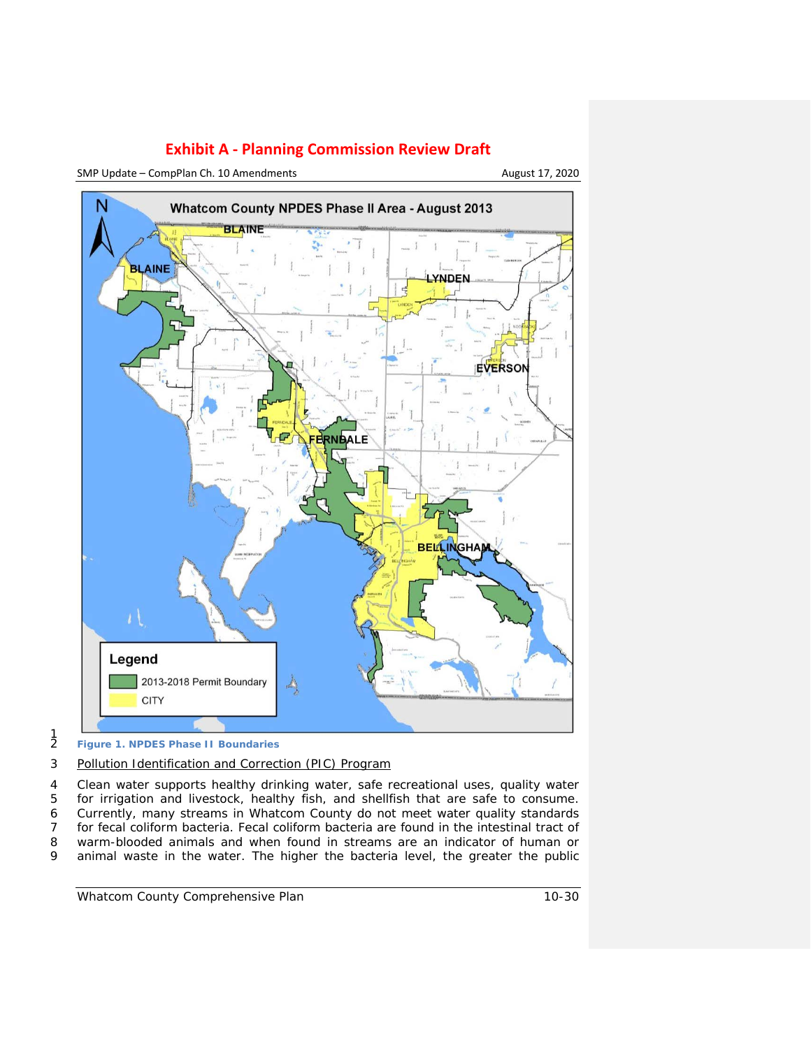

SMP Update – CompPlan Ch. 10 Amendments August 17, 2020



 $\frac{1}{2}$ 

## 3 *Pollution Identification and Correction (PIC) Program*

4 Clean water supports healthy drinking water, safe recreational uses, quality water<br>5 for irrigation and livestock, healthy fish, and shellfish that are safe to consume. for irrigation and livestock, healthy fish, and shellfish that are safe to consume. Currently, many streams in Whatcom County do not meet water quality standards for fecal coliform bacteria. Fecal coliform bacteria are found in the intestinal tract of warm-blooded animals and when found in streams are an indicator of human or animal waste in the water. The higher the bacteria level, the greater the public

<span id="page-29-0"></span><sup>2</sup> **Figure 1. NPDES Phase II Boundaries**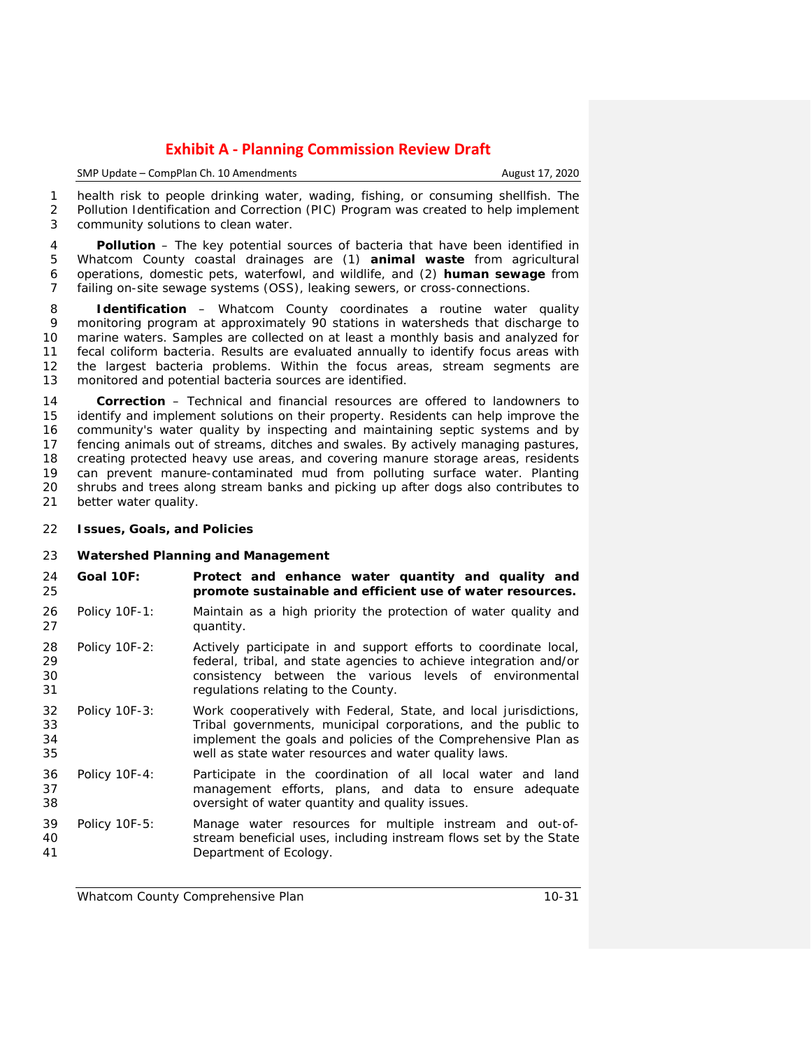| SMP Update – CompPlan Ch. 10 Amendments | August 17, 2020 |
|-----------------------------------------|-----------------|
|                                         |                 |

 health risk to people drinking water, wading, fishing, or consuming shellfish. The Pollution Identification and Correction (PIC) Program was created to help implement community solutions to clean water.

 **Pollution** – The key potential sources of bacteria that have been identified in Whatcom County coastal drainages are (1) **animal waste** from agricultural operations, domestic pets, waterfowl, and wildlife, and (2) **human sewage** from failing on-site sewage systems (OSS), leaking sewers, or cross-connections.

 **Identification** – Whatcom County coordinates a routine water quality monitoring program at approximately 90 stations in watersheds that discharge to marine waters. Samples are collected on at least a monthly basis and analyzed for fecal coliform bacteria. Results are evaluated annually to identify focus areas with the largest bacteria problems. Within the focus areas, stream segments are monitored and potential bacteria sources are identified.

 **Correction** – Technical and financial resources are offered to landowners to identify and implement solutions on their property. Residents can help improve the community's water quality by inspecting and maintaining septic systems and by fencing animals out of streams, ditches and swales. By actively managing pastures, 18 creating protected heavy use areas, and covering manure storage areas, residents<br>19 can prevent manure-contaminated mud from polluting surface water. Planting 19 can prevent manure-contaminated mud from polluting surface water. Planting 20 shrubs and trees along stream banks and picking up after dogs also contributes to 20 shrubs and trees along stream banks and picking up after dogs also contributes to<br>21 better water quality. better water quality.

**Issues, Goals, and Policies**

## **Watershed Planning and Management**

- **Goal 10F: Protect and enhance water quantity and quality and promote sustainable and efficient use of water resources.**
- Policy 10F-1: Maintain as a high priority the protection of water quality and quantity.
- Policy 10F-2: Actively participate in and support efforts to coordinate local, 29 **120 Federal, tribal, and state agencies to achieve integration and/or**<br>20 **120 CONSTAGE AGENCIES** CONSISTING A CONSIDENT AND CONSISTENCY between the various levels of environmental consistency between the various levels of environmental regulations relating to the County.
- Policy 10F-3: Work cooperatively with Federal, State, and local jurisdictions, Tribal governments, municipal corporations, and the public to implement the goals and policies of the Comprehensive Plan as well as state water resources and water quality laws.
- Policy 10F-4: Participate in the coordination of all local water and land management efforts, plans, and data to ensure adequate oversight of water quantity and quality issues.
- Policy 10F-5: Manage water resources for multiple instream and out-of- stream beneficial uses, including instream flows set by the State Department of Ecology.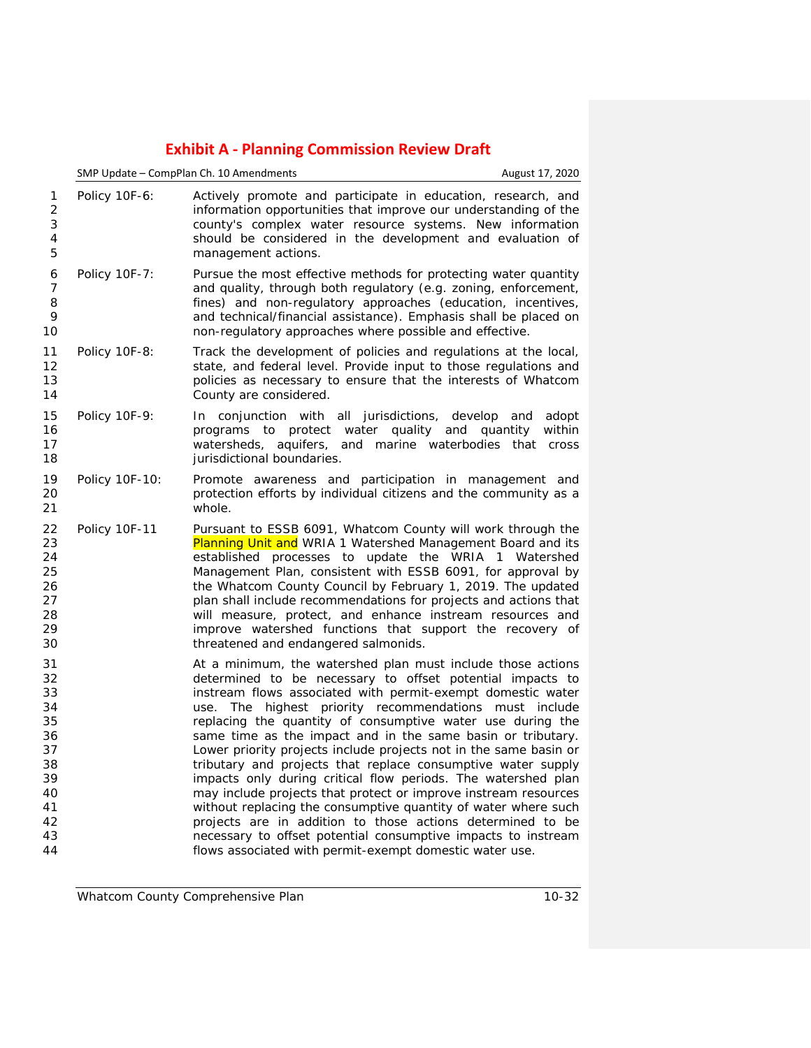|                                                                                  |                | SMP Update - CompPlan Ch. 10 Amendments                                                                                                                                                                                                                                                                                                                                                                                                                                                                                                                                                                                                                                                                                                                                                                                                                                                                             | August 17, 2020                         |
|----------------------------------------------------------------------------------|----------------|---------------------------------------------------------------------------------------------------------------------------------------------------------------------------------------------------------------------------------------------------------------------------------------------------------------------------------------------------------------------------------------------------------------------------------------------------------------------------------------------------------------------------------------------------------------------------------------------------------------------------------------------------------------------------------------------------------------------------------------------------------------------------------------------------------------------------------------------------------------------------------------------------------------------|-----------------------------------------|
| 1<br>$\overline{2}$<br>3<br>4<br>5                                               | Policy 10F-6:  | Actively promote and participate in education, research, and<br>information opportunities that improve our understanding of the<br>county's complex water resource systems. New information<br>should be considered in the development and evaluation of<br>management actions.                                                                                                                                                                                                                                                                                                                                                                                                                                                                                                                                                                                                                                     |                                         |
| 6<br>$\overline{7}$<br>8<br>9<br>10                                              | Policy 10F-7:  | Pursue the most effective methods for protecting water quantity<br>and quality, through both regulatory (e.g. zoning, enforcement,<br>fines) and non-regulatory approaches (education, incentives,<br>and technical/financial assistance). Emphasis shall be placed on<br>non-regulatory approaches where possible and effective.                                                                                                                                                                                                                                                                                                                                                                                                                                                                                                                                                                                   |                                         |
| 11<br>12<br>13<br>14                                                             | Policy 10F-8:  | Track the development of policies and regulations at the local,<br>state, and federal level. Provide input to those regulations and<br>policies as necessary to ensure that the interests of Whatcom<br>County are considered.                                                                                                                                                                                                                                                                                                                                                                                                                                                                                                                                                                                                                                                                                      |                                         |
| 15<br>16<br>17<br>18                                                             | Policy 10F-9:  | In conjunction with all jurisdictions,<br>programs to protect water quality and quantity<br>watersheds, aquifers, and marine waterbodies that<br>jurisdictional boundaries.                                                                                                                                                                                                                                                                                                                                                                                                                                                                                                                                                                                                                                                                                                                                         | develop and<br>adopt<br>within<br>cross |
| 19<br>20<br>21                                                                   | Policy 10F-10: | Promote awareness and participation in management and<br>protection efforts by individual citizens and the community as a<br>whole.                                                                                                                                                                                                                                                                                                                                                                                                                                                                                                                                                                                                                                                                                                                                                                                 |                                         |
| 22<br>23<br>24<br>25<br>26<br>27<br>28<br>29<br>30                               | Policy 10F-11  | Pursuant to ESSB 6091, Whatcom County will work through the<br>Planning Unit and WRIA 1 Watershed Management Board and its<br>established processes to update the WRIA 1 Watershed<br>Management Plan, consistent with ESSB 6091, for approval by<br>the Whatcom County Council by February 1, 2019. The updated<br>plan shall include recommendations for projects and actions that<br>will measure, protect, and enhance instream resources and<br>improve watershed functions that support the recovery of<br>threatened and endangered salmonids.                                                                                                                                                                                                                                                                                                                                                               |                                         |
| 31<br>32<br>33<br>34<br>35<br>36<br>37<br>38<br>39<br>40<br>41<br>42<br>43<br>44 |                | At a minimum, the watershed plan must include those actions<br>determined to be necessary to offset potential impacts to<br>instream flows associated with permit-exempt domestic water<br>use. The highest priority recommendations must include<br>replacing the quantity of consumptive water use during the<br>same time as the impact and in the same basin or tributary.<br>Lower priority projects include projects not in the same basin or<br>tributary and projects that replace consumptive water supply<br>impacts only during critical flow periods. The watershed plan<br>may include projects that protect or improve instream resources<br>without replacing the consumptive quantity of water where such<br>projects are in addition to those actions determined to be<br>necessary to offset potential consumptive impacts to instream<br>flows associated with permit-exempt domestic water use. |                                         |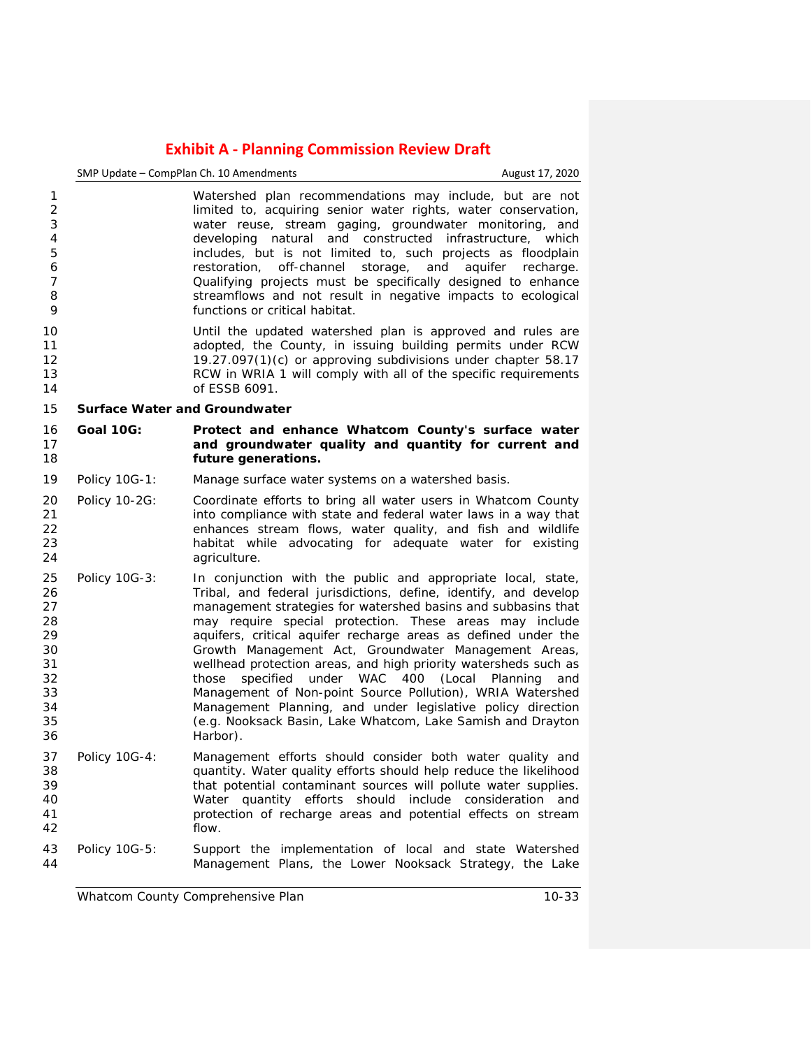|                                                                                  | SMP Update - CompPlan Ch. 10 Amendments<br>August 17, 2020 |                                                                                                                                                                                                                                                                                                                                                                                                                                                                                                                                                                                                                                                                                                                   |     |
|----------------------------------------------------------------------------------|------------------------------------------------------------|-------------------------------------------------------------------------------------------------------------------------------------------------------------------------------------------------------------------------------------------------------------------------------------------------------------------------------------------------------------------------------------------------------------------------------------------------------------------------------------------------------------------------------------------------------------------------------------------------------------------------------------------------------------------------------------------------------------------|-----|
| 1<br>$\overline{2}$<br>3<br>$\overline{4}$<br>5<br>6<br>$\overline{7}$<br>8<br>9 |                                                            | Watershed plan recommendations may include, but are not<br>limited to, acquiring senior water rights, water conservation,<br>water reuse, stream gaging, groundwater monitoring, and<br>developing natural and constructed infrastructure, which<br>includes, but is not limited to, such projects as floodplain<br>restoration, off-channel storage, and aquifer recharge.<br>Qualifying projects must be specifically designed to enhance<br>streamflows and not result in negative impacts to ecological<br>functions or critical habitat.                                                                                                                                                                     |     |
| 10<br>11<br>12<br>13<br>14                                                       |                                                            | Until the updated watershed plan is approved and rules are<br>adopted, the County, in issuing building permits under RCW<br>19.27.097(1)(c) or approving subdivisions under chapter 58.17<br>RCW in WRIA 1 will comply with all of the specific requirements<br>of ESSB 6091.                                                                                                                                                                                                                                                                                                                                                                                                                                     |     |
| 15                                                                               | <b>Surface Water and Groundwater</b>                       |                                                                                                                                                                                                                                                                                                                                                                                                                                                                                                                                                                                                                                                                                                                   |     |
| 16<br>17<br>18                                                                   | <b>Goal 10G:</b>                                           | Protect and enhance Whatcom County's surface water<br>and groundwater quality and quantity for current and<br>future generations.                                                                                                                                                                                                                                                                                                                                                                                                                                                                                                                                                                                 |     |
| 19                                                                               | Policy 10G-1:                                              | Manage surface water systems on a watershed basis.                                                                                                                                                                                                                                                                                                                                                                                                                                                                                                                                                                                                                                                                |     |
| 20<br>21<br>22<br>23<br>24                                                       | Policy 10-2G:                                              | Coordinate efforts to bring all water users in Whatcom County<br>into compliance with state and federal water laws in a way that<br>enhances stream flows, water quality, and fish and wildlife<br>habitat while advocating for adequate water for existing<br>agriculture.                                                                                                                                                                                                                                                                                                                                                                                                                                       |     |
| 25<br>26<br>27<br>28<br>29<br>30<br>31<br>32<br>33<br>34<br>35<br>36             | Policy 10G-3:                                              | In conjunction with the public and appropriate local, state,<br>Tribal, and federal jurisdictions, define, identify, and develop<br>management strategies for watershed basins and subbasins that<br>may require special protection. These areas may include<br>aquifers, critical aquifer recharge areas as defined under the<br>Growth Management Act, Groundwater Management Areas,<br>wellhead protection areas, and high priority watersheds such as<br>those specified under WAC 400 (Local Planning<br>Management of Non-point Source Pollution), WRIA Watershed<br>Management Planning, and under legislative policy direction<br>(e.g. Nooksack Basin, Lake Whatcom, Lake Samish and Drayton<br>Harbor). | and |
| 37<br>38<br>39<br>40<br>41<br>42                                                 | Policy 10G-4:                                              | Management efforts should consider both water quality and<br>quantity. Water quality efforts should help reduce the likelihood<br>that potential contaminant sources will pollute water supplies.<br>Water quantity efforts should include consideration and<br>protection of recharge areas and potential effects on stream<br>flow.                                                                                                                                                                                                                                                                                                                                                                             |     |
| 43<br>44                                                                         | Policy 10G-5:                                              | Support the implementation of local and state Watershed<br>Management Plans, the Lower Nooksack Strategy, the Lake                                                                                                                                                                                                                                                                                                                                                                                                                                                                                                                                                                                                |     |

*Whatcom County Comprehensive Plan 10-33*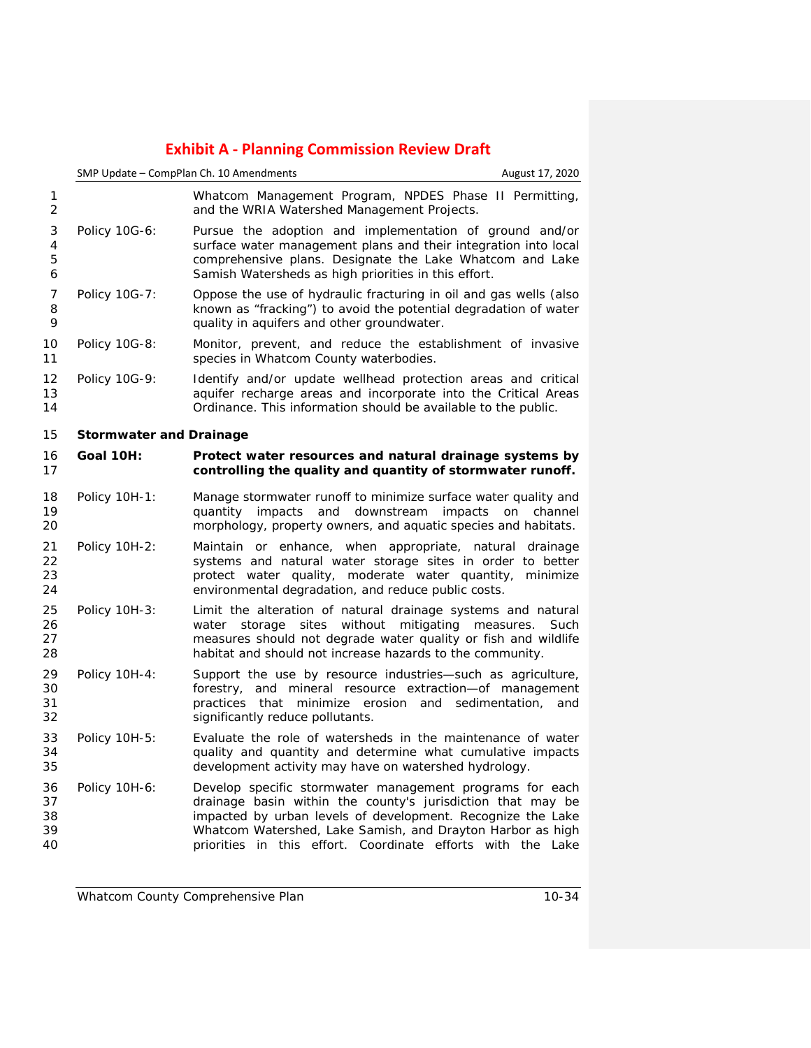|                            | SMP Update - CompPlan Ch. 10 Amendments |                                                                                                                                                                                                                                                                                                                     | August 17, 2020       |
|----------------------------|-----------------------------------------|---------------------------------------------------------------------------------------------------------------------------------------------------------------------------------------------------------------------------------------------------------------------------------------------------------------------|-----------------------|
| 1<br>2                     |                                         | Whatcom Management Program, NPDES Phase II Permitting,<br>and the WRIA Watershed Management Projects.                                                                                                                                                                                                               |                       |
| 3<br>4<br>5<br>6           | Policy 10G-6:                           | Pursue the adoption and implementation of ground and/or<br>surface water management plans and their integration into local<br>comprehensive plans. Designate the Lake Whatcom and Lake<br>Samish Watersheds as high priorities in this effort.                                                                      |                       |
| 7<br>8<br>9                | Policy 10G-7:                           | Oppose the use of hydraulic fracturing in oil and gas wells (also<br>known as "fracking") to avoid the potential degradation of water<br>quality in aquifers and other groundwater.                                                                                                                                 |                       |
| 10<br>11                   | Policy 10G-8:                           | Monitor, prevent, and reduce the establishment of invasive<br>species in Whatcom County waterbodies.                                                                                                                                                                                                                |                       |
| 12<br>13<br>14             | Policy 10G-9:                           | Identify and/or update wellhead protection areas and critical<br>aquifer recharge areas and incorporate into the Critical Areas<br>Ordinance. This information should be available to the public.                                                                                                                   |                       |
| 15                         | <b>Stormwater and Drainage</b>          |                                                                                                                                                                                                                                                                                                                     |                       |
| 16<br>17                   | <b>Goal 10H:</b>                        | Protect water resources and natural drainage systems by<br>controlling the quality and quantity of stormwater runoff.                                                                                                                                                                                               |                       |
| 18<br>19<br>20             | Policy 10H-1:                           | Manage stormwater runoff to minimize surface water quality and<br>quantity impacts<br>and<br>downstream<br>impacts<br>morphology, property owners, and aquatic species and habitats.                                                                                                                                | on<br>channel         |
| 21<br>22<br>23<br>24       | Policy 10H-2:                           | Maintain or enhance, when appropriate, natural drainage<br>systems and natural water storage sites in order to better<br>protect water quality, moderate water quantity, minimize<br>environmental degradation, and reduce public costs.                                                                            |                       |
| 25<br>26<br>27<br>28       | <b>Policy 10H-3:</b>                    | Limit the alteration of natural drainage systems and natural<br>storage sites<br>without<br>mitigating measures.<br>water<br>measures should not degrade water quality or fish and wildlife<br>habitat and should not increase hazards to the community.                                                            | Such                  |
| 29<br>30<br>31<br>32       | Policy 10H-4:                           | Support the use by resource industries-such as agriculture,<br>forestry, and mineral resource extraction-of management<br>minimize erosion<br>practices<br>that<br>and<br>significantly reduce pollutants.                                                                                                          | sedimentation,<br>and |
| 33<br>34<br>35             | Policy 10H-5:                           | Evaluate the role of watersheds in the maintenance of water<br>quality and quantity and determine what cumulative impacts<br>development activity may have on watershed hydrology.                                                                                                                                  |                       |
| 36<br>37<br>38<br>39<br>40 | Policy 10H-6:                           | Develop specific stormwater management programs for each<br>drainage basin within the county's jurisdiction that may be<br>impacted by urban levels of development. Recognize the Lake<br>Whatcom Watershed, Lake Samish, and Drayton Harbor as high<br>priorities in this effort. Coordinate efforts with the Lake |                       |

*Whatcom County Comprehensive Plan 10-34*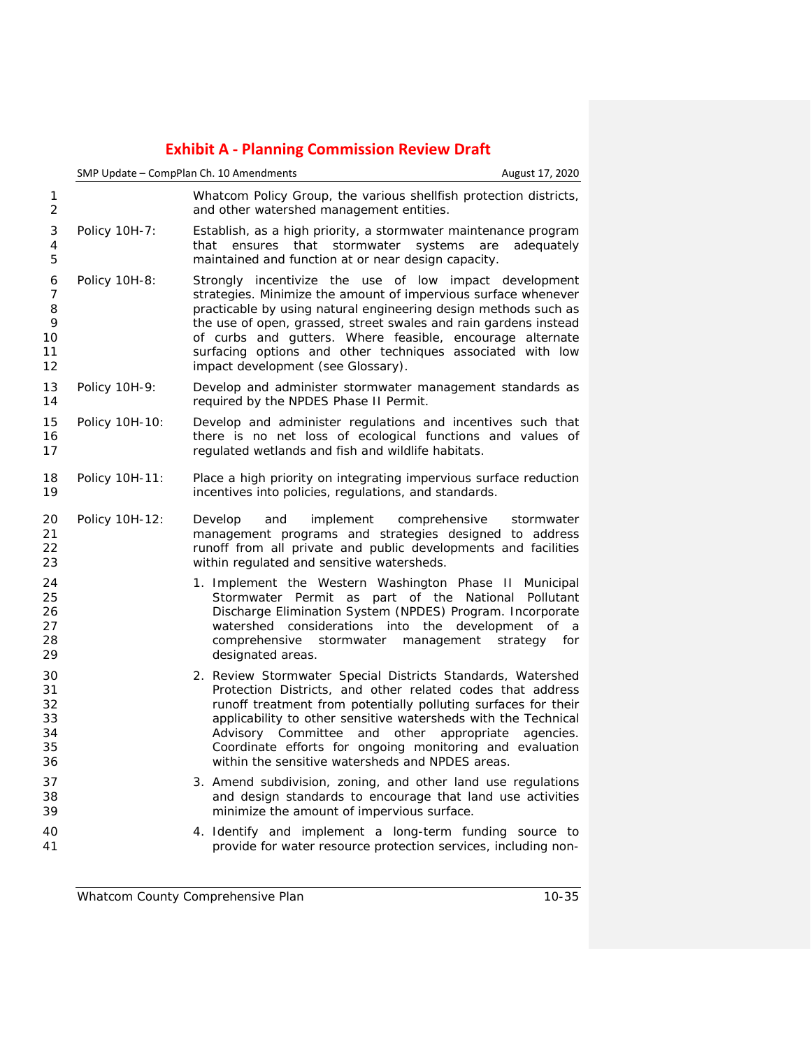|                                        |                | SMP Update - CompPlan Ch. 10 Amendments<br>August 17, 2020                                                                                                                                                                                                                                                                                                                                                                                   |
|----------------------------------------|----------------|----------------------------------------------------------------------------------------------------------------------------------------------------------------------------------------------------------------------------------------------------------------------------------------------------------------------------------------------------------------------------------------------------------------------------------------------|
| 1<br>$\overline{2}$                    |                | Whatcom Policy Group, the various shellfish protection districts,<br>and other watershed management entities.                                                                                                                                                                                                                                                                                                                                |
| 3<br>4<br>5                            | Policy 10H-7:  | Establish, as a high priority, a stormwater maintenance program<br>that ensures that stormwater systems<br>are<br>adequately<br>maintained and function at or near design capacity.                                                                                                                                                                                                                                                          |
| 6<br>7<br>8<br>9<br>10<br>11<br>12     | Policy 10H-8:  | Strongly incentivize the use of low impact development<br>strategies. Minimize the amount of impervious surface whenever<br>practicable by using natural engineering design methods such as<br>the use of open, grassed, street swales and rain gardens instead<br>of curbs and gutters. Where feasible, encourage alternate<br>surfacing options and other techniques associated with low<br>impact development (see Glossary).             |
| 13<br>14                               | Policy 10H-9:  | Develop and administer stormwater management standards as<br>required by the NPDES Phase II Permit.                                                                                                                                                                                                                                                                                                                                          |
| 15<br>16<br>17                         | Policy 10H-10: | Develop and administer regulations and incentives such that<br>there is no net loss of ecological functions and values of<br>regulated wetlands and fish and wildlife habitats.                                                                                                                                                                                                                                                              |
| 18<br>19                               | Policy 10H-11: | Place a high priority on integrating impervious surface reduction<br>incentives into policies, regulations, and standards.                                                                                                                                                                                                                                                                                                                   |
| 20<br>21<br>22<br>23                   | Policy 10H-12: | implement<br>Develop<br>and<br>comprehensive<br>stormwater<br>management programs and strategies designed to address<br>runoff from all private and public developments and facilities<br>within regulated and sensitive watersheds.                                                                                                                                                                                                         |
| 24<br>25<br>26<br>27<br>28<br>29       |                | 1. Implement the Western Washington Phase II Municipal<br>Stormwater Permit as part of the National Pollutant<br>Discharge Elimination System (NPDES) Program. Incorporate<br>watershed considerations into the<br>development of a<br>comprehensive<br>stormwater<br>management<br>strategy for<br>designated areas.                                                                                                                        |
| 30<br>31<br>32<br>33<br>34<br>35<br>36 |                | 2. Review Stormwater Special Districts Standards, Watershed<br>Protection Districts, and other related codes that address<br>runoff treatment from potentially polluting surfaces for their<br>applicability to other sensitive watersheds with the Technical<br>and other<br>Advisory Committee<br>appropriate<br>agencies.<br>Coordinate efforts for ongoing monitoring and evaluation<br>within the sensitive watersheds and NPDES areas. |
| 37<br>38<br>39                         |                | 3. Amend subdivision, zoning, and other land use regulations<br>and design standards to encourage that land use activities<br>minimize the amount of impervious surface.                                                                                                                                                                                                                                                                     |
| 40<br>41                               |                | 4. Identify and implement a long-term funding source to<br>provide for water resource protection services, including non-                                                                                                                                                                                                                                                                                                                    |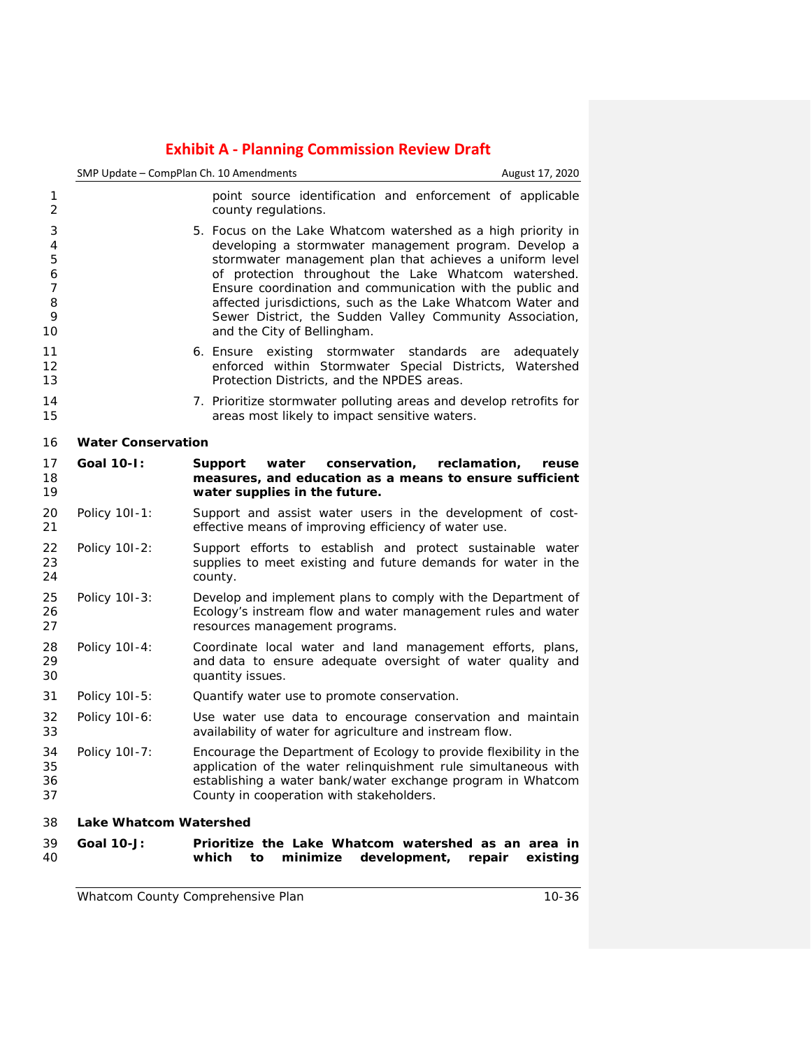|                                                    | SMP Update - CompPlan Ch. 10 Amendments | August 17, 2020                                                                                                                                                                                                                                                                                                                                                                                                                                                 |
|----------------------------------------------------|-----------------------------------------|-----------------------------------------------------------------------------------------------------------------------------------------------------------------------------------------------------------------------------------------------------------------------------------------------------------------------------------------------------------------------------------------------------------------------------------------------------------------|
| 1<br>$\overline{2}$                                |                                         | point source identification and enforcement of applicable<br>county regulations.                                                                                                                                                                                                                                                                                                                                                                                |
| 3<br>4<br>5<br>6<br>$\overline{7}$<br>8<br>9<br>10 |                                         | 5. Focus on the Lake Whatcom watershed as a high priority in<br>developing a stormwater management program. Develop a<br>stormwater management plan that achieves a uniform level<br>of protection throughout the Lake Whatcom watershed.<br>Ensure coordination and communication with the public and<br>affected jurisdictions, such as the Lake Whatcom Water and<br>Sewer District, the Sudden Valley Community Association,<br>and the City of Bellingham. |
| 11<br>12<br>13                                     |                                         | 6. Ensure existing stormwater standards are<br>adequately<br>enforced within Stormwater Special Districts, Watershed<br>Protection Districts, and the NPDES areas.                                                                                                                                                                                                                                                                                              |
| 14<br>15                                           |                                         | 7. Prioritize stormwater polluting areas and develop retrofits for<br>areas most likely to impact sensitive waters.                                                                                                                                                                                                                                                                                                                                             |
| 16                                                 | <b>Water Conservation</b>               |                                                                                                                                                                                                                                                                                                                                                                                                                                                                 |
| 17<br>18<br>19                                     | <b>Goal 10-1:</b>                       | Support<br>water<br>conservation,<br>reclamation,<br>reuse<br>measures, and education as a means to ensure sufficient<br>water supplies in the future.                                                                                                                                                                                                                                                                                                          |
| 20<br>21                                           | Policy 10I-1:                           | Support and assist water users in the development of cost-<br>effective means of improving efficiency of water use.                                                                                                                                                                                                                                                                                                                                             |
| 22<br>23<br>24                                     | Policy 101-2:                           | Support efforts to establish and protect sustainable water<br>supplies to meet existing and future demands for water in the<br>county.                                                                                                                                                                                                                                                                                                                          |
| 25<br>26<br>27                                     | Policy 101-3:                           | Develop and implement plans to comply with the Department of<br>Ecology's instream flow and water management rules and water<br>resources management programs.                                                                                                                                                                                                                                                                                                  |
| 28<br>29<br>30                                     | Policy 10I-4:                           | Coordinate local water and land management efforts, plans,<br>and data to ensure adequate oversight of water quality and<br>quantity issues.                                                                                                                                                                                                                                                                                                                    |
| 31                                                 | Policy 101-5:                           | Quantify water use to promote conservation.                                                                                                                                                                                                                                                                                                                                                                                                                     |
| 32<br>33                                           | Policy 101-6:                           | Use water use data to encourage conservation and maintain<br>availability of water for agriculture and instream flow.                                                                                                                                                                                                                                                                                                                                           |
| 34<br>35<br>36<br>37                               | Policy 101-7:                           | Encourage the Department of Ecology to provide flexibility in the<br>application of the water relinquishment rule simultaneous with<br>establishing a water bank/water exchange program in Whatcom<br>County in cooperation with stakeholders.                                                                                                                                                                                                                  |
| 38                                                 | <b>Lake Whatcom Watershed</b>           |                                                                                                                                                                                                                                                                                                                                                                                                                                                                 |
| 39<br>40                                           | <b>Goal 10-J:</b>                       | Prioritize the Lake Whatcom watershed as an area in<br>which<br>minimize<br>development,<br>to<br>repair<br>existing                                                                                                                                                                                                                                                                                                                                            |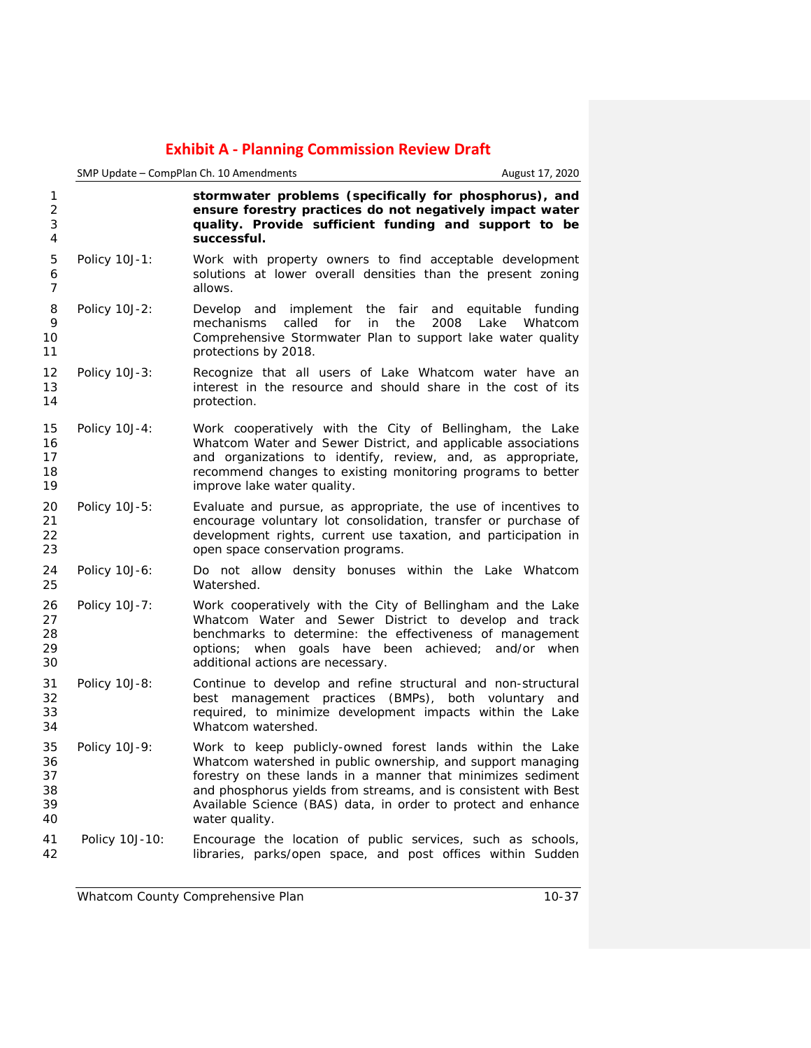|                                  | SMP Update - CompPlan Ch. 10 Amendments<br>August 17, 2020 |                                                                                                                                                                                                                                                                                                                                              |  |
|----------------------------------|------------------------------------------------------------|----------------------------------------------------------------------------------------------------------------------------------------------------------------------------------------------------------------------------------------------------------------------------------------------------------------------------------------------|--|
| 1<br>$\overline{2}$<br>3<br>4    |                                                            | stormwater problems (specifically for phosphorus), and<br>ensure forestry practices do not negatively impact water<br>quality. Provide sufficient funding and support to be<br>successful.                                                                                                                                                   |  |
| 5<br>6<br>7                      | Policy 10J-1:                                              | Work with property owners to find acceptable development<br>solutions at lower overall densities than the present zoning<br>allows.                                                                                                                                                                                                          |  |
| 8<br>9<br>10<br>11               | Policy 10J-2:                                              | Develop and implement the fair<br>and equitable funding<br>mechanisms<br>called<br>for<br>in<br>the<br>2008<br>Lake<br>Whatcom<br>Comprehensive Stormwater Plan to support lake water quality<br>protections by 2018.                                                                                                                        |  |
| 12<br>13<br>14                   | Policy 10J-3:                                              | Recognize that all users of Lake Whatcom water have an<br>interest in the resource and should share in the cost of its<br>protection.                                                                                                                                                                                                        |  |
| 15<br>16<br>17<br>18<br>19       | Policy 10J-4:                                              | Work cooperatively with the City of Bellingham, the Lake<br>Whatcom Water and Sewer District, and applicable associations<br>and organizations to identify, review, and, as appropriate,<br>recommend changes to existing monitoring programs to better<br>improve lake water quality.                                                       |  |
| 20<br>21<br>22<br>23             | Policy 10J-5:                                              | Evaluate and pursue, as appropriate, the use of incentives to<br>encourage voluntary lot consolidation, transfer or purchase of<br>development rights, current use taxation, and participation in<br>open space conservation programs.                                                                                                       |  |
| 24<br>25                         | Policy 10J-6:                                              | Do not allow density bonuses within the Lake Whatcom<br>Watershed.                                                                                                                                                                                                                                                                           |  |
| 26<br>27<br>28<br>29<br>30       | Policy 10J-7:                                              | Work cooperatively with the City of Bellingham and the Lake<br>Whatcom Water and Sewer District to develop and track<br>benchmarks to determine: the effectiveness of management<br>options; when goals have been achieved;<br>and/or when<br>additional actions are necessary.                                                              |  |
| 31<br>32<br>33<br>34             | Policy 10J-8:                                              | Continue to develop and refine structural and non-structural<br>management practices (BMPs), both voluntary and<br>best<br>required, to minimize development impacts within the Lake<br>Whatcom watershed.                                                                                                                                   |  |
| 35<br>36<br>37<br>38<br>39<br>40 | Policy 10J-9:                                              | Work to keep publicly-owned forest lands within the Lake<br>Whatcom watershed in public ownership, and support managing<br>forestry on these lands in a manner that minimizes sediment<br>and phosphorus yields from streams, and is consistent with Best<br>Available Science (BAS) data, in order to protect and enhance<br>water quality. |  |
| 41<br>42                         | Policy 10J-10:                                             | Encourage the location of public services, such as schools,<br>libraries, parks/open space, and post offices within Sudden                                                                                                                                                                                                                   |  |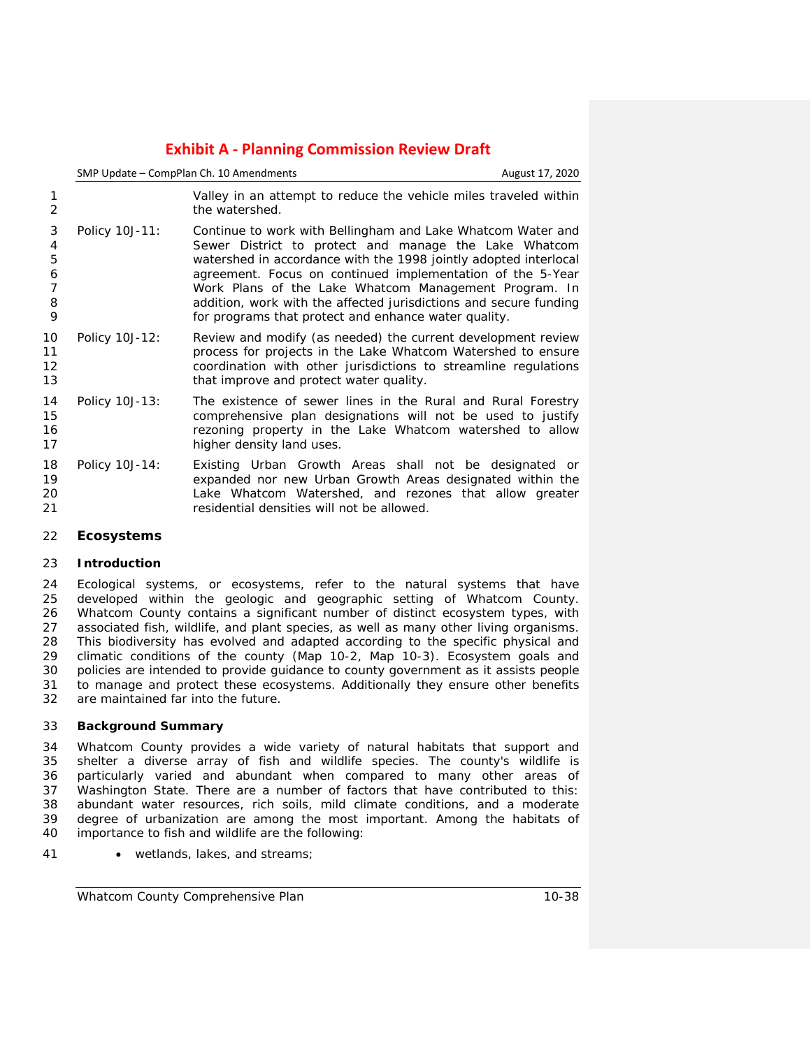|                                     | SMP Update - CompPlan Ch. 10 Amendments | August 17, 2020                                                                                                                                                                                                                                                                                                                                                                                                                              |  |
|-------------------------------------|-----------------------------------------|----------------------------------------------------------------------------------------------------------------------------------------------------------------------------------------------------------------------------------------------------------------------------------------------------------------------------------------------------------------------------------------------------------------------------------------------|--|
| 2                                   |                                         | Valley in an attempt to reduce the vehicle miles traveled within<br>the watershed.                                                                                                                                                                                                                                                                                                                                                           |  |
| 3<br>4<br>5<br>6<br>7<br>8<br>9     | Policy 10J-11:                          | Continue to work with Bellingham and Lake Whatcom Water and<br>Sewer District to protect and manage the Lake Whatcom<br>watershed in accordance with the 1998 jointly adopted interlocal<br>agreement. Focus on continued implementation of the 5-Year<br>Work Plans of the Lake Whatcom Management Program. In<br>addition, work with the affected jurisdictions and secure funding<br>for programs that protect and enhance water quality. |  |
| 10<br>11<br>$12 \overline{ }$<br>13 | Policy 10J-12:                          | Review and modify (as needed) the current development review<br>process for projects in the Lake Whatcom Watershed to ensure<br>coordination with other jurisdictions to streamline regulations<br>that improve and protect water quality.                                                                                                                                                                                                   |  |
| 14<br>15<br>16<br>17                | Policy 10J-13:                          | The existence of sewer lines in the Rural and Rural Forestry<br>comprehensive plan designations will not be used to justify<br>rezoning property in the Lake Whatcom watershed to allow<br>higher density land uses.                                                                                                                                                                                                                         |  |
| 18<br>19<br>20<br>21                | Policy 10J-14:                          | Existing Urban Growth Areas shall not be designated or<br>expanded nor new Urban Growth Areas designated within the<br>Lake Whatcom Watershed, and rezones that allow greater<br>residential densities will not be allowed.                                                                                                                                                                                                                  |  |

## **Ecosystems**

## **Introduction**

24 Ecological systems, or ecosystems, refer to the natural systems that have<br>25 developed within the geologic and geographic setting of Whatcom County. 25 developed within the geologic and geographic setting of Whatcom County.<br>26 Whatcom County contains a significant number of distinct ecosystem types, with Whatcom County contains a significant number of distinct ecosystem types, with 27 associated fish, wildlife, and plant species, as well as many other living organisms.<br>28 This biodiversity has evolved and adapted according to the specific physical and This biodiversity has evolved and adapted according to the specific physical and climatic conditions of the county (Map 10-2, Map 10-3). Ecosystem goals and policies are intended to provide guidance to county government as it assists people to manage and protect these ecosystems. Additionally they ensure other benefits are maintained far into the future.

## **Background Summary**

 Whatcom County provides a wide variety of natural habitats that support and shelter a diverse array of fish and wildlife species. The county's wildlife is particularly varied and abundant when compared to many other areas of Washington State. There are a number of factors that have contributed to this: abundant water resources, rich soils, mild climate conditions, and a moderate 39 degree of urbanization are among the most important. Among the habitats of importance to fish and wildlife are the following: importance to fish and wildlife are the following:

41 • wetlands, lakes, and streams;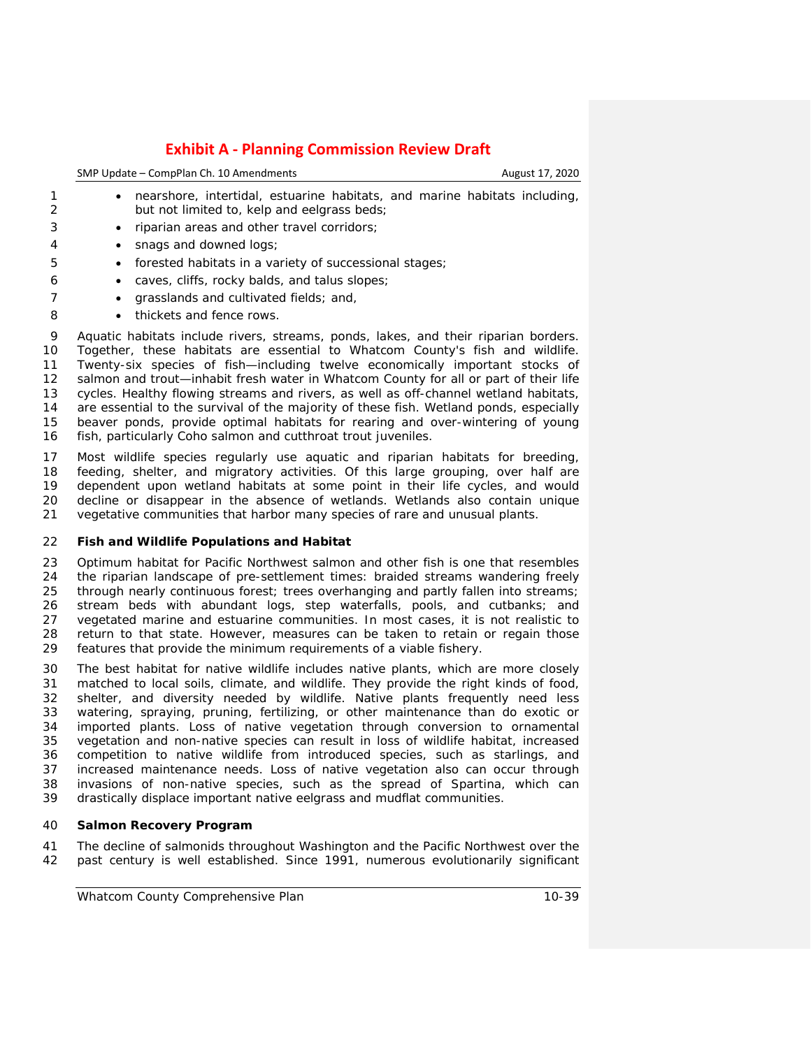| SMP Update - CompPlan Ch. 10 Amendments | August 17, 2020 |
|-----------------------------------------|-----------------|
|                                         |                 |
|                                         |                 |

- 1 nearshore, intertidal, estuarine habitats, and marine habitats including,<br>2 but not limited to, kelp and eelgrass beds: but not limited to, kelp and eelgrass beds;
- riparian areas and other travel corridors;
- snags and downed logs;
- forested habitats in a variety of successional stages;
- caves, cliffs, rocky balds, and talus slopes;
- 7 grasslands and cultivated fields; and,
- 8 thickets and fence rows.

 Aquatic habitats include rivers, streams, ponds, lakes, and their riparian borders. Together, these habitats are essential to Whatcom County's fish and wildlife. Twenty-six species of fish—including twelve economically important stocks of 12 salmon and trout—inhabit fresh water in Whatcom County for all or part of their life cycles. Healthy flowing streams and rivers, as well as off-channel wetland habitats, are essential to the survival of the majority of these fish. Wetland ponds, especially beaver ponds, provide optimal habitats for rearing and over-wintering of young fish, particularly Coho salmon and cutthroat trout juveniles.

 Most wildlife species regularly use aquatic and riparian habitats for breeding, feeding, shelter, and migratory activities. Of this large grouping, over half are dependent upon wetland habitats at some point in their life cycles, and would decline or disappear in the absence of wetlands. Wetlands also contain unique vegetative communities that harbor many species of rare and unusual plants.

## **Fish and Wildlife Populations and Habitat**

 Optimum habitat for Pacific Northwest salmon and other fish is one that resembles 24 the riparian landscape of pre-settlement times: braided streams wandering freely<br>25 through nearly continuous forest: trees overhanging and partly fallen into streams: through nearly continuous forest; trees overhanging and partly fallen into streams; 26 stream beds with abundant logs, step waterfalls, pools, and cutbanks; and 27 vegetated marine and estuarine communities. In most cases, it is not realistic to 27 vegetated marine and estuarine communities. In most cases, it is not realistic to 28 return to that state. However, measures can be taken to retain or regain those return to that state. However, measures can be taken to retain or regain those features that provide the minimum requirements of a viable fishery.

 The best habitat for native wildlife includes native plants, which are more closely matched to local soils, climate, and wildlife. They provide the right kinds of food, shelter, and diversity needed by wildlife. Native plants frequently need less watering, spraying, pruning, fertilizing, or other maintenance than do exotic or imported plants. Loss of native vegetation through conversion to ornamental vegetation and non-native species can result in loss of wildlife habitat, increased competition to native wildlife from introduced species, such as starlings, and 37 increased maintenance needs. Loss of native vegetation also can occur through 38 invasions of non-native species, such as the spread of Spartina, which can invasions of non-native species, such as the spread of *Spartina*, which can drastically displace important native eelgrass and mudflat communities.

## **Salmon Recovery Program**

 The decline of salmonids throughout Washington and the Pacific Northwest over the past century is well established. Since 1991, numerous evolutionarily significant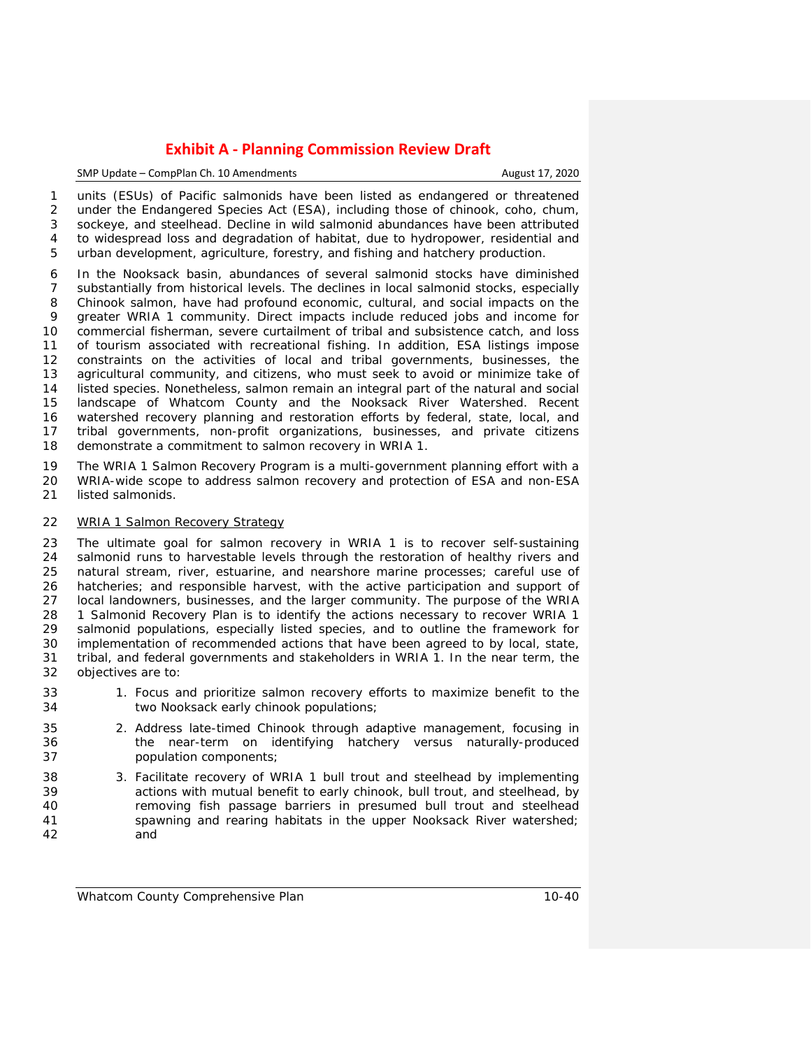#### SMP Update – CompPlan Ch. 10 Amendments **August 17, 2020**

 units (ESUs) of Pacific salmonids have been listed as endangered or threatened under the Endangered Species Act (ESA), including those of chinook, coho, chum, sockeye, and steelhead. Decline in wild salmonid abundances have been attributed to widespread loss and degradation of habitat, due to hydropower, residential and urban development, agriculture, forestry, and fishing and hatchery production.

 In the Nooksack basin, abundances of several salmonid stocks have diminished substantially from historical levels. The declines in local salmonid stocks, especially Chinook salmon, have had profound economic, cultural, and social impacts on the greater WRIA 1 community. Direct impacts include reduced jobs and income for commercial fisherman, severe curtailment of tribal and subsistence catch, and loss of tourism associated with recreational fishing. In addition, ESA listings impose constraints on the activities of local and tribal governments, businesses, the agricultural community, and citizens, who must seek to avoid or minimize take of listed species. Nonetheless, salmon remain an integral part of the natural and social landscape of Whatcom County and the Nooksack River Watershed. Recent watershed recovery planning and restoration efforts by federal, state, local, and tribal governments, non-profit organizations, businesses, and private citizens demonstrate a commitment to salmon recovery in WRIA 1.

19 The WRIA 1 Salmon Recovery Program is a multi-government planning effort with a<br>20 WRIA-wide scope to address salmon recovery and protection of ESA and non-ESA 20 WRIA-wide scope to address salmon recovery and protection of ESA and non-ESA<br>21 listed salmonids. listed salmonids.

## *WRIA 1 Salmon Recovery Strategy*

 The ultimate goal for salmon recovery in WRIA 1 is to recover self-sustaining salmonid runs to harvestable levels through the restoration of healthy rivers and natural stream, river, estuarine, and nearshore marine processes; careful use of hatcheries; and responsible harvest, with the active participation and support of local landowners, businesses, and the larger community. The purpose of the *WRIA 1 Salmonid Recovery Plan* is to identify the actions necessary to recover WRIA 1 salmonid populations, especially listed species, and to outline the framework for implementation of recommended actions that have been agreed to by local, state, tribal, and federal governments and stakeholders in WRIA 1. In the near term, the objectives are to:

- 33 1. Focus and prioritize salmon recovery efforts to maximize benefit to the 34 two Nooksack early chinook populations;
- 2. Address late-timed Chinook through adaptive management, focusing in the near-term on identifying hatchery versus naturally-produced population components;
- 3. Facilitate recovery of WRIA 1 bull trout and steelhead by implementing actions with mutual benefit to early chinook, bull trout, and steelhead, by removing fish passage barriers in presumed bull trout and steelhead spawning and rearing habitats in the upper Nooksack River watershed; and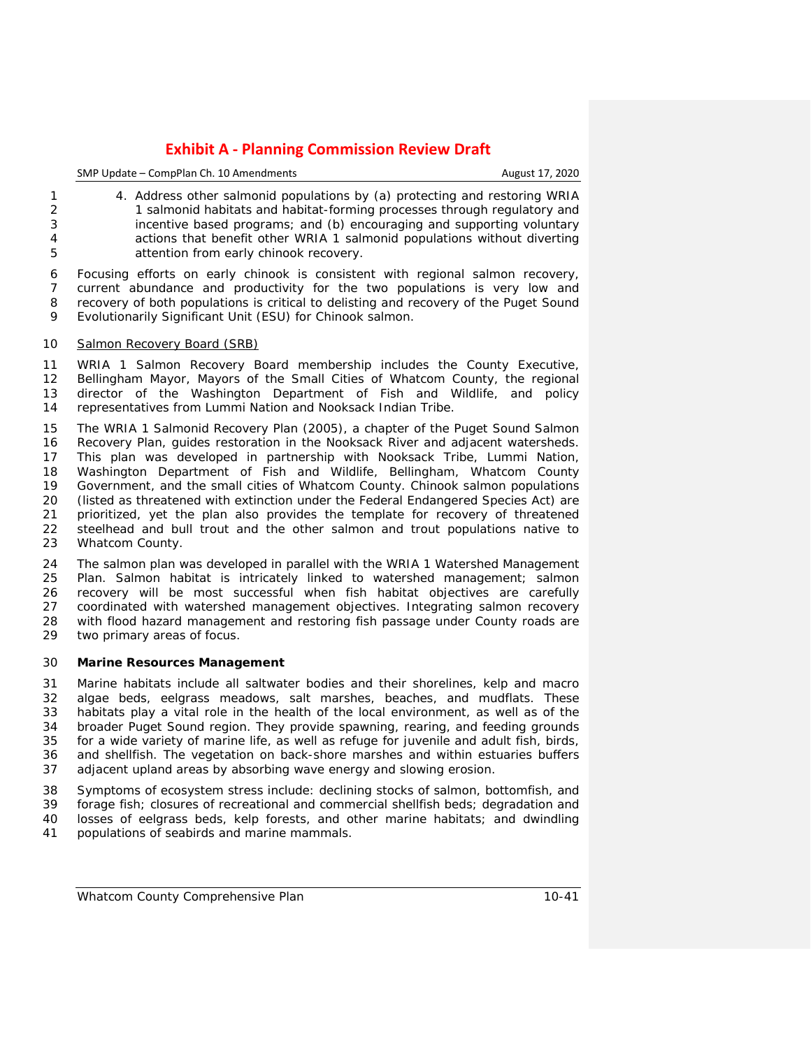| SMP Update – CompPlan Ch. 10 Amendments |  |
|-----------------------------------------|--|
|-----------------------------------------|--|

August 17, 2020

 4. Address other salmonid populations by (a) protecting and restoring WRIA 1 salmonid habitats and habitat-forming processes through regulatory and incentive based programs; and (b) encouraging and supporting voluntary actions that benefit other WRIA 1 salmonid populations without diverting attention from early chinook recovery.

 Focusing efforts on early chinook is consistent with regional salmon recovery, current abundance and productivity for the two populations is very low and recovery of both populations is critical to delisting and recovery of the Puget Sound Evolutionarily Significant Unit (ESU) for Chinook salmon.

## *Salmon Recovery Board (SRB)*

 WRIA 1 Salmon Recovery Board membership includes the County Executive, Bellingham Mayor, Mayors of the Small Cities of Whatcom County, the regional director of the Washington Department of Fish and Wildlife, and policy representatives from Lummi Nation and Nooksack Indian Tribe.

 The WRIA 1 Salmonid Recovery Plan (2005), a chapter of the Puget Sound Salmon Recovery Plan, guides restoration in the Nooksack River and adjacent watersheds. This plan was developed in partnership with Nooksack Tribe, Lummi Nation, Washington Department of Fish and Wildlife, Bellingham, Whatcom County Government, and the small cities of Whatcom County. Chinook salmon populations (listed as threatened with extinction under the Federal Endangered Species Act) are prioritized, yet the plan also provides the template for recovery of threatened steelhead and bull trout and the other salmon and trout populations native to Whatcom County.

24 The salmon plan was developed in parallel with the WRIA 1 Watershed Management<br>25 Plan, Salmon habitat is intricately linked to watershed management: salmon Plan. Salmon habitat is intricately linked to watershed management; salmon 26 recovery will be most successful when fish habitat objectives are carefully 27 coordinated with watershed management objectives. Integrating salmon recovery coordinated with watershed management objectives. Integrating salmon recovery with flood hazard management and restoring fish passage under County roads are two primary areas of focus.

#### **Marine Resources Management**

 Marine habitats include all saltwater bodies and their shorelines, kelp and macro algae beds, eelgrass meadows, salt marshes, beaches, and mudflats. These habitats play a vital role in the health of the local environment, as well as of the 34 broader Puget Sound region. They provide spawning, rearing, and feeding grounds<br>35 for a wide variety of marine life, as well as refuge for iuvenile and adult fish, birds, for a wide variety of marine life, as well as refuge for juvenile and adult fish, birds, and shellfish. The vegetation on back-shore marshes and within estuaries buffers adjacent upland areas by absorbing wave energy and slowing erosion.

 Symptoms of ecosystem stress include: declining stocks of salmon, bottomfish, and forage fish; closures of recreational and commercial shellfish beds; degradation and losses of eelgrass beds, kelp forests, and other marine habitats; and dwindling

populations of seabirds and marine mammals.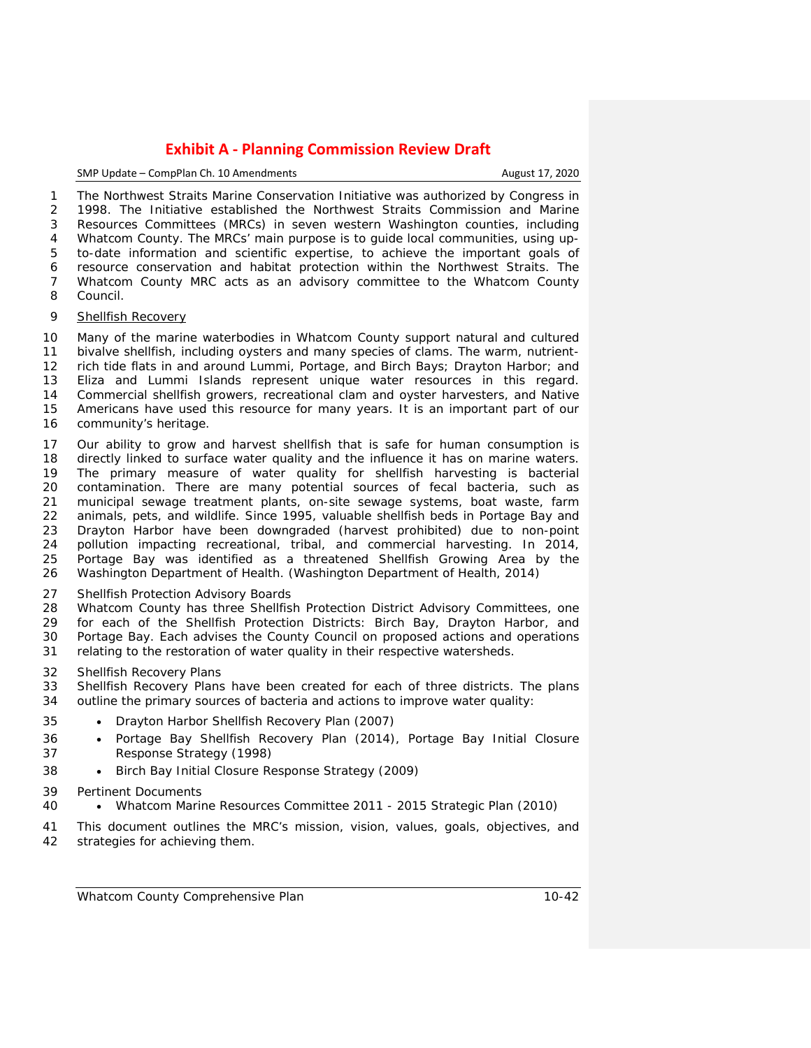SMP Update – CompPlan Ch. 10 Amendments **August 17, 2020** 

 The Northwest Straits Marine Conservation Initiative was authorized by Congress in 1998. The Initiative established the Northwest Straits Commission and Marine Resources Committees (MRCs) in seven western Washington counties, including Whatcom County. The MRCs' main purpose is to guide local communities, using up- to-date information and scientific expertise, to achieve the important goals of resource conservation and habitat protection within the Northwest Straits. The Whatcom County MRC acts as an advisory committee to the Whatcom County

Council.

#### *Shellfish Recovery*

 Many of the marine waterbodies in Whatcom County support natural and cultured bivalve shellfish, including oysters and many species of clams. The warm, nutrient- rich tide flats in and around Lummi, Portage, and Birch Bays; Drayton Harbor; and Eliza and Lummi Islands represent unique water resources in this regard. Commercial shellfish growers, recreational clam and oyster harvesters, and Native Americans have used this resource for many years. It is an important part of our community's heritage.

 Our ability to grow and harvest shellfish that is safe for human consumption is 18 directly linked to surface water quality and the influence it has on marine waters.<br>19 The primary measure of water quality for shellfish harvesting is bacterial 19 The primary measure of water quality for shellfish harvesting is bacterial<br>20 contamination. There are many potential sources of fecal bacteria, such as 20 contamination. There are many potential sources of fecal bacteria, such as<br>21 municipal sewage treatment plants, on-site sewage systems, boat waste, farm 21 municipal sewage treatment plants, on-site sewage systems, boat waste, farm<br>22 animals, pets, and wildlife. Since 1995, valuable shellfish beds in Portage Bay and animals, pets, and wildlife. Since 1995, valuable shellfish beds in Portage Bay and Drayton Harbor have been downgraded (harvest prohibited) due to non-point pollution impacting recreational, tribal, and commercial harvesting. In 2014, Portage Bay was identified as a threatened Shellfish Growing Area by the Washington Department of Health. (Washington Department of Health, 2014)

## *Shellfish Protection Advisory Boards*

 Whatcom County has three Shellfish Protection District Advisory Committees, one for each of the Shellfish Protection Districts: Birch Bay, Drayton Harbor, and Portage Bay. Each advises the County Council on proposed actions and operations relating to the restoration of water quality in their respective watersheds.

#### *Shellfish Recovery Plans*

 Shellfish Recovery Plans have been created for each of three districts. The plans outline the primary sources of bacteria and actions to improve water quality:

- [Drayton Harbor Shellfish Recovery Plan \(2007\)](http://www.co.whatcom.wa.us/publicworks/water/naturalresources/pdf/DHStatus-2007final.pdf)
- [Portage Bay Shellfish Recovery Plan \(2014\),](http://www.co.whatcom.wa.us/publicworks/water/naturalresources/pdf/CRSupdate05-14.final.pdf) [Portage Bay Initial Closure](http://www.co.whatcom.wa.us/publicworks/water/naturalresources/pdf/pbspdresponsestrat_1998.pdf)  [Response Strategy \(1998\)](http://www.co.whatcom.wa.us/publicworks/water/naturalresources/pdf/pbspdresponsestrat_1998.pdf)
- [Birch Bay Initial Closure Response Strategy \(2009\)](http://www.co.whatcom.wa.us/publicworks/water/naturalresources/pdf/BBresponsestrategy2009.pdf)
- *Pertinent Documents*
- Whatcom Marine Resources Committee 2011 2015 Strategic Plan (2010)
- This document outlines the MRC's mission, vision, values, goals, objectives, and strategies for achieving them.

*Whatcom County Comprehensive Plan 10-42*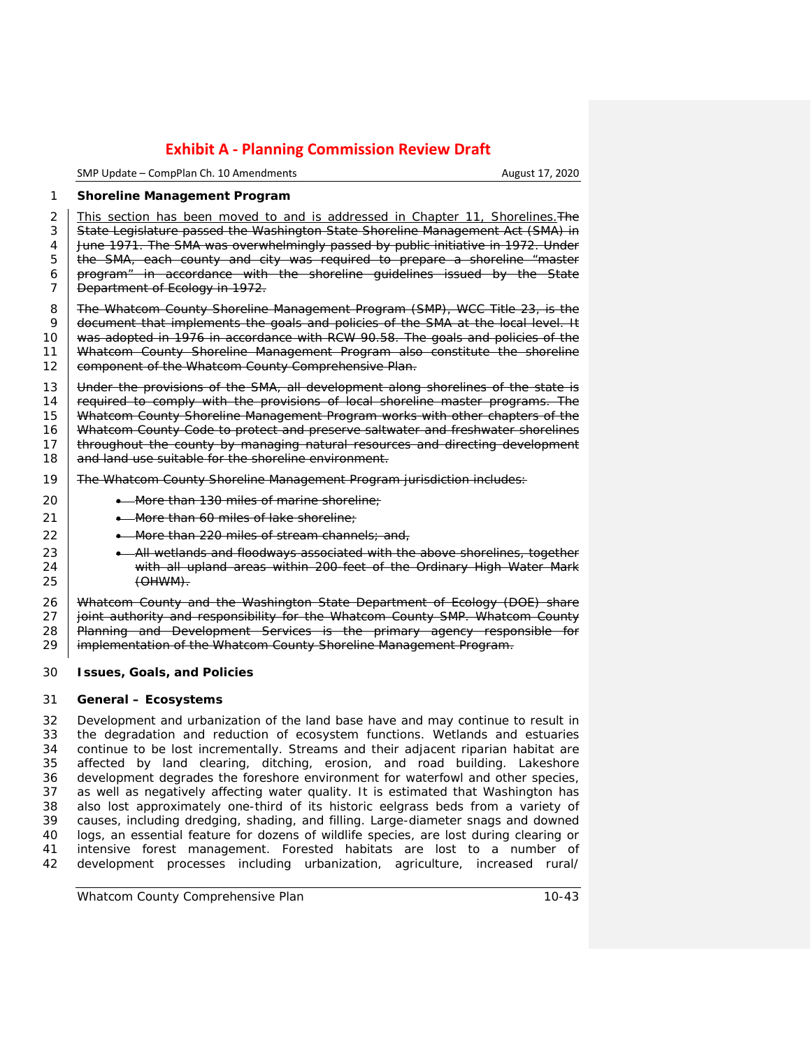SMP Update – CompPlan Ch. 10 Amendments **August 17, 2020** 

#### 1 **Shoreline Management Program**

2 This section has been moved to and is addressed in Chapter 11, Shorelines. The 3 State Legislature passed the Washington State Shoreline Management Act (SMA) in 4 June 1971. The SMA was overwhelmingly passed by public initiative in 1972. Under 5 | the SMA, each county and city was required to prepare a shoreline "master 6 | program" in accordance with the shoreline guidelines issued by the State 7 | Department of Ecology in 1972.

8 The Whatcom County Shoreline Management Program (SMP), WCC Title 23, is the 8 SMP at the Whatcom County Shoreline Management Program (SMP), WCC Title 23, is the document that implements the goals and policies of the SMA at the local level. It 10 was adopted in 1976 in accordance with RCW 90.58. The goals and policies of the 11 Whatcom County Shoreline Management Program also constitute the shoreline 12 **component of the Whatcom County Comprehensive Plan.** 

13 Under the provisions of the SMA, all development along shorelines of the state is 14 required to comply with the provisions of local shoreline master programs. The 15 Whatcom County Shoreline Management Program works with other chapters of the 16 Whatcom County Code to protect and preserve saltwater and freshwater shorelines 17 **throughout the county by managing natural resources and directing development** 18 and land use suitable for the shoreline environment.

#### 19 The Whatcom County Shoreline Management Program jurisdiction includes:

20 **•** More than 130 miles of marine shoreline;

- 21  **More than 60 miles of lake shoreline**
- 22  **More than 220 miles of stream channels**; and,
- 23  **All wetlands and floodways associated with the above shorelines, together**<br>24  **With all upland areas within 200-feet of the Ordinary High Water Mark** 24 with all upland areas within 200-feet of the Ordinary High Water Mark  $(OHWM)$ .

26 Whatcom County and the Washington State Department of Ecology (DOE) share 27 | joint authority and responsibility for the Whatcom County SMP. Whatcom County 28 | Planning and Development Services is the primary agency responsible for 29 implementation of the Whatcom County Shoreline Management Program.

## 30 **Issues, Goals, and Policies**

## 31 **General – Ecosystems**

 Development and urbanization of the land base have and may continue to result in 33 the degradation and reduction of ecosystem functions. Wetlands and estuaries<br>34 continue to be lost incrementally. Streams and their adiacent riparian habitat are 34 continue to be lost incrementally. Streams and their adjacent riparian habitat are<br>35 affected by land clearing ditching erosion, and road building. Lakeshore affected by land clearing, ditching, erosion, and road building. Lakeshore development degrades the foreshore environment for waterfowl and other species, as well as negatively affecting water quality. It is estimated that Washington has also lost approximately one-third of its historic eelgrass beds from a variety of causes, including dredging, shading, and filling. Large-diameter snags and downed logs, an essential feature for dozens of wildlife species, are lost during clearing or intensive forest management. Forested habitats are lost to a number of development processes including urbanization, agriculture, increased rural/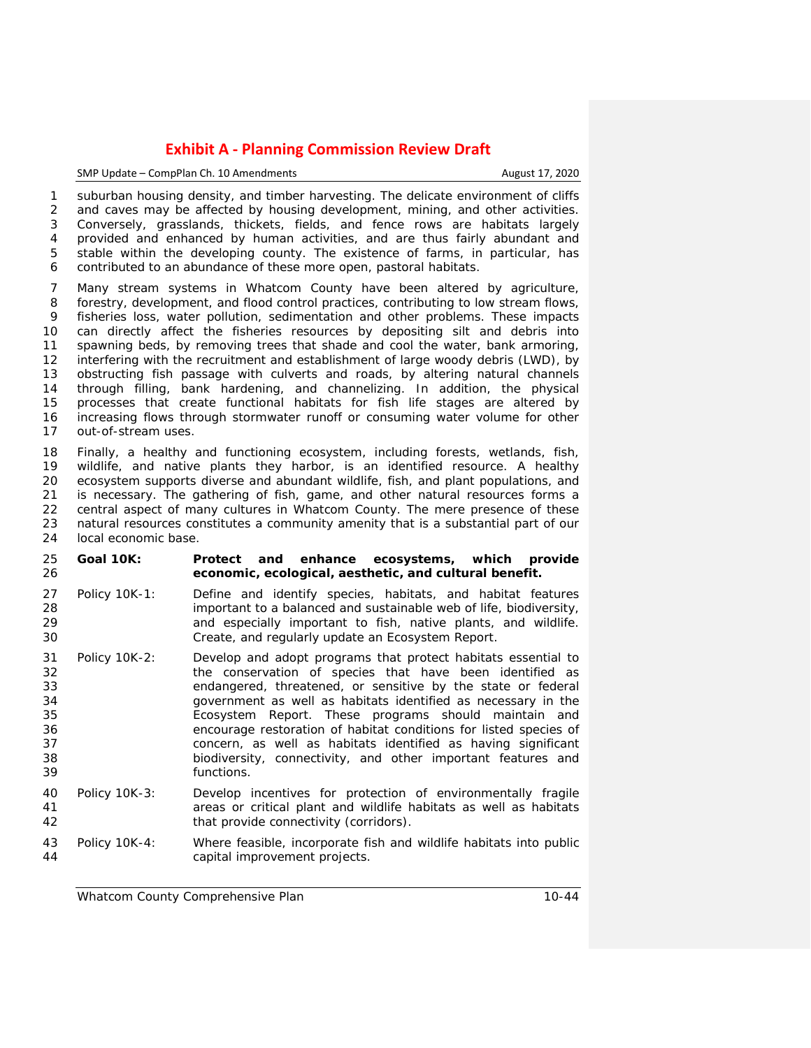### SMP Update – CompPlan Ch. 10 Amendments **August 17, 2020**

 suburban housing density, and timber harvesting. The delicate environment of cliffs and caves may be affected by housing development, mining, and other activities. Conversely, grasslands, thickets, fields, and fence rows are habitats largely provided and enhanced by human activities, and are thus fairly abundant and stable within the developing county. The existence of farms, in particular, has contributed to an abundance of these more open, pastoral habitats.

 Many stream systems in Whatcom County have been altered by agriculture, forestry, development, and flood control practices, contributing to low stream flows, fisheries loss, water pollution, sedimentation and other problems. These impacts can directly affect the fisheries resources by depositing silt and debris into spawning beds, by removing trees that shade and cool the water, bank armoring, interfering with the recruitment and establishment of large woody debris (LWD), by obstructing fish passage with culverts and roads, by altering natural channels through filling, bank hardening, and channelizing. In addition, the physical processes that create functional habitats for fish life stages are altered by increasing flows through stormwater runoff or consuming water volume for other out-of-stream uses.

18 Finally, a healthy and functioning ecosystem, including forests, wetlands, fish,<br>19 wildlife, and native plants they harbor, is an identified resource. A healthy 19 wildlife, and native plants they harbor, is an identified resource. A healthy<br>20 ecosystem supports diverse and abundant wildlife, fish, and plant populations, and 20 ecosystem supports diverse and abundant wildlife, fish, and plant populations, and<br>21 is necessary. The gathering of fish, game, and other natural resources forms a is necessary. The gathering of fish, game, and other natural resources forms a central aspect of many cultures in Whatcom County. The mere presence of these natural resources constitutes a community amenity that is a substantial part of our local economic base.

- **Goal 10K: Protect and enhance ecosystems, which provide economic, ecological, aesthetic, and cultural benefit.**
- Policy 10K-1: Define and identify species, habitats, and habitat features 28 important to a balanced and sustainable web of life, biodiversity,<br>29 and especially important to fish, native plants, and wildlife. and especially important to fish, native plants, and wildlife. Create, and regularly update an Ecosystem Report.
- Policy 10K-2: Develop and adopt programs that protect habitats essential to 32 the conservation of species that have been identified as<br>33 the endangered, threatened, or sensitive by the state or federal endangered, threatened, or sensitive by the state or federal government as well as habitats identified as necessary in the Ecosystem Report. These programs should maintain and encourage restoration of habitat conditions for listed species of concern, as well as habitats identified as having significant biodiversity, connectivity, and other important features and functions.
- Policy 10K-3: Develop incentives for protection of environmentally fragile areas or critical plant and wildlife habitats as well as habitats that provide connectivity (corridors).
- Policy 10K-4: Where feasible, incorporate fish and wildlife habitats into public capital improvement projects.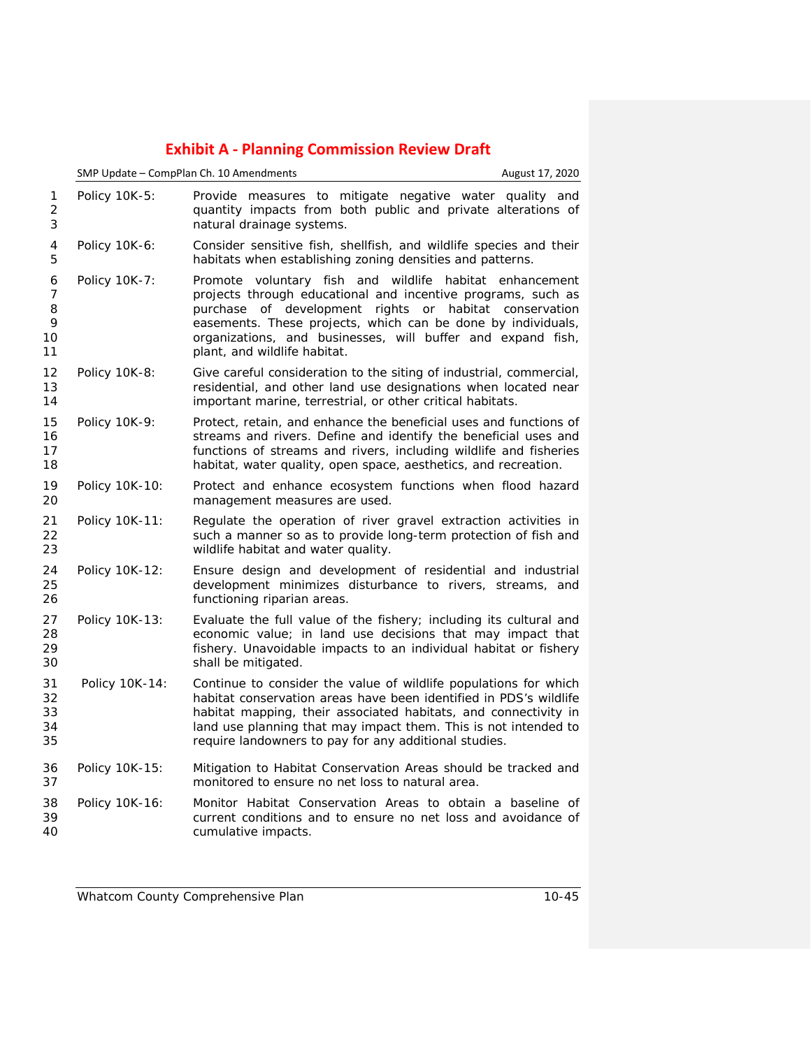|                              | SMP Update - CompPlan Ch. 10 Amendments | August 17, 2020                                                                                                                                                                                                                                                                                                                                  |  |
|------------------------------|-----------------------------------------|--------------------------------------------------------------------------------------------------------------------------------------------------------------------------------------------------------------------------------------------------------------------------------------------------------------------------------------------------|--|
| 1<br>$\overline{2}$<br>3     | Policy 10K-5:                           | Provide measures to mitigate negative water quality and<br>quantity impacts from both public and private alterations of<br>natural drainage systems.                                                                                                                                                                                             |  |
| 4<br>5                       | Policy 10K-6:                           | Consider sensitive fish, shellfish, and wildlife species and their<br>habitats when establishing zoning densities and patterns.                                                                                                                                                                                                                  |  |
| 6<br>7<br>8<br>9<br>10<br>11 | Policy 10K-7:                           | Promote voluntary fish and wildlife habitat enhancement<br>projects through educational and incentive programs, such as<br>purchase of development rights or habitat conservation<br>easements. These projects, which can be done by individuals,<br>organizations, and businesses, will buffer and expand fish,<br>plant, and wildlife habitat. |  |
| 12<br>13<br>14               | Policy 10K-8:                           | Give careful consideration to the siting of industrial, commercial,<br>residential, and other land use designations when located near<br>important marine, terrestrial, or other critical habitats.                                                                                                                                              |  |
| 15<br>16<br>17<br>18         | Policy 10K-9:                           | Protect, retain, and enhance the beneficial uses and functions of<br>streams and rivers. Define and identify the beneficial uses and<br>functions of streams and rivers, including wildlife and fisheries<br>habitat, water quality, open space, aesthetics, and recreation.                                                                     |  |
| 19<br>20                     | Policy 10K-10:                          | Protect and enhance ecosystem functions when flood hazard<br>management measures are used.                                                                                                                                                                                                                                                       |  |
| 21<br>22<br>23               | Policy 10K-11:                          | Regulate the operation of river gravel extraction activities in<br>such a manner so as to provide long-term protection of fish and<br>wildlife habitat and water quality.                                                                                                                                                                        |  |
| 24<br>25<br>26               | Policy 10K-12:                          | Ensure design and development of residential and industrial<br>development minimizes disturbance to rivers, streams, and<br>functioning riparian areas.                                                                                                                                                                                          |  |
| 27<br>28<br>29<br>30         | Policy 10K-13:                          | Evaluate the full value of the fishery; including its cultural and<br>economic value; in land use decisions that may impact that<br>fishery. Unavoidable impacts to an individual habitat or fishery<br>shall be mitigated.                                                                                                                      |  |
| 31<br>32<br>33<br>34<br>35   | Policy 10K-14:                          | Continue to consider the value of wildlife populations for which<br>habitat conservation areas have been identified in PDS's wildlife<br>habitat mapping, their associated habitats, and connectivity in<br>land use planning that may impact them. This is not intended to<br>require landowners to pay for any additional studies.             |  |
| 36<br>37                     | Policy 10K-15:                          | Mitigation to Habitat Conservation Areas should be tracked and<br>monitored to ensure no net loss to natural area.                                                                                                                                                                                                                               |  |
| 38<br>39<br>40               | Policy 10K-16:                          | Monitor Habitat Conservation Areas to obtain a baseline of<br>current conditions and to ensure no net loss and avoidance of<br>cumulative impacts.                                                                                                                                                                                               |  |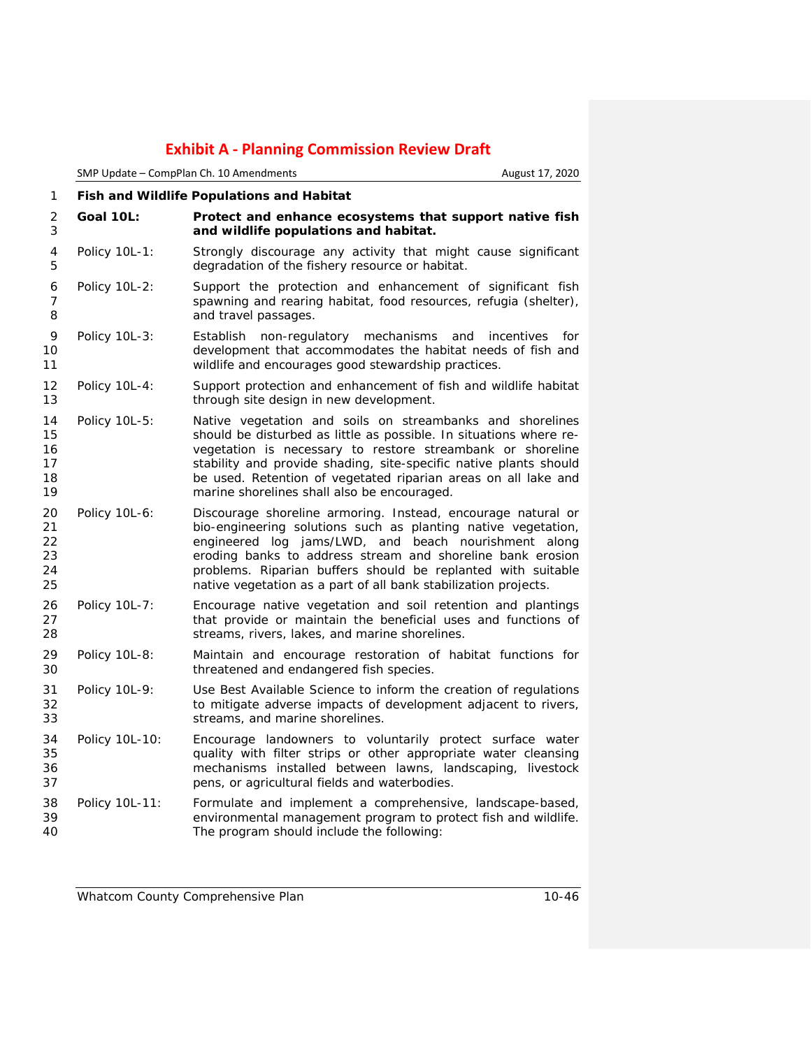|                                  | SMP Update - CompPlan Ch. 10 Amendments          |                                                                                                                                                                                                                                                                                                                                                                                        | August 17, 2020          |
|----------------------------------|--------------------------------------------------|----------------------------------------------------------------------------------------------------------------------------------------------------------------------------------------------------------------------------------------------------------------------------------------------------------------------------------------------------------------------------------------|--------------------------|
| 1                                | <b>Fish and Wildlife Populations and Habitat</b> |                                                                                                                                                                                                                                                                                                                                                                                        |                          |
| 2<br>3                           | Goal 10L:                                        | Protect and enhance ecosystems that support native fish<br>and wildlife populations and habitat.                                                                                                                                                                                                                                                                                       |                          |
| 4<br>5                           | Policy 10L-1:                                    | Strongly discourage any activity that might cause significant<br>degradation of the fishery resource or habitat.                                                                                                                                                                                                                                                                       |                          |
| 6<br>7<br>8                      | Policy 10L-2:                                    | Support the protection and enhancement of significant fish<br>spawning and rearing habitat, food resources, refugia (shelter),<br>and travel passages.                                                                                                                                                                                                                                 |                          |
| 9<br>10<br>11                    | Policy 10L-3:                                    | Establish non-regulatory mechanisms<br>development that accommodates the habitat needs of fish and<br>wildlife and encourages good stewardship practices.                                                                                                                                                                                                                              | and<br>incentives<br>for |
| 12<br>13                         | Policy 10L-4:                                    | Support protection and enhancement of fish and wildlife habitat<br>through site design in new development.                                                                                                                                                                                                                                                                             |                          |
| 14<br>15<br>16<br>17<br>18<br>19 | Policy 10L-5:                                    | Native vegetation and soils on streambanks and shorelines<br>should be disturbed as little as possible. In situations where re-<br>vegetation is necessary to restore streambank or shoreline<br>stability and provide shading, site-specific native plants should<br>be used. Retention of vegetated riparian areas on all lake and<br>marine shorelines shall also be encouraged.    |                          |
| 20<br>21<br>22<br>23<br>24<br>25 | Policy 10L-6:                                    | Discourage shoreline armoring. Instead, encourage natural or<br>bio-engineering solutions such as planting native vegetation,<br>engineered log jams/LWD, and beach nourishment along<br>eroding banks to address stream and shoreline bank erosion<br>problems. Riparian buffers should be replanted with suitable<br>native vegetation as a part of all bank stabilization projects. |                          |
| 26<br>27<br>28                   | Policy 10L-7:                                    | Encourage native vegetation and soil retention and plantings<br>that provide or maintain the beneficial uses and functions of<br>streams, rivers, lakes, and marine shorelines.                                                                                                                                                                                                        |                          |
| 29<br>30                         | Policy 10L-8:                                    | Maintain and encourage restoration of habitat functions for<br>threatened and endangered fish species.                                                                                                                                                                                                                                                                                 |                          |
| 31<br>32<br>33                   | Policy 10L-9:                                    | Use Best Available Science to inform the creation of regulations<br>to mitigate adverse impacts of development adjacent to rivers,<br>streams, and marine shorelines.                                                                                                                                                                                                                  |                          |
| 34<br>35<br>36<br>37             | Policy 10L-10:                                   | Encourage landowners to voluntarily protect surface water<br>quality with filter strips or other appropriate water cleansing<br>mechanisms installed between lawns, landscaping, livestock<br>pens, or agricultural fields and waterbodies.                                                                                                                                            |                          |
| 38<br>39<br>40                   | Policy 10L-11:                                   | Formulate and implement a comprehensive, landscape-based,<br>environmental management program to protect fish and wildlife.<br>The program should include the following:                                                                                                                                                                                                               |                          |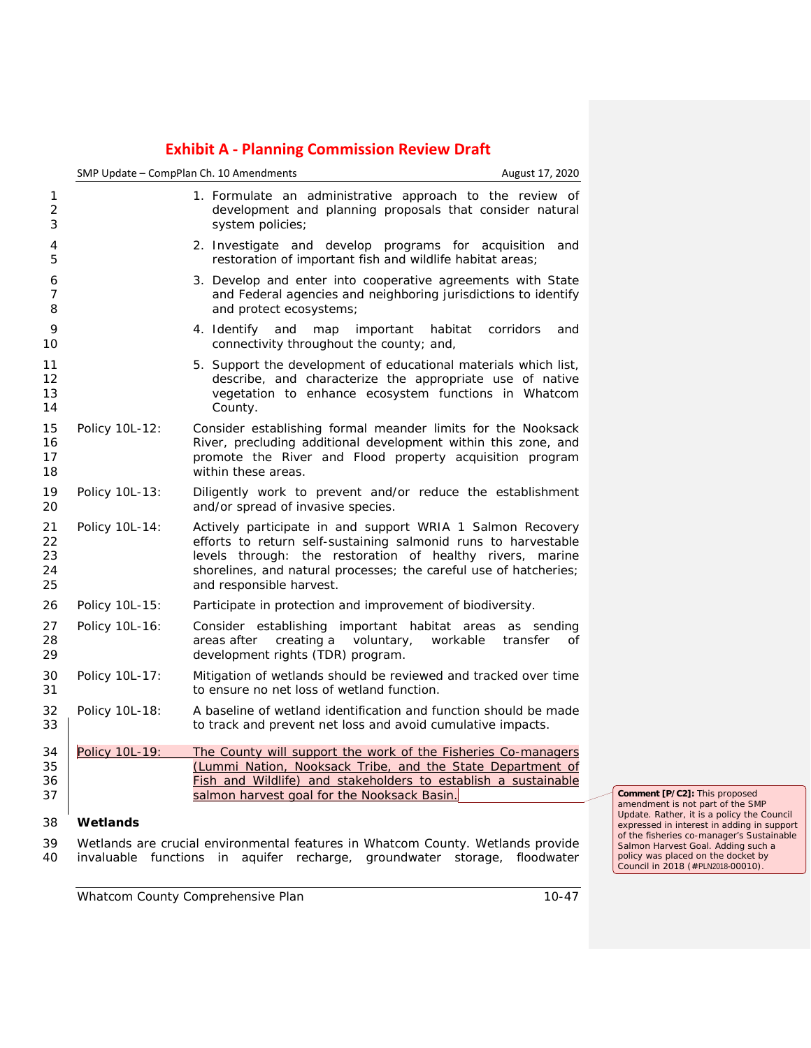|                            | SMP Update - CompPlan Ch. 10 Amendments |                                                                                                                                                                                                                                                                                            | August 17, 2020             |
|----------------------------|-----------------------------------------|--------------------------------------------------------------------------------------------------------------------------------------------------------------------------------------------------------------------------------------------------------------------------------------------|-----------------------------|
| $\overline{c}$             |                                         | 1. Formulate an administrative approach to the review of<br>development and planning proposals that consider natural<br>system policies;                                                                                                                                                   |                             |
| 4<br>5                     |                                         | 2. Investigate and develop programs for acquisition and<br>restoration of important fish and wildlife habitat areas;                                                                                                                                                                       |                             |
| 6<br>7<br>8                |                                         | 3. Develop and enter into cooperative agreements with State<br>and Federal agencies and neighboring jurisdictions to identify<br>and protect ecosystems;                                                                                                                                   |                             |
| 9<br>10                    |                                         | 4. Identify<br>and map<br>important<br>connectivity throughout the county; and,                                                                                                                                                                                                            | habitat<br>corridors<br>and |
| 11<br>12<br>13<br>14       |                                         | 5. Support the development of educational materials which list,<br>describe, and characterize the appropriate use of native<br>vegetation to enhance ecosystem functions in Whatcom<br>County.                                                                                             |                             |
| 15<br>16<br>17<br>18       | Policy 10L-12:                          | Consider establishing formal meander limits for the Nooksack<br>River, precluding additional development within this zone, and<br>promote the River and Flood property acquisition program<br>within these areas.                                                                          |                             |
| 19<br>20                   | Policy 10L-13:                          | Diligently work to prevent and/or reduce the establishment<br>and/or spread of invasive species.                                                                                                                                                                                           |                             |
| 21<br>22<br>23<br>24<br>25 | Policy 10L-14:                          | Actively participate in and support WRIA 1 Salmon Recovery<br>efforts to return self-sustaining salmonid runs to harvestable<br>levels through: the restoration of healthy rivers, marine<br>shorelines, and natural processes; the careful use of hatcheries;<br>and responsible harvest. |                             |
| 26                         | Policy 10L-15:                          | Participate in protection and improvement of biodiversity.                                                                                                                                                                                                                                 |                             |
| 27<br>28<br>29             | Policy 10L-16:                          | Consider establishing important habitat areas as sending<br>areas after<br>creating a<br>voluntary,<br>development rights (TDR) program.                                                                                                                                                   | workable<br>transfer<br>of  |
| 30<br>31                   | Policy 10L-17:                          | Mitigation of wetlands should be reviewed and tracked over time<br>to ensure no net loss of wetland function.                                                                                                                                                                              |                             |
| 32<br>33                   | Policy 10L-18:                          | A baseline of wetland identification and function should be made<br>to track and prevent net loss and avoid cumulative impacts.                                                                                                                                                            |                             |
| 34<br>35<br>36<br>37       | <b>Policy 10L-19:</b>                   | The County will support the work of the Fisheries Co-managers<br>(Lummi Nation, Nooksack Tribe, and the State Department of<br>Fish and Wildlife) and stakeholders to establish a sustainable<br>salmon harvest goal for the Nooksack Basin.                                               |                             |
| 38                         | Wetlands                                |                                                                                                                                                                                                                                                                                            |                             |
| 39                         |                                         | Wetlands are crucial environmental features in Whatcom County. Wetlands provide                                                                                                                                                                                                            |                             |
| 40                         | invaluable                              | aquifer recharge, groundwater<br>functions in                                                                                                                                                                                                                                              | storage, floodwater         |

**Comment [P/C2]:** This proposed amendment is not part of the SMP Update. Rather, it is a policy the Council expressed in interest in adding in support of the fisheries co-manager's Sustainable Salmon Harvest Goal. Adding such a policy was placed on the docket by Council in 2018 (#PLN2018-00010).

*Whatcom County Comprehensive Plan 10-47*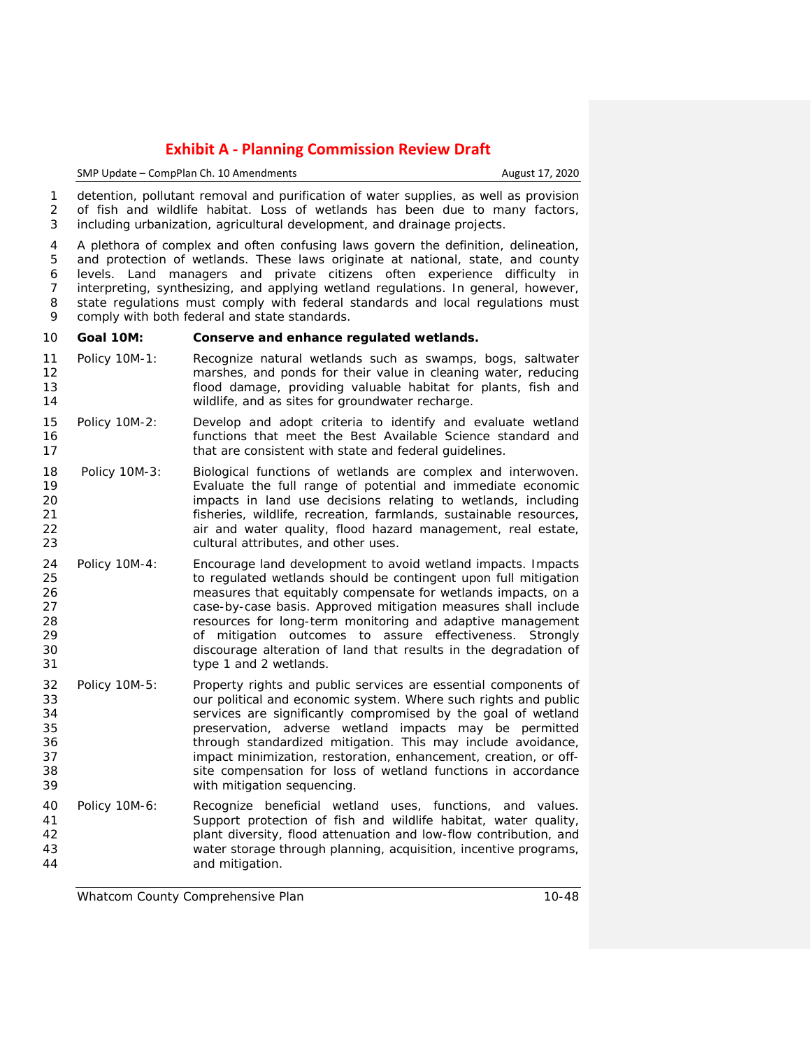SMP Update – CompPlan Ch. 10 Amendments **August 17, 2020** 

 detention, pollutant removal and purification of water supplies, as well as provision of fish and wildlife habitat. Loss of wetlands has been due to many factors, including urbanization, agricultural development, and drainage projects.

 A plethora of complex and often confusing laws govern the definition, delineation, and protection of wetlands. These laws originate at national, state, and county levels. Land managers and private citizens often experience difficulty in interpreting, synthesizing, and applying wetland regulations. In general, however, 8 state regulations must comply with federal standards and local regulations must comply with both federal and state standards.

## **Goal 10M: Conserve and enhance regulated wetlands.**

- Policy 10M-1: Recognize natural wetlands such as swamps, bogs, saltwater marshes, and ponds for their value in cleaning water, reducing flood damage, providing valuable habitat for plants, fish and wildlife, and as sites for groundwater recharge.
- Policy 10M-2: Develop and adopt criteria to identify and evaluate wetland functions that meet the Best Available Science standard and 17 that are consistent with state and federal guidelines.
- Policy 10M-3: Biological functions of wetlands are complex and interwoven. Evaluate the full range of potential and immediate economic impacts in land use decisions relating to wetlands, including fisheries, wildlife, recreation, farmlands, sustainable resources, 22 air and water quality, flood hazard management, real estate, cultural attributes, and other uses.
- Policy 10M-4: Encourage land development to avoid wetland impacts. Impacts 25 to regulated wetlands should be contingent upon full mitigation<br>26 measures that equitably compensate for wetlands impacts, on a 26 26 measures that equitably compensate for wetlands impacts, on a<br>27 measures case-by-case basis. Approved mitigation measures shall include case-by-case basis. Approved mitigation measures shall include resources for long-term monitoring and adaptive management of mitigation outcomes to assure effectiveness. Strongly discourage alteration of land that results in the degradation of type 1 and 2 wetlands.
- Policy 10M-5: Property rights and public services are essential components of our political and economic system. Where such rights and public 34 services are significantly compromised by the goal of wetland<br>35 serves in the servation adverse wetland impacts may be permitted preservation, adverse wetland impacts may be permitted through standardized mitigation. This may include avoidance, 37 impact minimization, restoration, enhancement, creation, or off- site compensation for loss of wetland functions in accordance with mitigation sequencing.
- Policy 10M-6: Recognize beneficial wetland uses, functions, and values. Support protection of fish and wildlife habitat, water quality, plant diversity, flood attenuation and low-flow contribution, and water storage through planning, acquisition, incentive programs, and mitigation.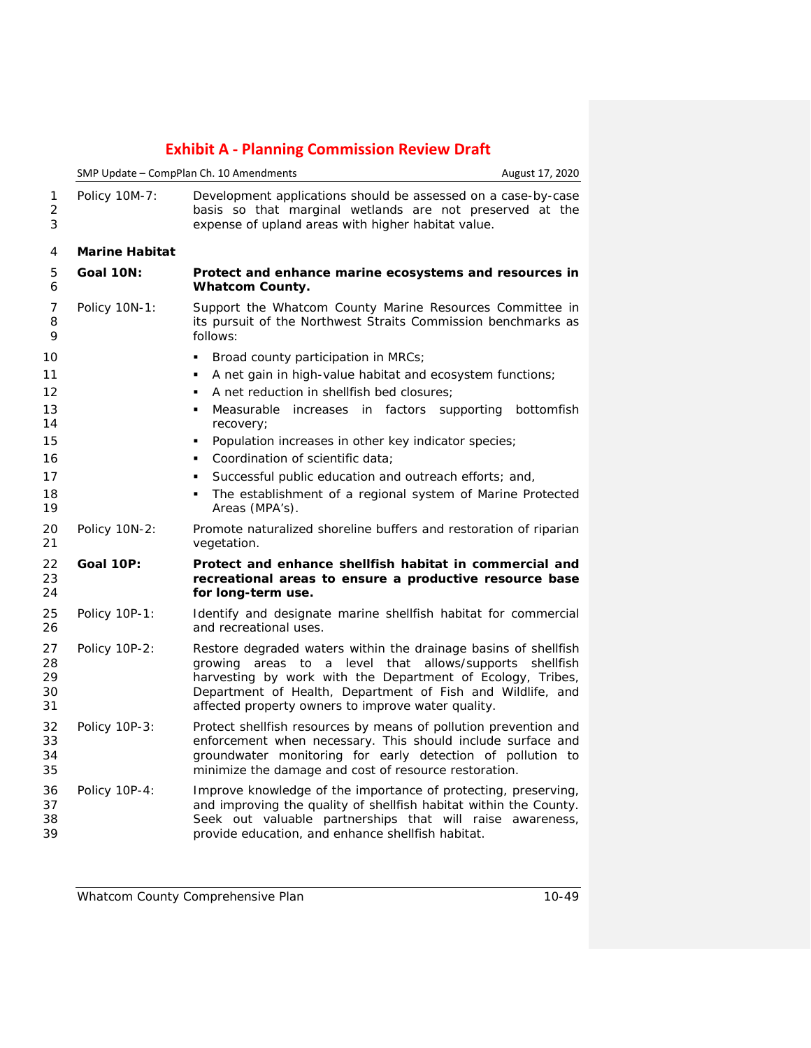|                                  |                       | SMP Update - CompPlan Ch. 10 Amendments                                                                                                                                                                                                                                                                  | August 17, 2020 |
|----------------------------------|-----------------------|----------------------------------------------------------------------------------------------------------------------------------------------------------------------------------------------------------------------------------------------------------------------------------------------------------|-----------------|
| 1<br>2<br>3                      | Policy 10M-7:         | Development applications should be assessed on a case-by-case<br>basis so that marginal wetlands are not preserved at the<br>expense of upland areas with higher habitat value.                                                                                                                          |                 |
| 4                                | <b>Marine Habitat</b> |                                                                                                                                                                                                                                                                                                          |                 |
| 5<br>6                           | Goal 10N:             | Protect and enhance marine ecosystems and resources in<br><b>Whatcom County.</b>                                                                                                                                                                                                                         |                 |
| 7<br>8<br>9                      | Policy 10N-1:         | Support the Whatcom County Marine Resources Committee in<br>its pursuit of the Northwest Straits Commission benchmarks as<br>follows:                                                                                                                                                                    |                 |
| 10<br>11<br>12<br>13<br>14<br>15 |                       | Broad county participation in MRCs;<br>A net gain in high-value habitat and ecosystem functions;<br>A net reduction in shellfish bed closures;<br>Measurable increases in factors supporting<br>$\blacksquare$<br>recovery;<br>Population increases in other key indicator species;<br>٠                 | bottomfish      |
| 16<br>17<br>18<br>19             |                       | Coordination of scientific data:<br>Successful public education and outreach efforts; and,<br>The establishment of a regional system of Marine Protected<br>٠<br>Areas (MPA's).                                                                                                                          |                 |
| 20<br>21                         | Policy 10N-2:         | Promote naturalized shoreline buffers and restoration of riparian<br>vegetation.                                                                                                                                                                                                                         |                 |
| 22<br>23<br>24                   | Goal 10P:             | Protect and enhance shellfish habitat in commercial and<br>recreational areas to ensure a productive resource base<br>for long-term use.                                                                                                                                                                 |                 |
| 25<br>26                         | Policy 10P-1:         | Identify and designate marine shellfish habitat for commercial<br>and recreational uses.                                                                                                                                                                                                                 |                 |
| 27<br>28<br>29<br>30<br>31       | Policy 10P-2:         | Restore degraded waters within the drainage basins of shellfish<br>areas to a level that<br>allows/supports<br>growing<br>harvesting by work with the Department of Ecology, Tribes,<br>Department of Health, Department of Fish and Wildlife, and<br>affected property owners to improve water quality. | shellfish       |
| 32<br>33<br>34<br>35             | Policy 10P-3:         | Protect shellfish resources by means of pollution prevention and<br>enforcement when necessary. This should include surface and<br>groundwater monitoring for early detection of pollution to<br>minimize the damage and cost of resource restoration.                                                   |                 |
| 36<br>37<br>38<br>39             | Policy 10P-4:         | Improve knowledge of the importance of protecting, preserving,<br>and improving the quality of shellfish habitat within the County.<br>Seek out valuable partnerships that will raise awareness,<br>provide education, and enhance shellfish habitat.                                                    |                 |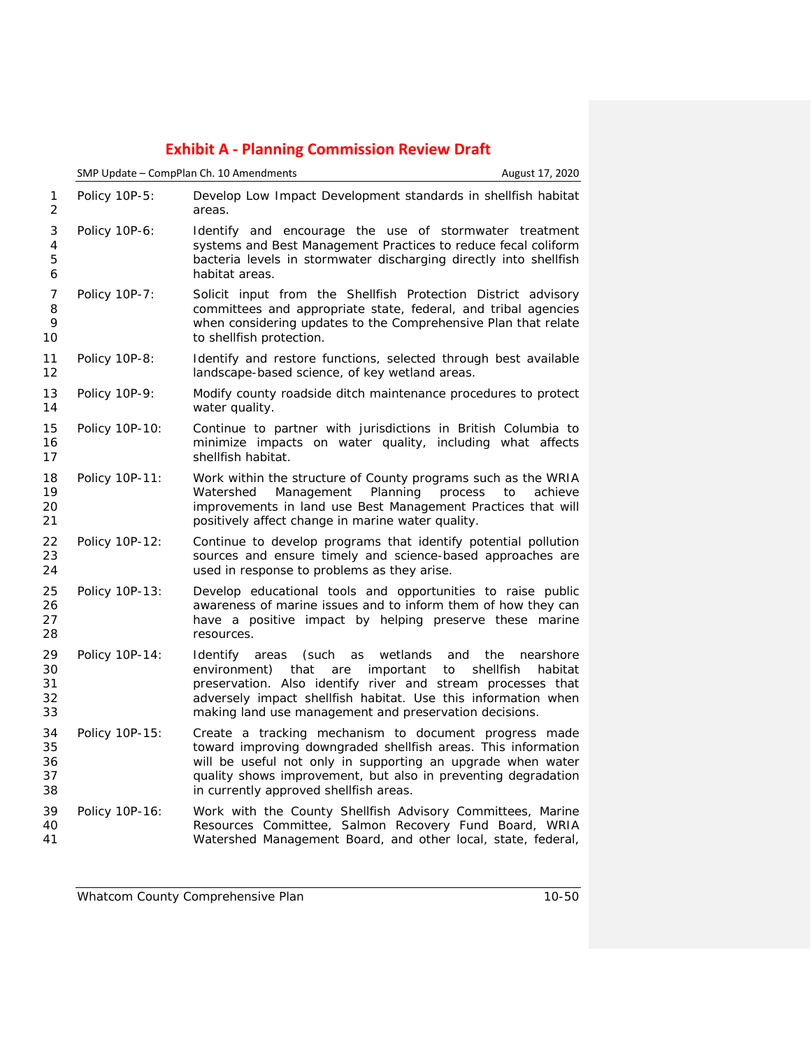|                            | SMP Update - CompPlan Ch. 10 Amendments<br>August 17, 2020 |                                                                                                                                                                                                                                                                                                                            |                      |
|----------------------------|------------------------------------------------------------|----------------------------------------------------------------------------------------------------------------------------------------------------------------------------------------------------------------------------------------------------------------------------------------------------------------------------|----------------------|
| 1<br>2                     | Policy 10P-5:                                              | Develop Low Impact Development standards in shellfish habitat<br>areas.                                                                                                                                                                                                                                                    |                      |
| 3<br>4<br>5<br>6           | Policy 10P-6:                                              | Identify and encourage the use of stormwater treatment<br>systems and Best Management Practices to reduce fecal coliform<br>bacteria levels in stormwater discharging directly into shellfish<br>habitat areas.                                                                                                            |                      |
| 7<br>8<br>9<br>10          | Policy 10P-7:                                              | Solicit input from the Shellfish Protection District advisory<br>committees and appropriate state, federal, and tribal agencies<br>when considering updates to the Comprehensive Plan that relate<br>to shellfish protection.                                                                                              |                      |
| 11<br>12                   | Policy 10P-8:                                              | Identify and restore functions, selected through best available<br>landscape-based science, of key wetland areas.                                                                                                                                                                                                          |                      |
| 13<br>14                   | Policy 10P-9:                                              | Modify county roadside ditch maintenance procedures to protect<br>water quality.                                                                                                                                                                                                                                           |                      |
| 15<br>16<br>17             | Policy 10P-10:                                             | Continue to partner with jurisdictions in British Columbia to<br>minimize impacts on water quality, including what affects<br>shellfish habitat.                                                                                                                                                                           |                      |
| 18<br>19<br>20<br>21       | Policy 10P-11:                                             | Work within the structure of County programs such as the WRIA<br>Planning<br>Management<br>process<br>Watershed<br>improvements in land use Best Management Practices that will<br>positively affect change in marine water quality.                                                                                       | to<br>achieve        |
| 22<br>23<br>24             | Policy 10P-12:                                             | Continue to develop programs that identify potential pollution<br>sources and ensure timely and science-based approaches are<br>used in response to problems as they arise.                                                                                                                                                |                      |
| 25<br>26<br>27<br>28       | Policy 10P-13:                                             | Develop educational tools and opportunities to raise public<br>awareness of marine issues and to inform them of how they can<br>have a positive impact by helping preserve these marine<br>resources.                                                                                                                      |                      |
| 29<br>30<br>31<br>32<br>33 | Policy 10P-14:                                             | <b>Identify</b><br>(such<br>wetlands<br>areas<br>as<br>and<br>the<br>environment)<br>that<br>are<br>important<br>to<br>shellfish<br>preservation. Also identify river and stream processes that<br>adversely impact shellfish habitat. Use this information when<br>making land use management and preservation decisions. | nearshore<br>habitat |
| 34<br>35<br>36<br>37<br>38 | Policy 10P-15:                                             | Create a tracking mechanism to document progress made<br>toward improving downgraded shellfish areas. This information<br>will be useful not only in supporting an upgrade when water<br>quality shows improvement, but also in preventing degradation<br>in currently approved shellfish areas.                           |                      |
| 39<br>40<br>41             | Policy 10P-16:                                             | Work with the County Shellfish Advisory Committees, Marine<br>Resources Committee, Salmon Recovery Fund Board, WRIA<br>Watershed Management Board, and other local, state, federal,                                                                                                                                        |                      |